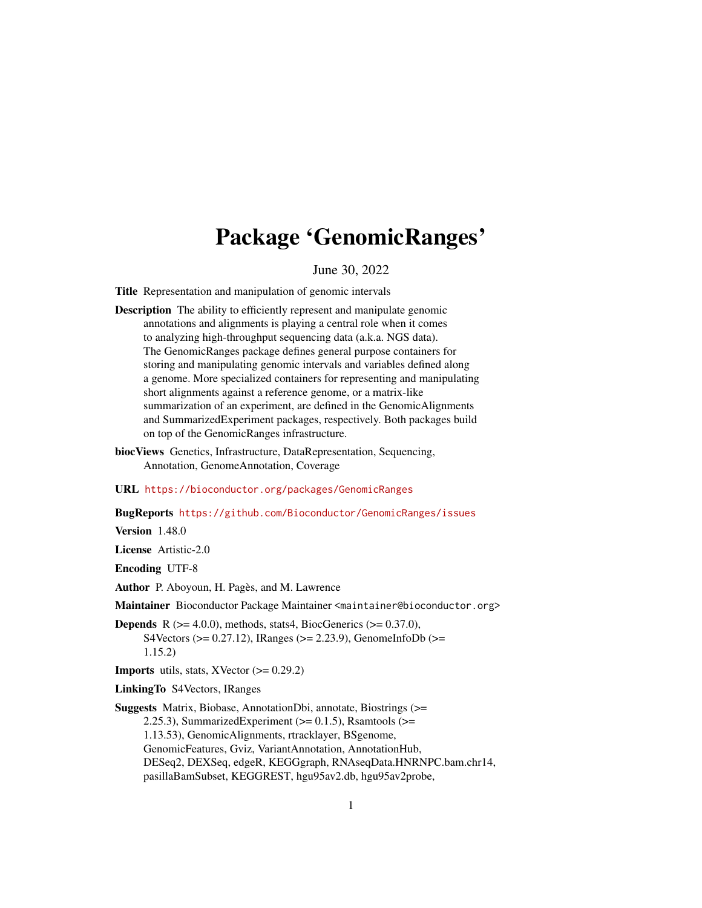# Package 'GenomicRanges'

June 30, 2022

<span id="page-0-0"></span>Title Representation and manipulation of genomic intervals

- Description The ability to efficiently represent and manipulate genomic annotations and alignments is playing a central role when it comes to analyzing high-throughput sequencing data (a.k.a. NGS data). The GenomicRanges package defines general purpose containers for storing and manipulating genomic intervals and variables defined along a genome. More specialized containers for representing and manipulating short alignments against a reference genome, or a matrix-like summarization of an experiment, are defined in the GenomicAlignments and SummarizedExperiment packages, respectively. Both packages build on top of the GenomicRanges infrastructure.
- biocViews Genetics, Infrastructure, DataRepresentation, Sequencing, Annotation, GenomeAnnotation, Coverage

URL <https://bioconductor.org/packages/GenomicRanges>

BugReports <https://github.com/Bioconductor/GenomicRanges/issues>

Version 1.48.0

License Artistic-2.0

Encoding UTF-8

Author P. Aboyoun, H. Pagès, and M. Lawrence

Maintainer Bioconductor Package Maintainer <maintainer@bioconductor.org>

**Depends** R  $(>= 4.0.0)$ , methods, stats4, BiocGenerics  $(>= 0.37.0)$ , S4Vectors ( $>= 0.27.12$ ), IRanges ( $>= 2.23.9$ ), GenomeInfoDb ( $>=$ 1.15.2)

**Imports** utils, stats, XVector  $(>= 0.29.2)$ 

LinkingTo S4Vectors, IRanges

Suggests Matrix, Biobase, AnnotationDbi, annotate, Biostrings (>= 2.25.3), SummarizedExperiment ( $>= 0.1.5$ ), Rsamtools ( $>=$ 1.13.53), GenomicAlignments, rtracklayer, BSgenome, GenomicFeatures, Gviz, VariantAnnotation, AnnotationHub, DESeq2, DEXSeq, edgeR, KEGGgraph, RNAseqData.HNRNPC.bam.chr14, pasillaBamSubset, KEGGREST, hgu95av2.db, hgu95av2probe,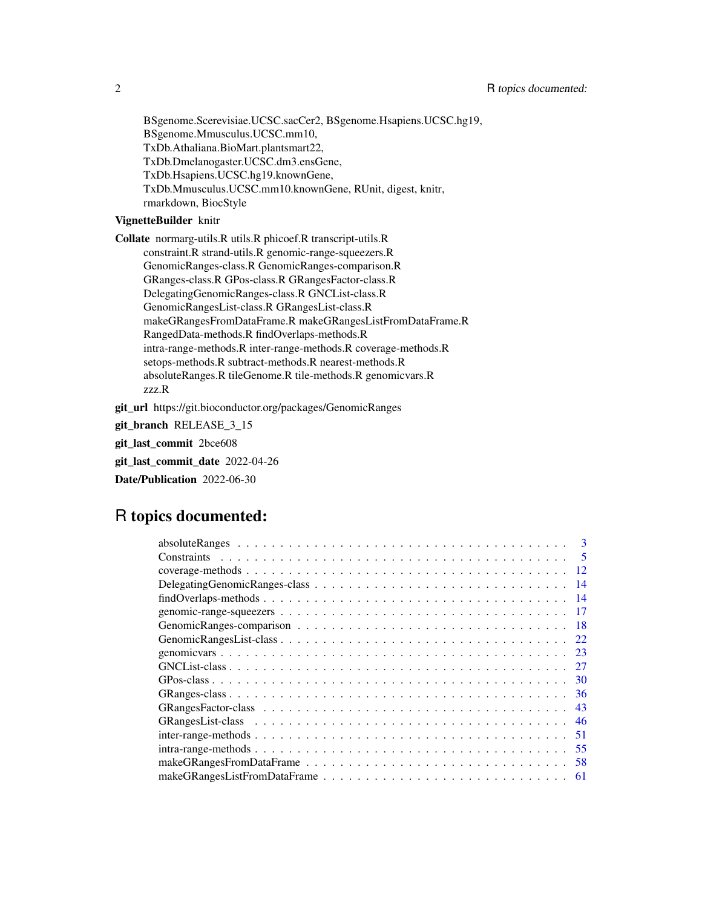BSgenome.Scerevisiae.UCSC.sacCer2, BSgenome.Hsapiens.UCSC.hg19, BSgenome.Mmusculus.UCSC.mm10, TxDb.Athaliana.BioMart.plantsmart22, TxDb.Dmelanogaster.UCSC.dm3.ensGene, TxDb.Hsapiens.UCSC.hg19.knownGene, TxDb.Mmusculus.UCSC.mm10.knownGene, RUnit, digest, knitr, rmarkdown, BiocStyle

## VignetteBuilder knitr

Collate normarg-utils.R utils.R phicoef.R transcript-utils.R constraint.R strand-utils.R genomic-range-squeezers.R GenomicRanges-class.R GenomicRanges-comparison.R GRanges-class.R GPos-class.R GRangesFactor-class.R DelegatingGenomicRanges-class.R GNCList-class.R GenomicRangesList-class.R GRangesList-class.R makeGRangesFromDataFrame.R makeGRangesListFromDataFrame.R RangedData-methods.R findOverlaps-methods.R intra-range-methods.R inter-range-methods.R coverage-methods.R setops-methods.R subtract-methods.R nearest-methods.R absoluteRanges.R tileGenome.R tile-methods.R genomicvars.R zzz.R

git\_url https://git.bioconductor.org/packages/GenomicRanges

git\_branch RELEASE\_3\_15

git\_last\_commit 2bce608

git\_last\_commit\_date 2022-04-26

Date/Publication 2022-06-30

## R topics documented:

| 3                                                                                                                 |
|-------------------------------------------------------------------------------------------------------------------|
| $\overline{\mathbf{5}}$                                                                                           |
| 12                                                                                                                |
| -14                                                                                                               |
| $findOverlaps-methods \dots \dots \dots \dots \dots \dots \dots \dots \dots \dots \dots \dots \dots \dots$<br>-14 |
| 17                                                                                                                |
| -18                                                                                                               |
| 22                                                                                                                |
| - 23                                                                                                              |
| 27                                                                                                                |
| 30                                                                                                                |
| -36                                                                                                               |
| 43                                                                                                                |
| 46                                                                                                                |
| 51                                                                                                                |
| 55                                                                                                                |
| .58                                                                                                               |
|                                                                                                                   |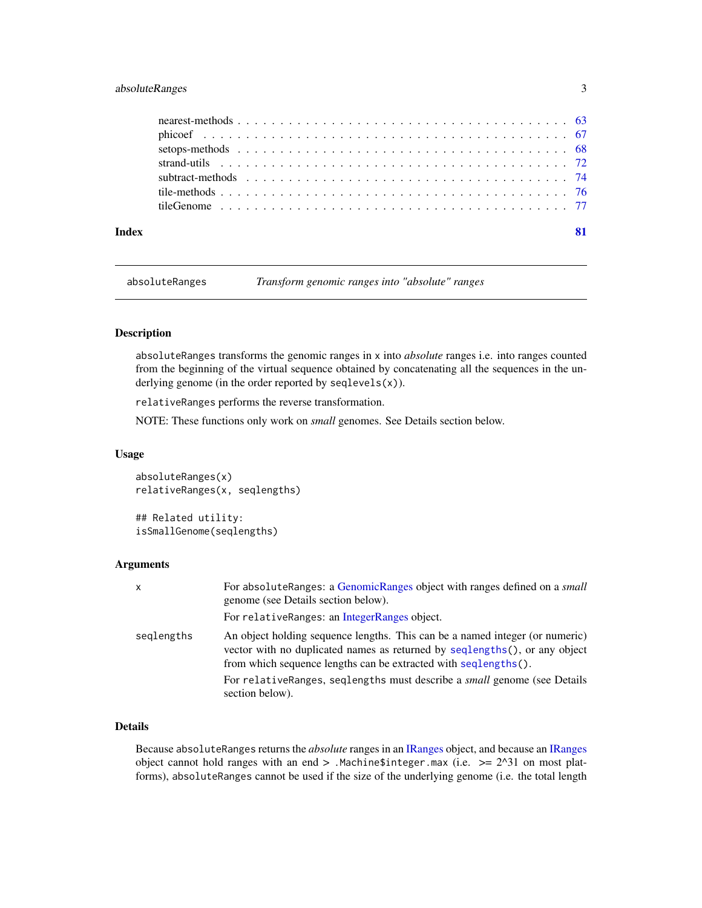## <span id="page-2-0"></span>absoluteRanges 3

| Index |  |
|-------|--|
|       |  |
|       |  |
|       |  |
|       |  |
|       |  |
|       |  |
|       |  |

absoluteRanges *Transform genomic ranges into "absolute" ranges*

## Description

absoluteRanges transforms the genomic ranges in x into *absolute* ranges i.e. into ranges counted from the beginning of the virtual sequence obtained by concatenating all the sequences in the underlying genome (in the order reported by seqlevels(x)).

relativeRanges performs the reverse transformation.

NOTE: These functions only work on *small* genomes. See Details section below.

## Usage

absoluteRanges(x) relativeRanges(x, seqlengths)

## Related utility: isSmallGenome(seqlengths)

## Arguments

| x          | For absoluteRanges: a GenomicRanges object with ranges defined on a small<br>genome (see Details section below).                                                                                                              |
|------------|-------------------------------------------------------------------------------------------------------------------------------------------------------------------------------------------------------------------------------|
|            | For relativeRanges: an IntegerRanges object.                                                                                                                                                                                  |
| seglengths | An object holding sequence lengths. This can be a named integer (or numeric)<br>vector with no duplicated names as returned by seqlengths(), or any object<br>from which sequence lengths can be extracted with seqlengths(). |
|            | For relative Ranges, seglengths must describe a <i>small</i> genome (see Details<br>section below).                                                                                                                           |

## Details

Because absoluteRanges returns the *absolute* ranges in an [IRanges](#page-0-0) object, and because an [IRanges](#page-0-0) object cannot hold ranges with an end  $>$  . Machine \$integer.max (i.e.  $>= 2^{\lambda}31$  on most platforms), absoluteRanges cannot be used if the size of the underlying genome (i.e. the total length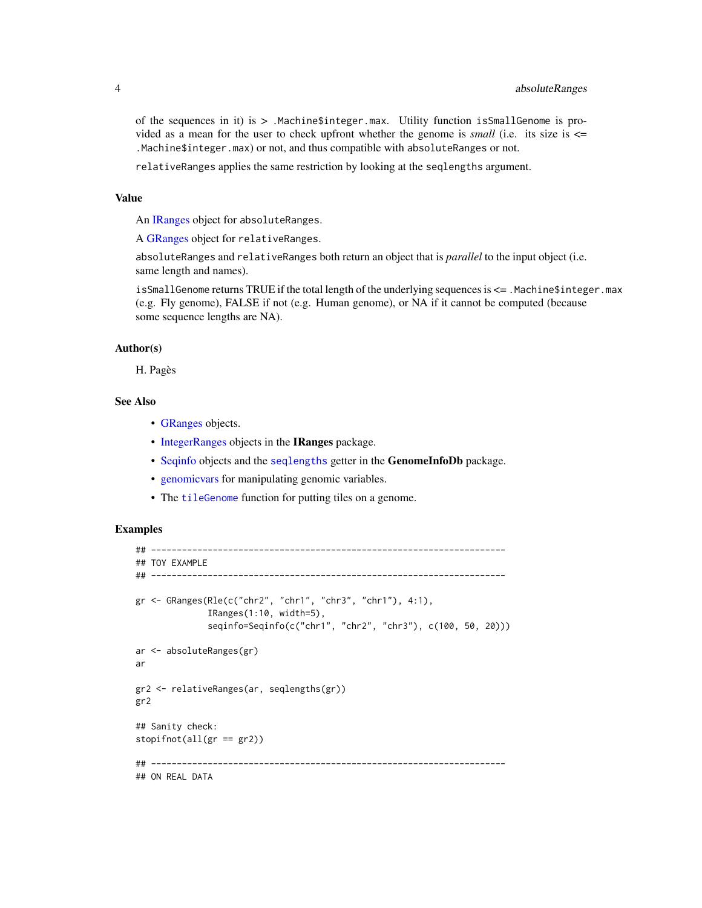of the sequences in it) is > .Machine\$integer.max. Utility function isSmallGenome is provided as a mean for the user to check upfront whether the genome is *small* (i.e. its size is  $\leq$ .Machine\$integer.max) or not, and thus compatible with absoluteRanges or not.

relativeRanges applies the same restriction by looking at the seqlengths argument.

#### Value

An [IRanges](#page-0-0) object for absoluteRanges.

A [GRanges](#page-35-1) object for relativeRanges.

absoluteRanges and relativeRanges both return an object that is *parallel* to the input object (i.e. same length and names).

isSmallGenome returns TRUE if the total length of the underlying sequences is <= .Machine\$integer.max (e.g. Fly genome), FALSE if not (e.g. Human genome), or NA if it cannot be computed (because some sequence lengths are NA).

## Author(s)

H. Pagès

## See Also

- [GRanges](#page-35-1) objects.
- [IntegerRanges](#page-0-0) objects in the IRanges package.
- [Seqinfo](#page-0-0) objects and the [seqlengths](#page-0-0) getter in the GenomeInfoDb package.
- [genomicvars](#page-22-1) for manipulating genomic variables.
- The [tileGenome](#page-76-1) function for putting tiles on a genome.

## Examples

```
## ---------------------------------------------------------------------
## TOY EXAMPLE
## ---------------------------------------------------------------------
gr <- GRanges(Rle(c("chr2", "chr1", "chr3", "chr1"), 4:1),
              IRanges(1:10, width=5),
              seqinfo=Seqinfo(c("chr1", "chr2", "chr3"), c(100, 50, 20)))
ar <- absoluteRanges(gr)
ar
gr2 <- relativeRanges(ar, seqlengths(gr))
gr2
## Sanity check:
stopifnot(all(gr == gr2))## ---------------------------------------------------------------------
## ON REAL DATA
```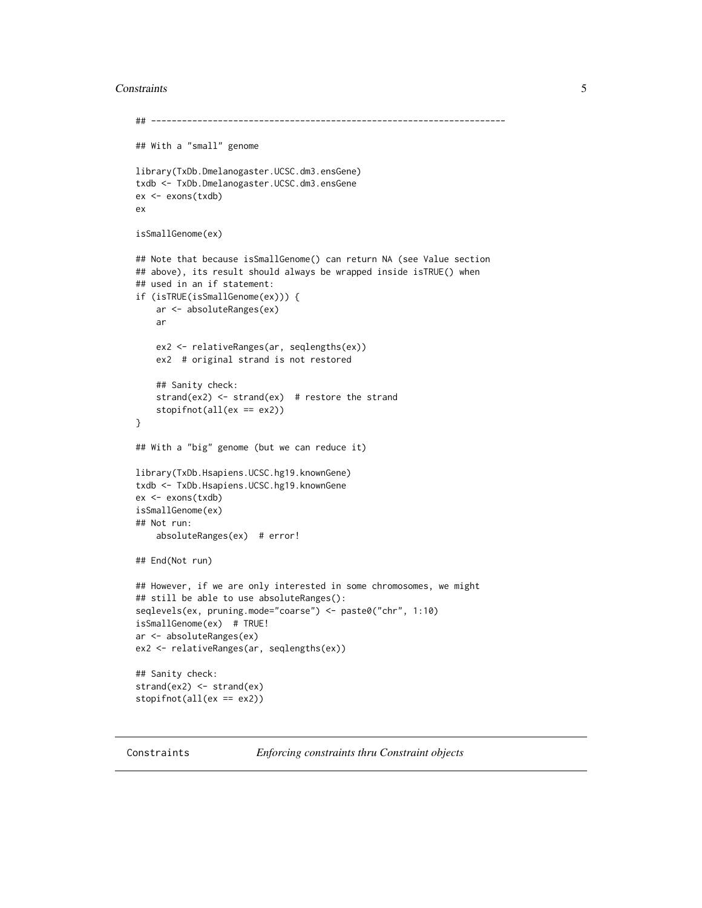## <span id="page-4-0"></span>**Constraints** 5

```
## ---------------------------------------------------------------------
## With a "small" genome
library(TxDb.Dmelanogaster.UCSC.dm3.ensGene)
txdb <- TxDb.Dmelanogaster.UCSC.dm3.ensGene
ex <- exons(txdb)
ex
isSmallGenome(ex)
## Note that because isSmallGenome() can return NA (see Value section
## above), its result should always be wrapped inside isTRUE() when
## used in an if statement:
if (isTRUE(isSmallGenome(ex))) {
    ar <- absoluteRanges(ex)
   ar
    ex2 <- relativeRanges(ar, seqlengths(ex))
    ex2 # original strand is not restored
    ## Sanity check:
    strand(ex2) \le strand(ex) # restore the strand
    stopifnot(all(ex == ex2))
}
## With a "big" genome (but we can reduce it)
library(TxDb.Hsapiens.UCSC.hg19.knownGene)
txdb <- TxDb.Hsapiens.UCSC.hg19.knownGene
ex <- exons(txdb)
isSmallGenome(ex)
## Not run:
    absoluteRanges(ex) # error!
## End(Not run)
## However, if we are only interested in some chromosomes, we might
## still be able to use absoluteRanges():
seqlevels(ex, pruning.mode="coarse") <- paste0("chr", 1:10)
isSmallGenome(ex) # TRUE!
ar <- absoluteRanges(ex)
ex2 <- relativeRanges(ar, seqlengths(ex))
## Sanity check:
strand(ex2) <- strand(ex)
stopifnot(all(ex == ex2))
```
Constraints *Enforcing constraints thru Constraint objects*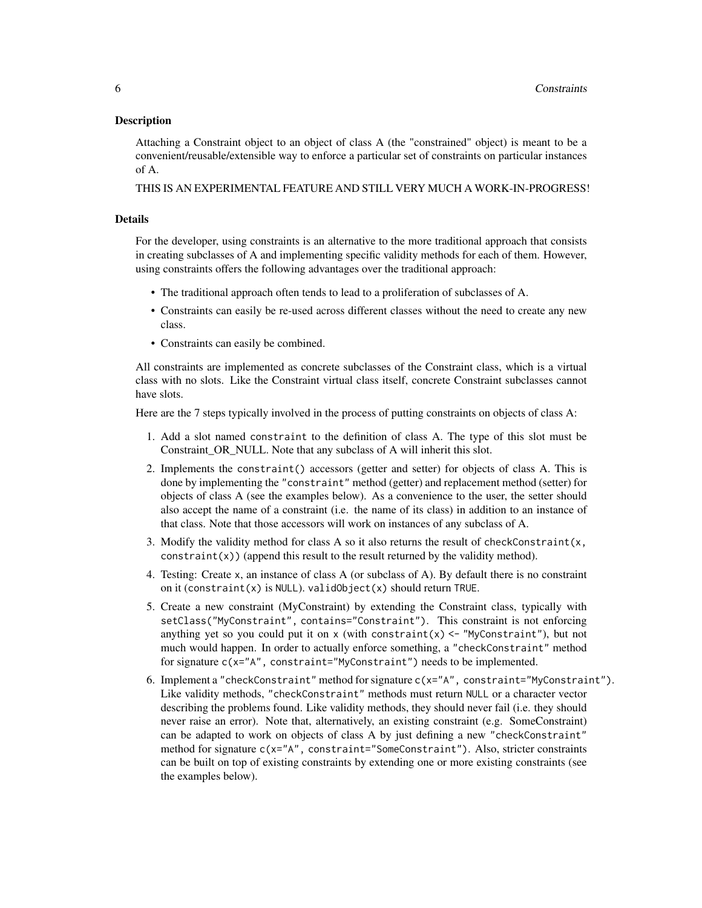## Description

Attaching a Constraint object to an object of class A (the "constrained" object) is meant to be a convenient/reusable/extensible way to enforce a particular set of constraints on particular instances of A.

THIS IS AN EXPERIMENTAL FEATURE AND STILL VERY MUCH A WORK-IN-PROGRESS!

## Details

For the developer, using constraints is an alternative to the more traditional approach that consists in creating subclasses of A and implementing specific validity methods for each of them. However, using constraints offers the following advantages over the traditional approach:

- The traditional approach often tends to lead to a proliferation of subclasses of A.
- Constraints can easily be re-used across different classes without the need to create any new class.
- Constraints can easily be combined.

All constraints are implemented as concrete subclasses of the Constraint class, which is a virtual class with no slots. Like the Constraint virtual class itself, concrete Constraint subclasses cannot have slots.

Here are the 7 steps typically involved in the process of putting constraints on objects of class A:

- 1. Add a slot named constraint to the definition of class A. The type of this slot must be Constraint OR\_NULL. Note that any subclass of A will inherit this slot.
- 2. Implements the constraint() accessors (getter and setter) for objects of class A. This is done by implementing the "constraint" method (getter) and replacement method (setter) for objects of class A (see the examples below). As a convenience to the user, the setter should also accept the name of a constraint (i.e. the name of its class) in addition to an instance of that class. Note that those accessors will work on instances of any subclass of A.
- 3. Modify the validity method for class A so it also returns the result of checkConstraint $(x,$ constraint(x)) (append this result to the result returned by the validity method).
- 4. Testing: Create x, an instance of class A (or subclass of A). By default there is no constraint on it (constraint(x) is NULL). validObject(x) should return TRUE.
- 5. Create a new constraint (MyConstraint) by extending the Constraint class, typically with setClass("MyConstraint", contains="Constraint"). This constraint is not enforcing anything yet so you could put it on x (with constraint(x)  $\langle -$  "MyConstraint"), but not much would happen. In order to actually enforce something, a "checkConstraint" method for signature c(x="A", constraint="MyConstraint") needs to be implemented.
- 6. Implement a "checkConstraint" method for signature c(x="A", constraint="MyConstraint"). Like validity methods, "checkConstraint" methods must return NULL or a character vector describing the problems found. Like validity methods, they should never fail (i.e. they should never raise an error). Note that, alternatively, an existing constraint (e.g. SomeConstraint) can be adapted to work on objects of class A by just defining a new "checkConstraint" method for signature c(x="A", constraint="SomeConstraint"). Also, stricter constraints can be built on top of existing constraints by extending one or more existing constraints (see the examples below).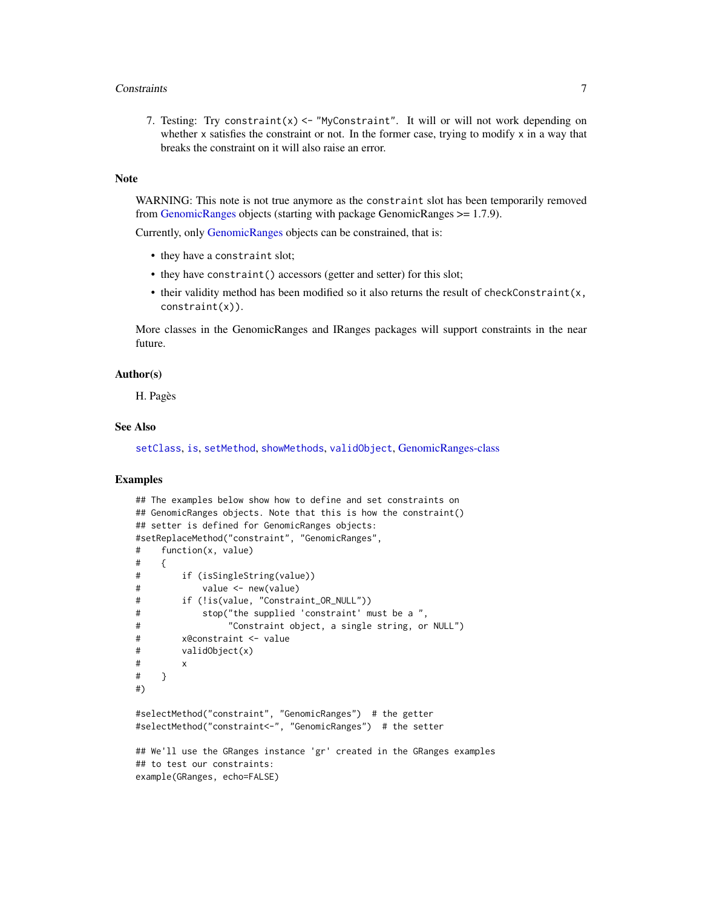### **Constraints** 7

7. Testing: Try constraint(x)  $\leq$  "MyConstraint". It will or will not work depending on whether  $x$  satisfies the constraint or not. In the former case, trying to modify  $x$  in a way that breaks the constraint on it will also raise an error.

## **Note**

WARNING: This note is not true anymore as the constraint slot has been temporarily removed from [GenomicRanges](#page-35-1) objects (starting with package GenomicRanges >= 1.7.9).

Currently, only [GenomicRanges](#page-35-1) objects can be constrained, that is:

- they have a constraint slot;
- they have constraint() accessors (getter and setter) for this slot;
- their validity method has been modified so it also returns the result of checkConstraint(x, constraint(x)).

More classes in the GenomicRanges and IRanges packages will support constraints in the near future.

## Author(s)

H. Pagès

## See Also

[setClass](#page-0-0), [is](#page-0-0), [setMethod](#page-0-0), [showMethods](#page-0-0), [validObject](#page-0-0), [GenomicRanges-class](#page-35-1)

## Examples

```
## The examples below show how to define and set constraints on
## GenomicRanges objects. Note that this is how the constraint()
## setter is defined for GenomicRanges objects:
#setReplaceMethod("constraint", "GenomicRanges",
# function(x, value)
# {
# if (isSingleString(value))
# value <- new(value)
# if (!is(value, "Constraint_OR_NULL"))
# stop("the supplied 'constraint' must be a ",
# "Constraint object, a single string, or NULL")
# x@constraint <- value
# validObject(x)
# x
# }
#)
#selectMethod("constraint", "GenomicRanges") # the getter
#selectMethod("constraint<-", "GenomicRanges") # the setter
## We'll use the GRanges instance 'gr' created in the GRanges examples
## to test our constraints:
example(GRanges, echo=FALSE)
```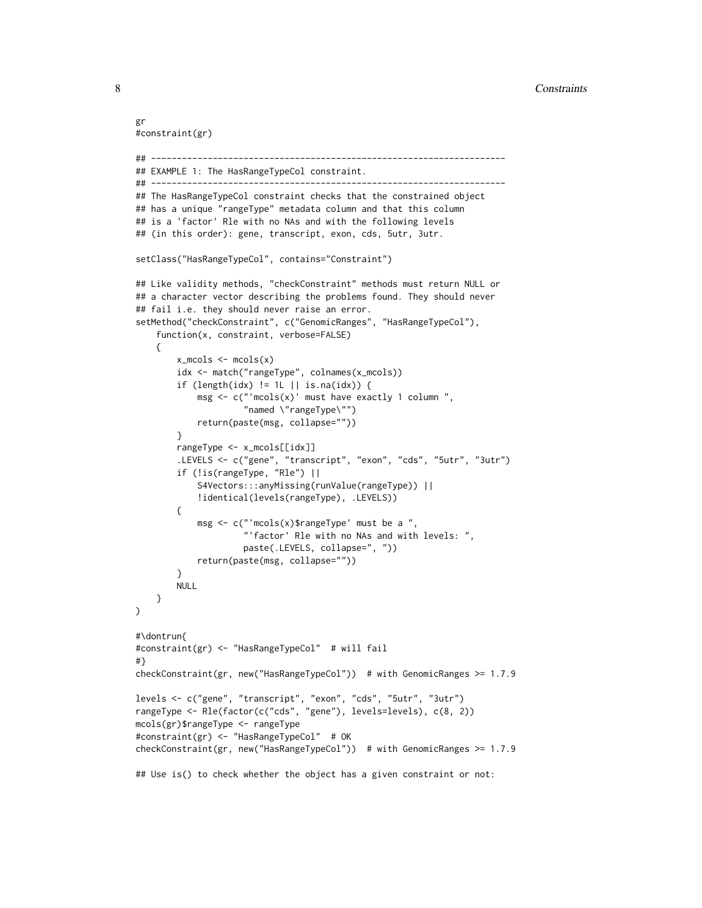8 Constraints and the constraints of the constraints of the constraints of the constraints of the constraints of the constraints of the constraints of the constraints of the constraints of the constraints of the constraint

```
gr
#constraint(gr)
## ---------------------------------------------------------------------
## EXAMPLE 1: The HasRangeTypeCol constraint.
## ---------------------------------------------------------------------
## The HasRangeTypeCol constraint checks that the constrained object
## has a unique "rangeType" metadata column and that this column
## is a 'factor' Rle with no NAs and with the following levels
## (in this order): gene, transcript, exon, cds, 5utr, 3utr.
setClass("HasRangeTypeCol", contains="Constraint")
## Like validity methods, "checkConstraint" methods must return NULL or
## a character vector describing the problems found. They should never
## fail i.e. they should never raise an error.
setMethod("checkConstraint", c("GenomicRanges", "HasRangeTypeCol"),
    function(x, constraint, verbose=FALSE)
    {
        x_m \ncol s \leftarrow m \ncol s(x)idx <- match("rangeType", colnames(x_mcols))
        if (length(idx) != 1L || is.na(idx)) {
            msg \leftarrow c("models(x) "must have exactly 1 column ""named \"rangeType\"")
            return(paste(msg, collapse=""))
        }
        rangeType <- x_mcols[[idx]]
        .LEVELS <- c("gene", "transcript", "exon", "cds", "5utr", "3utr")
        if (!is(rangeType, "Rle") ||
            S4Vectors:::anyMissing(runValue(rangeType)) ||
            !identical(levels(rangeType), .LEVELS))
        {
            msg <- c("'mcols(x)$rangeType' must be a ",
                      "'factor' Rle with no NAs and with levels: ",
                     paste(.LEVELS, collapse=", "))
            return(paste(msg, collapse=""))
        }
        NULL
    }
\mathcal{L}#\dontrun{
#constraint(gr) <- "HasRangeTypeCol" # will fail
#}
checkConstraint(gr, new("HasRangeTypeCol")) # with GenomicRanges >= 1.7.9
levels <- c("gene", "transcript", "exon", "cds", "5utr", "3utr")
rangeType <- Rle(factor(c("cds", "gene"), levels=levels), c(8, 2))
mcols(gr)$rangeType <- rangeType
#constraint(gr) <- "HasRangeTypeCol" # OK
checkConstraint(gr, new("HasRangeTypeCol")) # with GenomicRanges >= 1.7.9
## Use is() to check whether the object has a given constraint or not:
```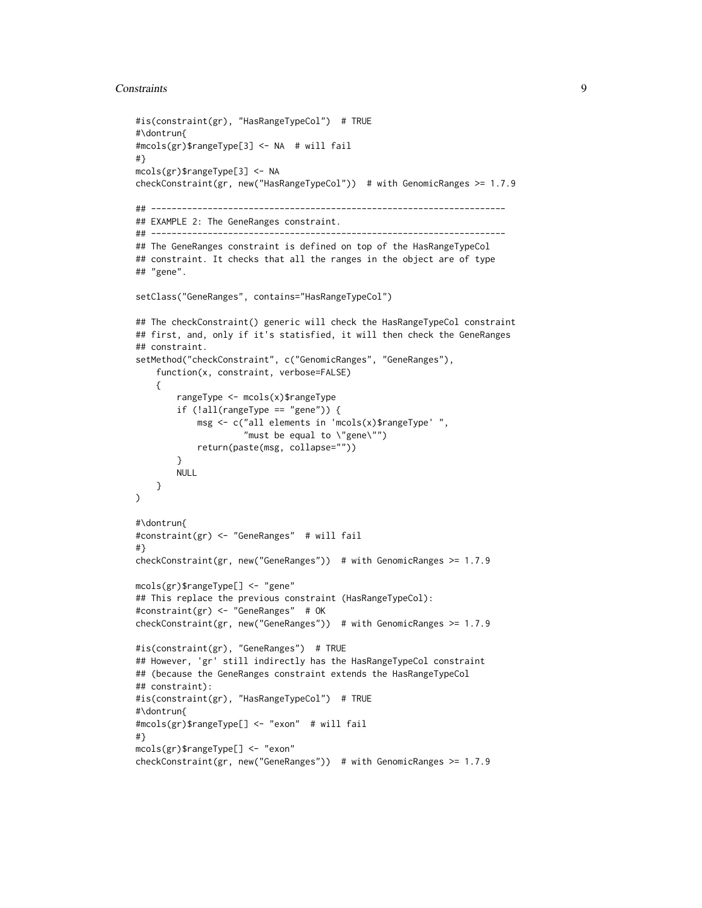## **Constraints** 9

```
#is(constraint(gr), "HasRangeTypeCol") # TRUE
#\dontrun{
#mcols(gr)$rangeType[3] <- NA # will fail
#}
mcols(gr)$rangeType[3] <- NA
checkConstraint(gr, new("HasRangeTypeCol")) # with GenomicRanges >= 1.7.9
## ---------------------------------------------------------------------
## EXAMPLE 2: The GeneRanges constraint.
## ---------------------------------------------------------------------
## The GeneRanges constraint is defined on top of the HasRangeTypeCol
## constraint. It checks that all the ranges in the object are of type
## "gene".
setClass("GeneRanges", contains="HasRangeTypeCol")
## The checkConstraint() generic will check the HasRangeTypeCol constraint
## first, and, only if it's statisfied, it will then check the GeneRanges
## constraint.
setMethod("checkConstraint", c("GenomicRanges", "GeneRanges"),
    function(x, constraint, verbose=FALSE)
    {
        rangeType <- mcols(x)$rangeType
        if (!all(rangeType == "gene")) {
            msg <- c("all elements in 'mcols(x)$rangeType' ",
                     "must be equal to \"gene\"")
            return(paste(msg, collapse=""))
        }
        NULL
   }
\mathcal{L}#\dontrun{
#constraint(gr) <- "GeneRanges" # will fail
#}
checkConstraint(gr, new("GeneRanges")) # with GenomicRanges >= 1.7.9
mcols(gr)$rangeType[] <- "gene"
## This replace the previous constraint (HasRangeTypeCol):
#constraint(gr) <- "GeneRanges" # OK
checkConstraint(gr, new("GeneRanges")) # with GenomicRanges >= 1.7.9
#is(constraint(gr), "GeneRanges") # TRUE
## However, 'gr' still indirectly has the HasRangeTypeCol constraint
## (because the GeneRanges constraint extends the HasRangeTypeCol
## constraint):
#is(constraint(gr), "HasRangeTypeCol") # TRUE
#\dontrun{
#mcols(gr)$rangeType[] <- "exon" # will fail
#}
mcols(gr)$rangeType[] <- "exon"
checkConstraint(gr, new("GeneRanges")) # with GenomicRanges >= 1.7.9
```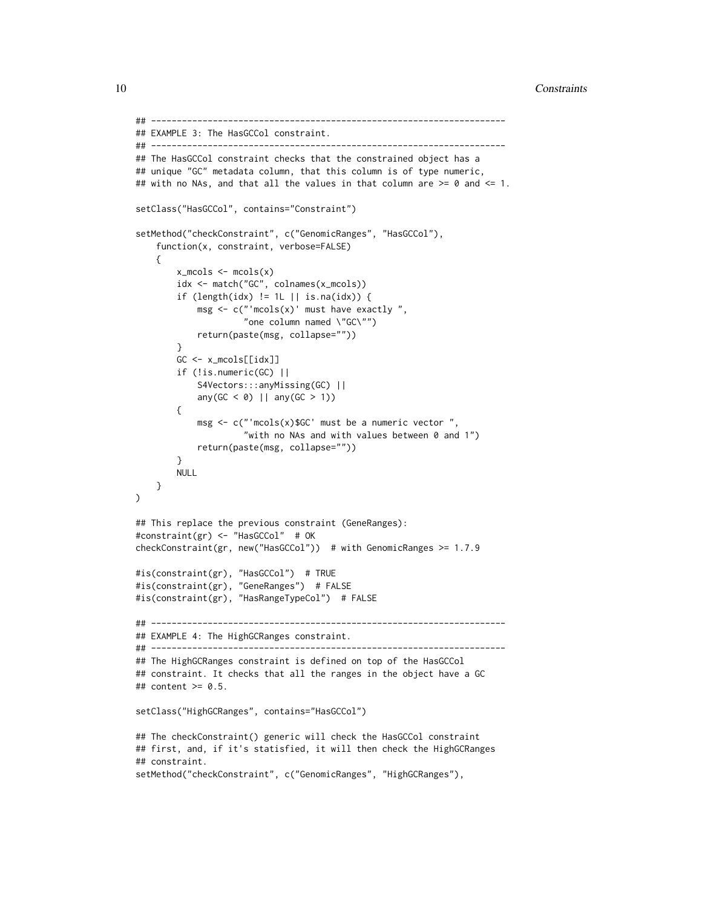```
## ---------------------------------------------------------------------
## EXAMPLE 3: The HasGCCol constraint.
## ---------------------------------------------------------------------
## The HasGCCol constraint checks that the constrained object has a
## unique "GC" metadata column, that this column is of type numeric,
## with no NAs, and that all the values in that column are >= 0 and <= 1.
setClass("HasGCCol", contains="Constraint")
setMethod("checkConstraint", c("GenomicRanges", "HasGCCol"),
    function(x, constraint, verbose=FALSE)
    {
        x_m \ncol s \leftarrow m \ncol s(x)idx <- match("GC", colnames(x_mcols))
        if (length(idx) != 1L || is.na(idx)) {
            msg \leftarrow c("models(x) "must have exactly","one column named \"GC\"")
            return(paste(msg, collapse=""))
        }
        GC <- x_mcols[[idx]]
        if (!is.numeric(GC) ||
            S4Vectors:::anyMissing(GC) ||
            any(GC < 0) || any(GC > 1))
        {
            msg <- c("'mcols(x)$GC' must be a numeric vector ",
                     "with no NAs and with values between 0 and 1")
            return(paste(msg, collapse=""))
        }
       NULL
   }
)
## This replace the previous constraint (GeneRanges):
#constraint(gr) <- "HasGCCol" # OK
checkConstraint(gr, new("HasGCCol")) # with GenomicRanges >= 1.7.9
#is(constraint(gr), "HasGCCol") # TRUE
#is(constraint(gr), "GeneRanges") # FALSE
#is(constraint(gr), "HasRangeTypeCol") # FALSE
## ---------------------------------------------------------------------
## EXAMPLE 4: The HighGCRanges constraint.
## ---------------------------------------------------------------------
## The HighGCRanges constraint is defined on top of the HasGCCol
## constraint. It checks that all the ranges in the object have a GC
## content >= 0.5.
setClass("HighGCRanges", contains="HasGCCol")
## The checkConstraint() generic will check the HasGCCol constraint
## first, and, if it's statisfied, it will then check the HighGCRanges
## constraint.
setMethod("checkConstraint", c("GenomicRanges", "HighGCRanges"),
```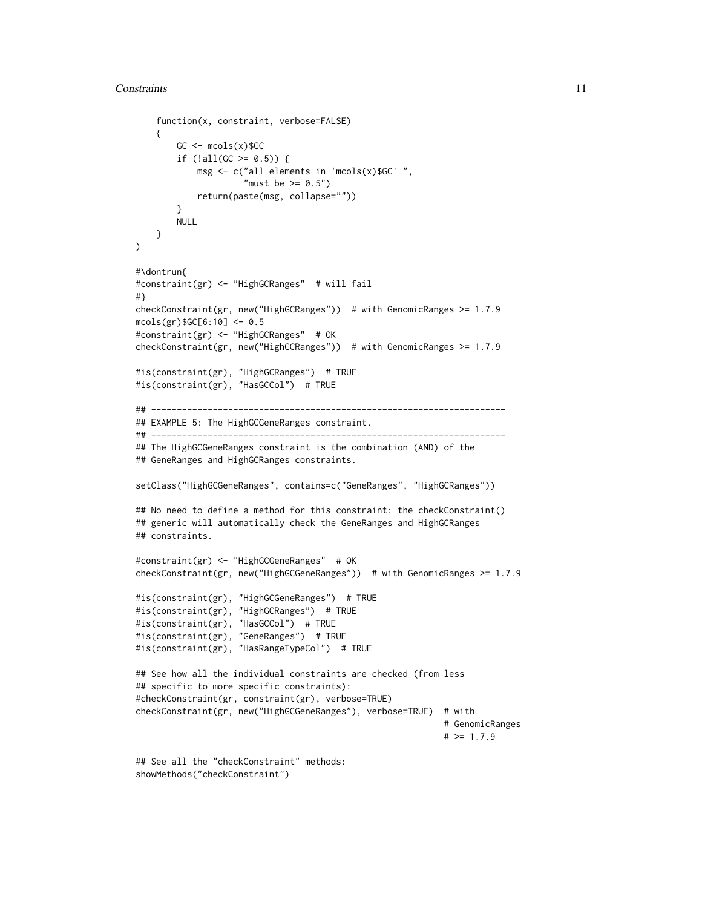```
function(x, constraint, verbose=FALSE)
    {
       GC \leftarrow meols(x)$GCif (lall(GC \ge 0.5)) {
           msg <- c("all elements in 'mcols(x)$GC' ",
                     "must be > = 0.5")
            return(paste(msg, collapse=""))
       }
       NULL
   }
)
#\dontrun{
#constraint(gr) <- "HighGCRanges" # will fail
#}
checkConstraint(gr, new("HighGCRanges")) # with GenomicRanges >= 1.7.9
mcols(gr)$GC[6:10] <- 0.5
#constraint(gr) <- "HighGCRanges" # OK
checkConstraint(gr, new("HighGCRanges")) # with GenomicRanges >= 1.7.9
#is(constraint(gr), "HighGCRanges") # TRUE
#is(constraint(gr), "HasGCCol") # TRUE
## ---------------------------------------------------------------------
## EXAMPLE 5: The HighGCGeneRanges constraint.
## ---------------------------------------------------------------------
## The HighGCGeneRanges constraint is the combination (AND) of the
## GeneRanges and HighGCRanges constraints.
setClass("HighGCGeneRanges", contains=c("GeneRanges", "HighGCRanges"))
## No need to define a method for this constraint: the checkConstraint()
## generic will automatically check the GeneRanges and HighGCRanges
## constraints.
#constraint(gr) <- "HighGCGeneRanges" # OK
checkConstraint(gr, new("HighGCGeneRanges")) # with GenomicRanges >= 1.7.9
#is(constraint(gr), "HighGCGeneRanges") # TRUE
#is(constraint(gr), "HighGCRanges") # TRUE
#is(constraint(gr), "HasGCCol") # TRUE
#is(constraint(gr), "GeneRanges") # TRUE
#is(constraint(gr), "HasRangeTypeCol") # TRUE
## See how all the individual constraints are checked (from less
## specific to more specific constraints):
#checkConstraint(gr, constraint(gr), verbose=TRUE)
checkConstraint(gr, new("HighGCGeneRanges"), verbose=TRUE) # with
                                                            # GenomicRanges
                                                            # > = 1.7.9## See all the "checkConstraint" methods:
showMethods("checkConstraint")
```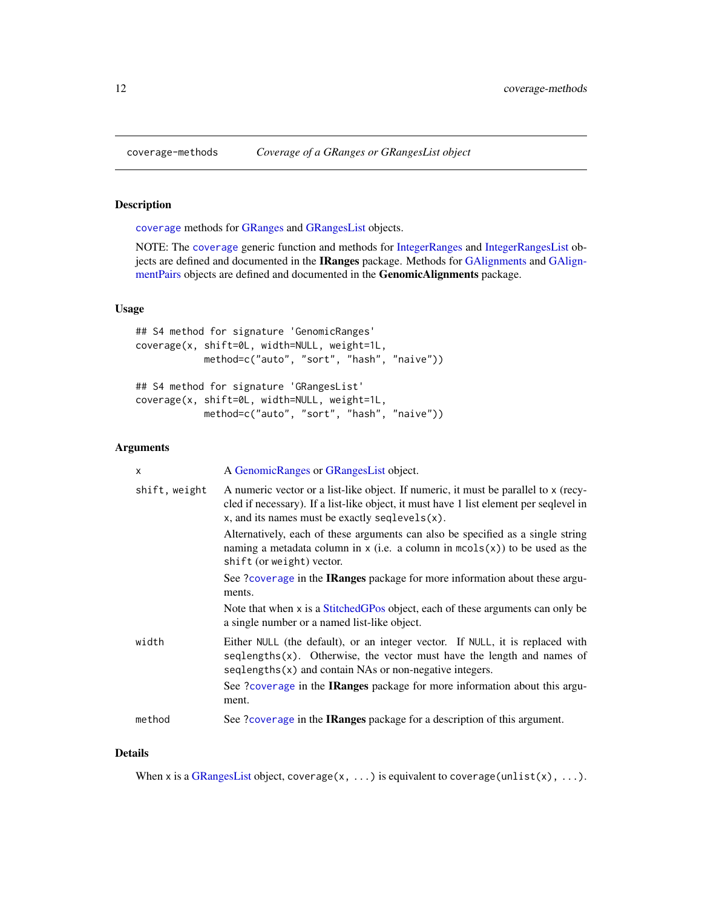## <span id="page-11-1"></span>Description

[coverage](#page-11-1) methods for [GRanges](#page-35-1) and [GRangesList](#page-45-1) objects.

NOTE: The [coverage](#page-11-1) generic function and methods for [IntegerRanges](#page-0-0) and [IntegerRangesList](#page-0-0) ob-jects are defined and documented in the IRanges package. Methods for [GAlignments](#page-0-0) and [GAlign](#page-0-0)[mentPairs](#page-0-0) objects are defined and documented in the GenomicAlignments package.

## Usage

```
## S4 method for signature 'GenomicRanges'
coverage(x, shift=0L, width=NULL, weight=1L,
            method=c("auto", "sort", "hash", "naive"))
## S4 method for signature 'GRangesList'
coverage(x, shift=0L, width=NULL, weight=1L,
            method=c("auto", "sort", "hash", "naive"))
```
## Arguments

| $\mathsf{x}$  | A GenomicRanges or GRangesList object.                                                                                                                                                                                                 |
|---------------|----------------------------------------------------------------------------------------------------------------------------------------------------------------------------------------------------------------------------------------|
| shift, weight | A numeric vector or a list-like object. If numeric, it must be parallel to x (recy-<br>cled if necessary). If a list-like object, it must have 1 list element per seqlevel in<br>$x$ , and its names must be exactly seqlevels $(x)$ . |
|               | Alternatively, each of these arguments can also be specified as a single string<br>naming a metadata column in x (i.e. a column in $m \circ s(x)$ ) to be used as the<br>shift (or weight) vector.                                     |
|               | See ?coverage in the <b>IRanges</b> package for more information about these argu-<br>ments.                                                                                                                                           |
|               | Note that when x is a StitchedGPos object, each of these arguments can only be<br>a single number or a named list-like object.                                                                                                         |
| width         | Either NULL (the default), or an integer vector. If NULL, it is replaced with<br>$seqlengths(x)$ . Otherwise, the vector must have the length and names of<br>$seqlengths(x)$ and contain NAs or non-negative integers.                |
|               | See ?coverage in the IRanges package for more information about this argu-<br>ment.                                                                                                                                                    |
| method        | See ?coverage in the IRanges package for a description of this argument.                                                                                                                                                               |
|               |                                                                                                                                                                                                                                        |

### Details

When x is a [GRangesList](#page-45-1) object, coverage(x, ...) is equivalent to coverage(unlist(x), ...).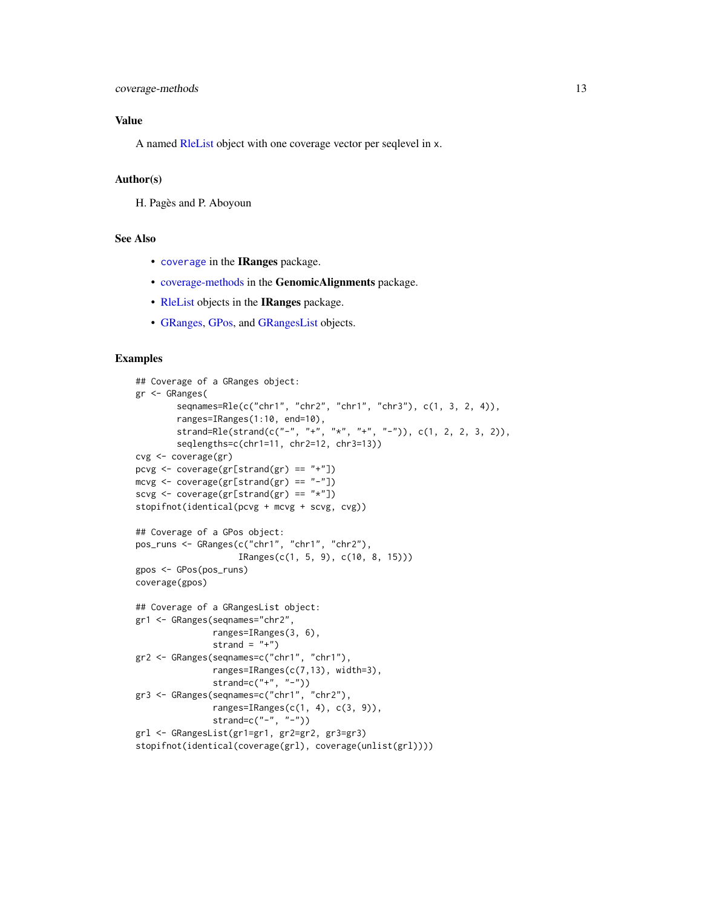## Value

A named [RleList](#page-0-0) object with one coverage vector per seqlevel in x.

## Author(s)

H. Pagès and P. Aboyoun

## See Also

- [coverage](#page-11-1) in the IRanges package.
- [coverage-methods](#page-11-2) in the GenomicAlignments package.
- [RleList](#page-0-0) objects in the IRanges package.
- [GRanges,](#page-35-1) [GPos,](#page-29-1) and [GRangesList](#page-45-1) objects.

## Examples

```
## Coverage of a GRanges object:
gr <- GRanges(
        seqnames=Rle(c("chr1", "chr2", "chr1", "chr3"), c(1, 3, 2, 4)),
        ranges=IRanges(1:10, end=10),
        strand=Rle(strand(c("-", "+", "*", "+", "-")), c(1, 2, 2, 3, 2)),
        seqlengths=c(chr1=11, chr2=12, chr3=13))
cvg <- coverage(gr)
pcvg \leq coverage(gr[strand(gr) == "+"])
mcvg <- coverage(gr[strand(gr) == "-"])
scvg <- coverage(gr[strand(gr) == "*"])
stopifnot(identical(pcvg + mcvg + scvg, cvg))
## Coverage of a GPos object:
pos_runs <- GRanges(c("chr1", "chr1", "chr2"),
                    IRanges(c(1, 5, 9), c(10, 8, 15)))
gpos <- GPos(pos_runs)
coverage(gpos)
## Coverage of a GRangesList object:
gr1 <- GRanges(seqnames="chr2",
               ranges=IRanges(3, 6),
               strand = "+')
gr2 <- GRanges(seqnames=c("chr1", "chr1"),
               ranges=IRanges(c(7,13), width=3),
               strand=c("+", "-"))
gr3 <- GRanges(seqnames=c("chr1", "chr2"),
               ranges=IRanges(c(1, 4), c(3, 9)),
               strand=c("-", "-"))
grl <- GRangesList(gr1=gr1, gr2=gr2, gr3=gr3)
stopifnot(identical(coverage(grl), coverage(unlist(grl))))
```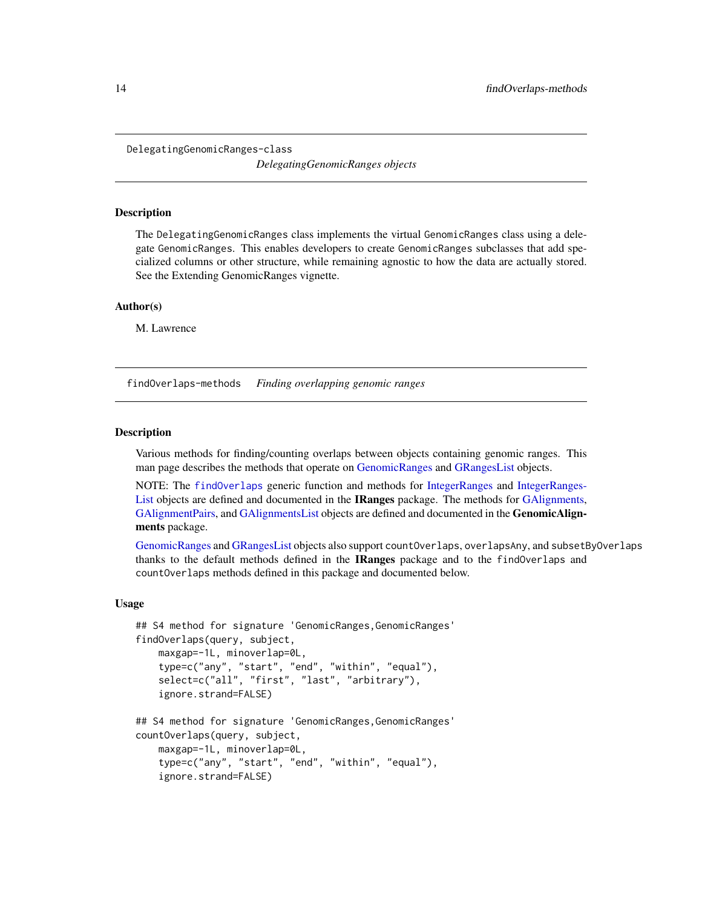<span id="page-13-0"></span>DelegatingGenomicRanges-class

*DelegatingGenomicRanges objects*

#### Description

The DelegatingGenomicRanges class implements the virtual GenomicRanges class using a delegate GenomicRanges. This enables developers to create GenomicRanges subclasses that add specialized columns or other structure, while remaining agnostic to how the data are actually stored. See the Extending GenomicRanges vignette.

## Author(s)

M. Lawrence

<span id="page-13-2"></span>findOverlaps-methods *Finding overlapping genomic ranges*

#### <span id="page-13-1"></span>**Description**

Various methods for finding/counting overlaps between objects containing genomic ranges. This man page describes the methods that operate on [GenomicRanges](#page-35-1) and [GRangesList](#page-45-1) objects.

NOTE: The [findOverlaps](#page-13-1) generic function and methods for [IntegerRanges](#page-0-0) and [IntegerRanges-](#page-0-0)[List](#page-0-0) objects are defined and documented in the **IRanges** package. The methods for [GAlignments,](#page-0-0) [GAlignmentPairs,](#page-0-0) and [GAlignmentsList](#page-0-0) objects are defined and documented in the GenomicAlignments package.

[GenomicRanges](#page-35-1) and [GRangesList](#page-45-1) objects also support countOverlaps, overlapsAny, and subsetByOverlaps thanks to the default methods defined in the IRanges package and to the findOverlaps and countOverlaps methods defined in this package and documented below.

#### Usage

```
## S4 method for signature 'GenomicRanges, GenomicRanges'
findOverlaps(query, subject,
   maxgap=-1L, minoverlap=0L,
    type=c("any", "start", "end", "within", "equal"),
    select=c("all", "first", "last", "arbitrary"),
    ignore.strand=FALSE)
## S4 method for signature 'GenomicRanges,GenomicRanges'
countOverlaps(query, subject,
   maxgap=-1L, minoverlap=0L,
    type=c("any", "start", "end", "within", "equal"),
```
ignore.strand=FALSE)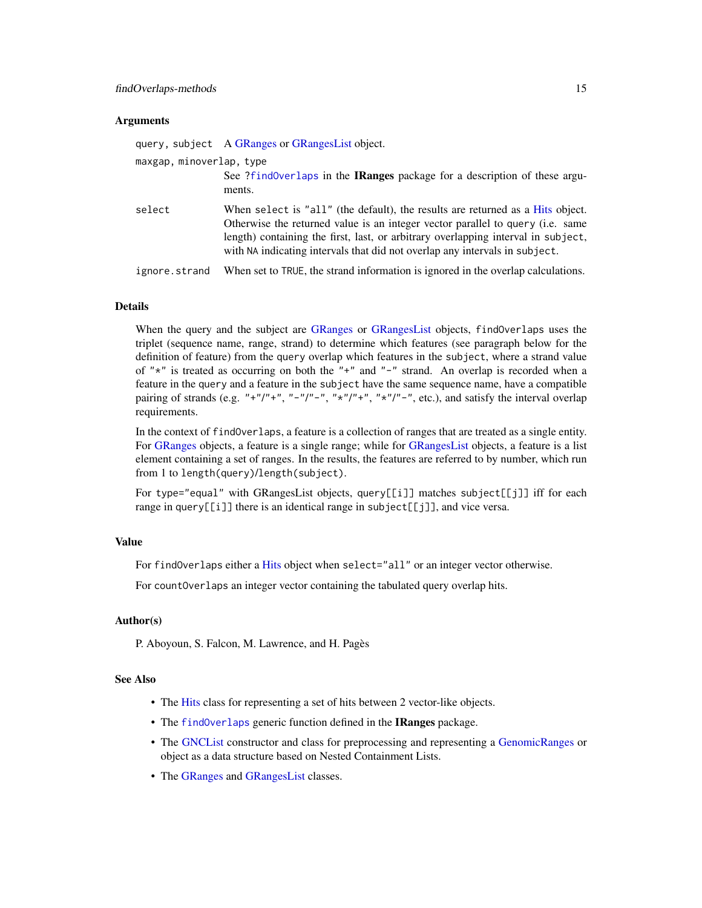## **Arguments**

|                          | query, subject A GRanges or GRangesList object.                                                                                                                                                                                                                                                                                      |
|--------------------------|--------------------------------------------------------------------------------------------------------------------------------------------------------------------------------------------------------------------------------------------------------------------------------------------------------------------------------------|
| maxgap, minoverlap, type |                                                                                                                                                                                                                                                                                                                                      |
|                          | See ?find0verlaps in the IRanges package for a description of these argu-<br>ments.                                                                                                                                                                                                                                                  |
| select                   | When select is "all" (the default), the results are returned as a Hits object.<br>Otherwise the returned value is an integer vector parallel to query (i.e. same<br>length) containing the first, last, or arbitrary overlapping interval in subject,<br>with NA indicating intervals that did not overlap any intervals in subject. |
| ignore.strand            | When set to TRUE, the strand information is ignored in the overlap calculations.                                                                                                                                                                                                                                                     |

## Details

When the query and the subject are [GRanges](#page-35-1) or [GRangesList](#page-45-1) objects, findOverlaps uses the triplet (sequence name, range, strand) to determine which features (see paragraph below for the definition of feature) from the query overlap which features in the subject, where a strand value of " $*$ " is treated as occurring on both the " $+$ " and " $-$ " strand. An overlap is recorded when a feature in the query and a feature in the subject have the same sequence name, have a compatible pairing of strands (e.g. "+"/"+", "-"/"-", "\*"/"+", "\*"/"-", etc.), and satisfy the interval overlap requirements.

In the context of findOverlaps, a feature is a collection of ranges that are treated as a single entity. For [GRanges](#page-35-1) objects, a feature is a single range; while for [GRangesList](#page-45-1) objects, a feature is a list element containing a set of ranges. In the results, the features are referred to by number, which run from 1 to length(query)/length(subject).

For type="equal" with GRangesList objects, query[[i]] matches subject[[j]] iff for each range in query[[i]] there is an identical range in subject[[j]], and vice versa.

## Value

For findOverlaps either a [Hits](#page-0-0) object when select="all" or an integer vector otherwise.

For countOverlaps an integer vector containing the tabulated query overlap hits.

## Author(s)

P. Aboyoun, S. Falcon, M. Lawrence, and H. Pagès

## See Also

- The [Hits](#page-0-0) class for representing a set of hits between 2 vector-like objects.
- The [findOverlaps](#page-13-1) generic function defined in the IRanges package.
- The [GNCList](#page-26-1) constructor and class for preprocessing and representing a [GenomicRanges](#page-35-1) or object as a data structure based on Nested Containment Lists.
- The [GRanges](#page-35-1) and [GRangesList](#page-45-1) classes.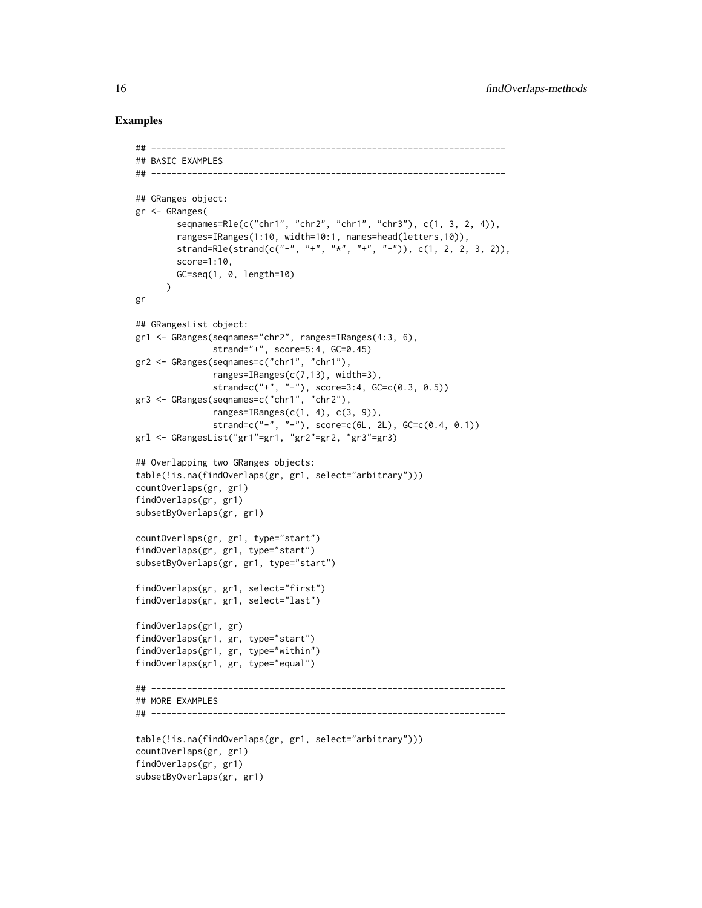## Examples

```
## ---------------------------------------------------------------------
## BASIC EXAMPLES
## ---------------------------------------------------------------------
## GRanges object:
gr <- GRanges(
        seqnames=Rle(c("chr1", "chr2", "chr1", "chr3"), c(1, 3, 2, 4)),
        ranges=IRanges(1:10, width=10:1, names=head(letters,10)),
       strand=Rle(strand(c("-", "+", "*", "+", "-")), c(1, 2, 2, 3, 2)),
       score=1:10,
       GC=seq(1, 0, length=10)
      )
gr
## GRangesList object:
gr1 <- GRanges(seqnames="chr2", ranges=IRanges(4:3, 6),
               strand="+", score=5:4, GC=0.45)
gr2 <- GRanges(seqnames=c("chr1", "chr1"),
               ranges=IRanges(c(7,13), width=3),
               strand=c("+", "-"), score=3:4, GC=c(0.3, 0.5))
gr3 <- GRanges(seqnames=c("chr1", "chr2"),
               ranges=IRanges(c(1, 4), c(3, 9)),
               strand=c("-", "-"), score=c(6L, 2L), GC = c(0.4, 0.1))
grl <- GRangesList("gr1"=gr1, "gr2"=gr2, "gr3"=gr3)
## Overlapping two GRanges objects:
table(!is.na(findOverlaps(gr, gr1, select="arbitrary")))
countOverlaps(gr, gr1)
findOverlaps(gr, gr1)
subsetByOverlaps(gr, gr1)
countOverlaps(gr, gr1, type="start")
findOverlaps(gr, gr1, type="start")
subsetByOverlaps(gr, gr1, type="start")
findOverlaps(gr, gr1, select="first")
findOverlaps(gr, gr1, select="last")
findOverlaps(gr1, gr)
findOverlaps(gr1, gr, type="start")
findOverlaps(gr1, gr, type="within")
findOverlaps(gr1, gr, type="equal")
## ---------------------------------------------------------------------
## MORE EXAMPLES
## ---------------------------------------------------------------------
table(!is.na(findOverlaps(gr, gr1, select="arbitrary")))
countOverlaps(gr, gr1)
findOverlaps(gr, gr1)
subsetByOverlaps(gr, gr1)
```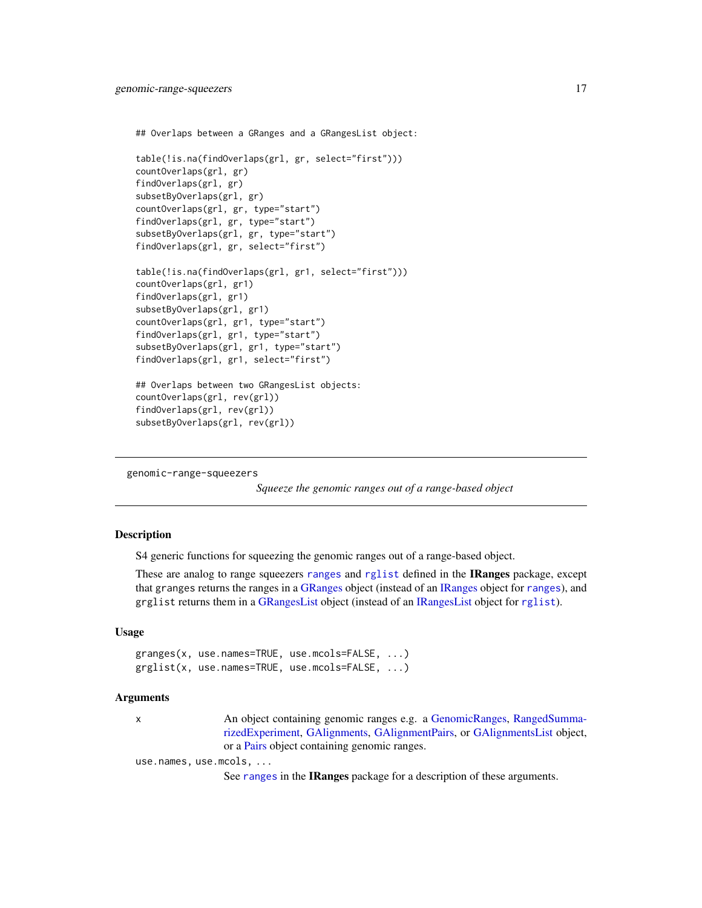```
## Overlaps between a GRanges and a GRangesList object:
table(!is.na(findOverlaps(grl, gr, select="first")))
countOverlaps(grl, gr)
findOverlaps(grl, gr)
subsetByOverlaps(grl, gr)
countOverlaps(grl, gr, type="start")
findOverlaps(grl, gr, type="start")
subsetByOverlaps(grl, gr, type="start")
findOverlaps(grl, gr, select="first")
table(!is.na(findOverlaps(grl, gr1, select="first")))
countOverlaps(grl, gr1)
findOverlaps(grl, gr1)
subsetByOverlaps(grl, gr1)
countOverlaps(grl, gr1, type="start")
findOverlaps(grl, gr1, type="start")
subsetByOverlaps(grl, gr1, type="start")
findOverlaps(grl, gr1, select="first")
## Overlaps between two GRangesList objects:
countOverlaps(grl, rev(grl))
findOverlaps(grl, rev(grl))
```
genomic-range-squeezers

subsetByOverlaps(grl, rev(grl))

*Squeeze the genomic ranges out of a range-based object*

## Description

S4 generic functions for squeezing the genomic ranges out of a range-based object.

These are analog to range squeezers [ranges](#page-0-0) and [rglist](#page-0-0) defined in the IRanges package, except that granges returns the ranges in a [GRanges](#page-35-1) object (instead of an [IRanges](#page-0-0) object for [ranges](#page-0-0)), and grglist returns them in a [GRangesList](#page-45-1) object (instead of an [IRangesList](#page-0-0) object for [rglist](#page-0-0)).

## Usage

```
granges(x, use.names=TRUE, use.mcols=FALSE, ...)
grglist(x, use.names=TRUE, use.mcols=FALSE, ...)
```
## Arguments

x An object containing genomic ranges e.g. a [GenomicRanges,](#page-35-1) [RangedSumma](#page-0-0)[rizedExperiment,](#page-0-0) [GAlignments,](#page-0-0) [GAlignmentPairs,](#page-0-0) or [GAlignmentsList](#page-0-0) object, or a [Pairs](#page-0-0) object containing genomic ranges.

use.names, use.mcols, ...

See [ranges](#page-0-0) in the IRanges package for a description of these arguments.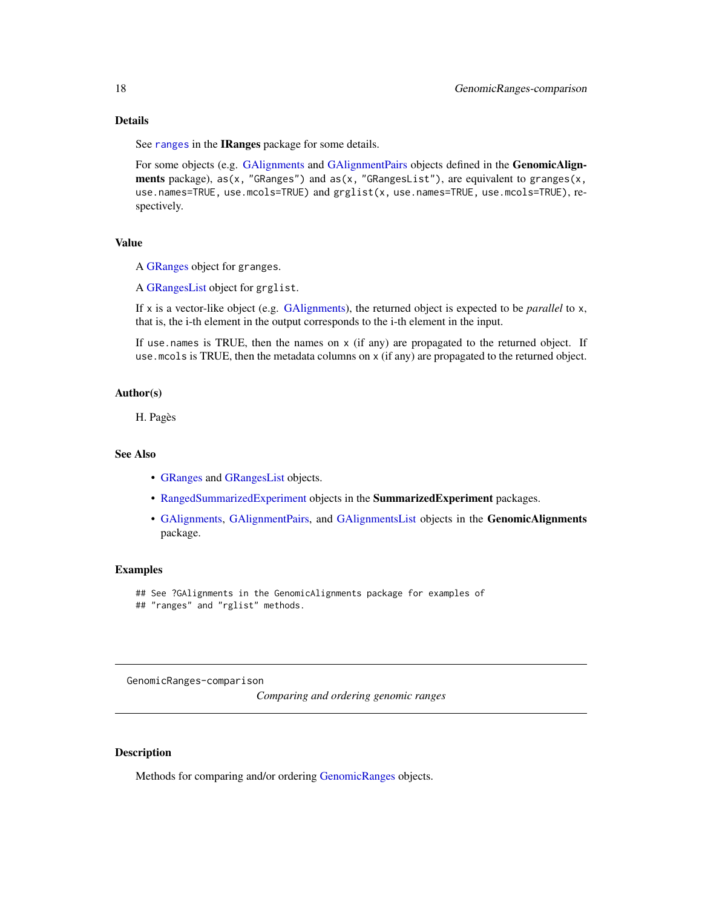## <span id="page-17-0"></span>Details

See [ranges](#page-0-0) in the IRanges package for some details.

For some objects (e.g. [GAlignments](#page-0-0) and [GAlignmentPairs](#page-0-0) objects defined in the GenomicAlignments package),  $as(x, "GRanges")$  and  $as(x, "GRangesList")$ , are equivalent to granges $(x, x)$ use.names=TRUE, use.mcols=TRUE) and grglist(x, use.names=TRUE, use.mcols=TRUE), respectively.

## Value

A [GRanges](#page-35-1) object for granges.

A [GRangesList](#page-45-1) object for grglist.

If x is a vector-like object (e.g. [GAlignments\)](#page-0-0), the returned object is expected to be *parallel* to x, that is, the i-th element in the output corresponds to the i-th element in the input.

If use names is TRUE, then the names on  $x$  (if any) are propagated to the returned object. If use.mcols is TRUE, then the metadata columns on x (if any) are propagated to the returned object.

## Author(s)

H. Pagès

## See Also

- [GRanges](#page-35-1) and [GRangesList](#page-45-1) objects.
- [RangedSummarizedExperiment](#page-0-0) objects in the SummarizedExperiment packages.
- [GAlignments,](#page-0-0) [GAlignmentPairs,](#page-0-0) and [GAlignmentsList](#page-0-0) objects in the GenomicAlignments package.

#### Examples

## See ?GAlignments in the GenomicAlignments package for examples of ## "ranges" and "rglist" methods.

<span id="page-17-1"></span>GenomicRanges-comparison

*Comparing and ordering genomic ranges*

#### Description

Methods for comparing and/or ordering [GenomicRanges](#page-35-1) objects.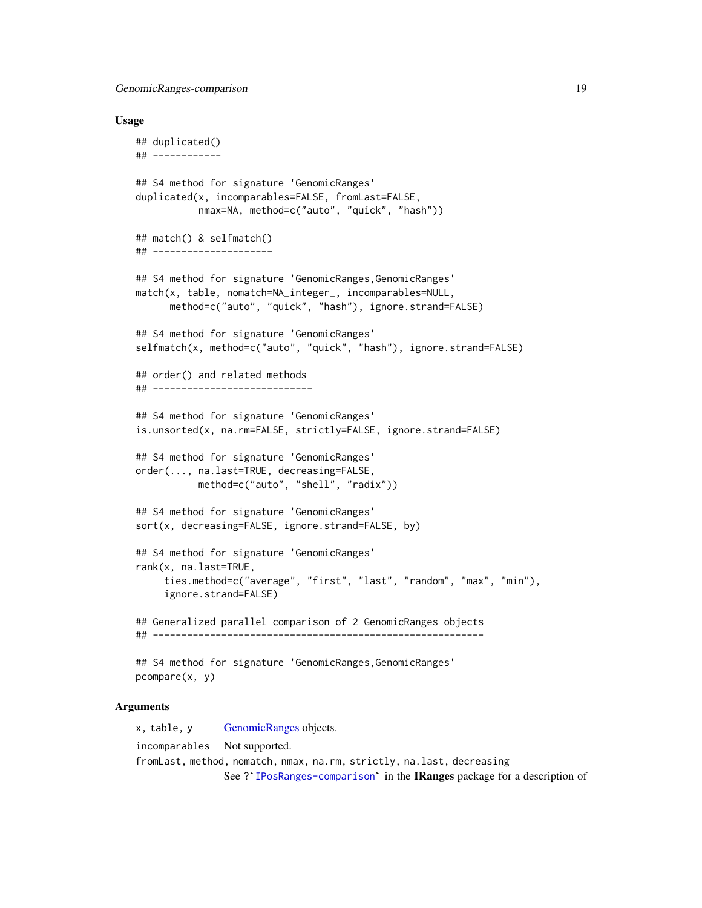GenomicRanges-comparison 19

#### Usage

```
## duplicated()
## ------------
## S4 method for signature 'GenomicRanges'
duplicated(x, incomparables=FALSE, fromLast=FALSE,
           nmax=NA, method=c("auto", "quick", "hash"))
## match() & selfmatch()
## ---------------------
## S4 method for signature 'GenomicRanges, GenomicRanges'
match(x, table, nomatch=NA_integer_, incomparables=NULL,
      method=c("auto", "quick", "hash"), ignore.strand=FALSE)
## S4 method for signature 'GenomicRanges'
selfmatch(x, method=c("auto", "quick", "hash"), ignore.strand=FALSE)
## order() and related methods
## ----------------------------
## S4 method for signature 'GenomicRanges'
is.unsorted(x, na.rm=FALSE, strictly=FALSE, ignore.strand=FALSE)
## S4 method for signature 'GenomicRanges'
order(..., na.last=TRUE, decreasing=FALSE,
           method=c("auto", "shell", "radix"))
## S4 method for signature 'GenomicRanges'
sort(x, decreasing=FALSE, ignore.strand=FALSE, by)
## S4 method for signature 'GenomicRanges'
rank(x, na.last=TRUE,
     ties.method=c("average", "first", "last", "random", "max", "min"),
     ignore.strand=FALSE)
## Generalized parallel comparison of 2 GenomicRanges objects
## ----------------------------------------------------------
## S4 method for signature 'GenomicRanges, GenomicRanges'
pcompare(x, y)
```
## Arguments

x, table, y [GenomicRanges](#page-35-1) objects. incomparables Not supported. fromLast, method, nomatch, nmax, na.rm, strictly, na.last, decreasing See ?`[IPosRanges-comparison](#page-0-0)` in the IRanges package for a description of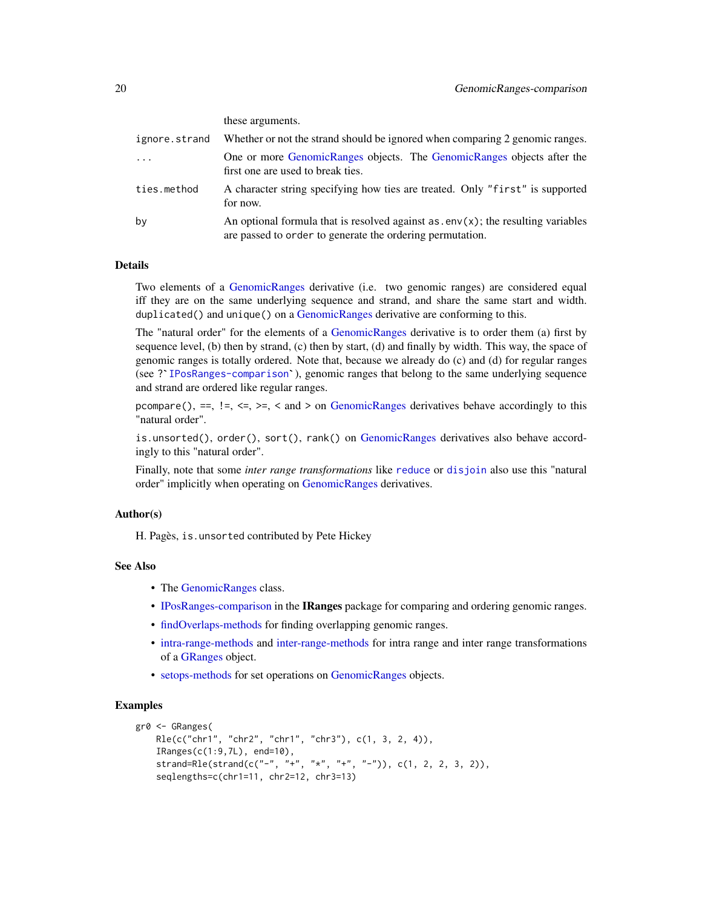| ignore.strand | Whether or not the strand should be ignored when comparing 2 genomic ranges.                                                                    |
|---------------|-------------------------------------------------------------------------------------------------------------------------------------------------|
| $\cdot$       | One or more GenomicRanges objects. The GenomicRanges objects after the<br>first one are used to break ties.                                     |
| ties.method   | A character string specifying how ties are treated. Only "first" is supported<br>for now.                                                       |
| by            | An optional formula that is resolved against $as.env(x)$ ; the resulting variables<br>are passed to order to generate the ordering permutation. |

## Details

Two elements of a [GenomicRanges](#page-35-1) derivative (i.e. two genomic ranges) are considered equal iff they are on the same underlying sequence and strand, and share the same start and width. duplicated() and unique() on a [GenomicRanges](#page-35-1) derivative are conforming to this.

The "natural order" for the elements of a [GenomicRanges](#page-35-1) derivative is to order them (a) first by sequence level, (b) then by strand, (c) then by start, (d) and finally by width. This way, the space of genomic ranges is tot sequence level, (b) then by strand, (c) then by start, (d) and finally by width. This way, the space of genomic ranges is totally ordered. Note that, because we already do (c) and (d) for regular ranges and strand are ordered like regular ranges.

pcompare(), ==,  $!=, \leq, \leq, \leq$  and  $\geq$  on [GenomicRanges](#page-35-1) derivatives behave accordingly to this "natural order".

is.unsorted(), order(), sort(), rank() on [GenomicRanges](#page-35-1) derivatives also behave accordingly to this "natural order".

Finally, note that some *inter range transformations* like [reduce](#page-50-1) or [disjoin](#page-50-1) also use this "natural order" implicitly when operating on [GenomicRanges](#page-35-1) derivatives.

## Author(s)

H. Pagès, is.unsorted contributed by Pete Hickey

## See Also

- The [GenomicRanges](#page-35-1) class.
- [IPosRanges-comparison](#page-0-0) in the IRanges package for comparing and ordering genomic ranges.
- [findOverlaps-methods](#page-13-2) for finding overlapping genomic ranges.
- [intra-range-methods](#page-54-1) and [inter-range-methods](#page-50-2) for intra range and inter range transformations of a [GRanges](#page-35-1) object.
- [setops-methods](#page-67-1) for set operations on [GenomicRanges](#page-35-1) objects.

## Examples

```
gr0 <- GRanges(
   Rle(c("chr1", "chr2", "chr1", "chr3"), c(1, 3, 2, 4)),
    IRanges(c(1:9,7L), end=10),
   strand=Rle(strand(c("-", "+", "*", "+", "-")), c(1, 2, 2, 3, 2)),
    seqlengths=c(chr1=11, chr2=12, chr3=13)
```
#### these arguments.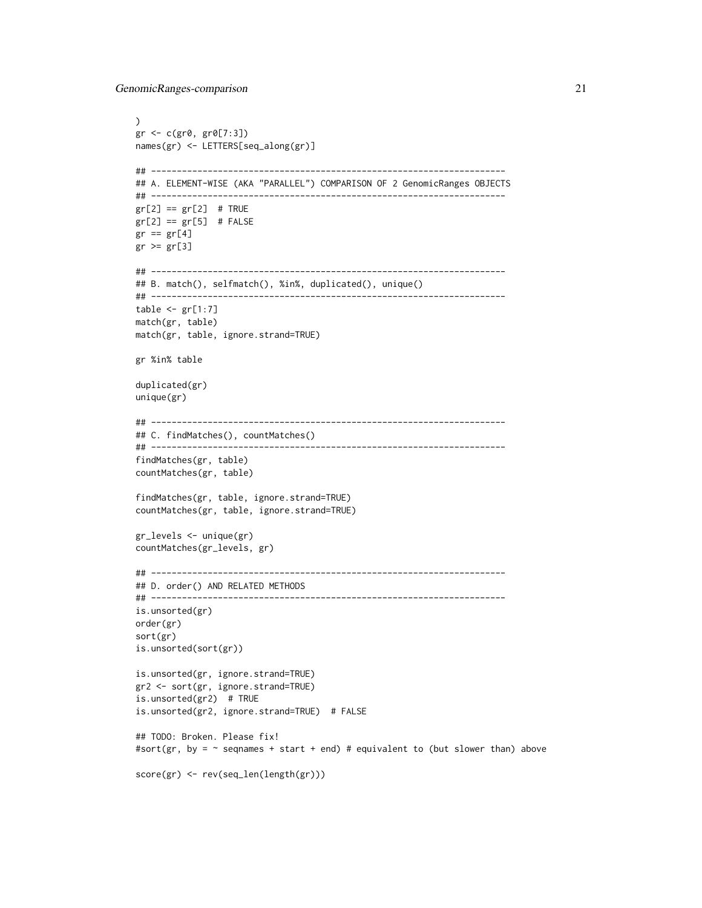```
\mathcal{L}gr <- c(gr0, gr0[7:3])
names(gr) <- LETTERS[seq_along(gr)]
## ---------------------------------------------------------------------
## A. ELEMENT-WISE (AKA "PARALLEL") COMPARISON OF 2 GenomicRanges OBJECTS
## ---------------------------------------------------------------------
gr[2] == gr[2] # TRUEgr[2] == gr[5] # FALSEgr == gr[4]gr \geq gr[3]## ---------------------------------------------------------------------
## B. match(), selfmatch(), %in%, duplicated(), unique()
## ---------------------------------------------------------------------
table < - gr[1:7]match(gr, table)
match(gr, table, ignore.strand=TRUE)
gr %in% table
duplicated(gr)
unique(gr)
## ---------------------------------------------------------------------
## C. findMatches(), countMatches()
## ---------------------------------------------------------------------
findMatches(gr, table)
countMatches(gr, table)
findMatches(gr, table, ignore.strand=TRUE)
countMatches(gr, table, ignore.strand=TRUE)
gr_levels <- unique(gr)
countMatches(gr_levels, gr)
## ---------------------------------------------------------------------
## D. order() AND RELATED METHODS
## ---------------------------------------------------------------------
is.unsorted(gr)
order(gr)
sort(gr)
is.unsorted(sort(gr))
is.unsorted(gr, ignore.strand=TRUE)
gr2 <- sort(gr, ignore.strand=TRUE)
is.unsorted(gr2) # TRUE
is.unsorted(gr2, ignore.strand=TRUE) # FALSE
## TODO: Broken. Please fix!
#sort(gr, by = \sim seqnames + start + end) # equivalent to (but slower than) above
score(gr) <- rev(seq_len(length(gr)))
```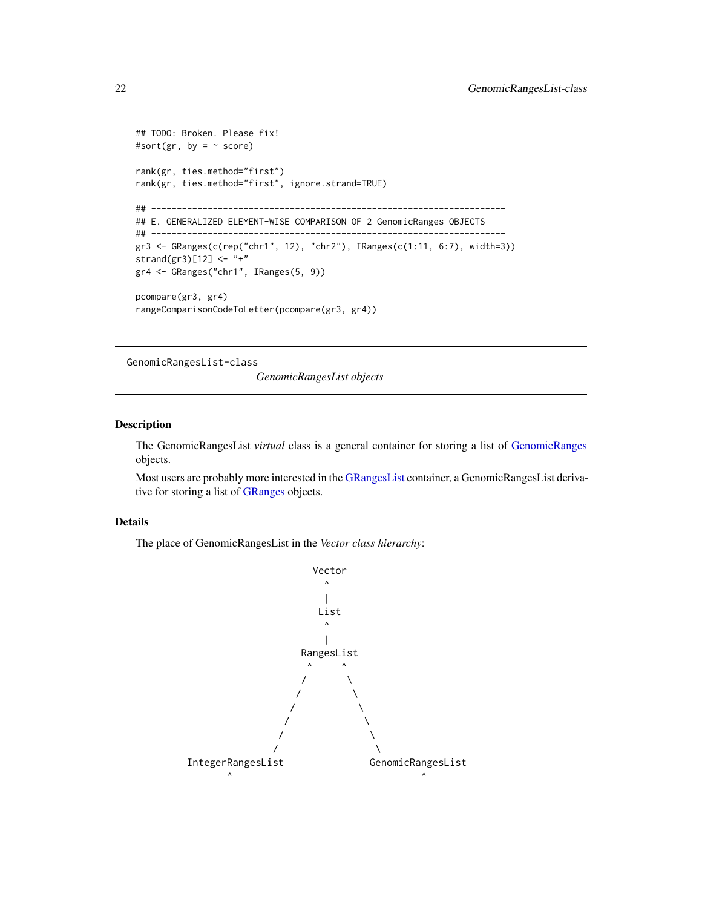```
## TODO: Broken. Please fix!
#sort(gr, by = ~ ~score)
rank(gr, ties.method="first")
rank(gr, ties.method="first", ignore.strand=TRUE)
## ---------------------------------------------------------------------
## E. GENERALIZED ELEMENT-WISE COMPARISON OF 2 GenomicRanges OBJECTS
## ---------------------------------------------------------------------
gr3 <- GRanges(c(rep("chr1", 12), "chr2"), IRanges(c(1:11, 6:7), width=3))
strand(gr3)[12] <- "+"
gr4 <- GRanges("chr1", IRanges(5, 9))
pcompare(gr3, gr4)
rangeComparisonCodeToLetter(pcompare(gr3, gr4))
```
GenomicRangesList-class

*GenomicRangesList objects*

## Description

The GenomicRangesList *virtual* class is a general container for storing a list of [GenomicRanges](#page-35-1) objects.

Most users are probably more interested in the [GRangesList](#page-45-1) container, a GenomicRangesList derivative for storing a list of [GRanges](#page-35-1) objects.

## Details

The place of GenomicRangesList in the *Vector class hierarchy*:



<span id="page-21-0"></span>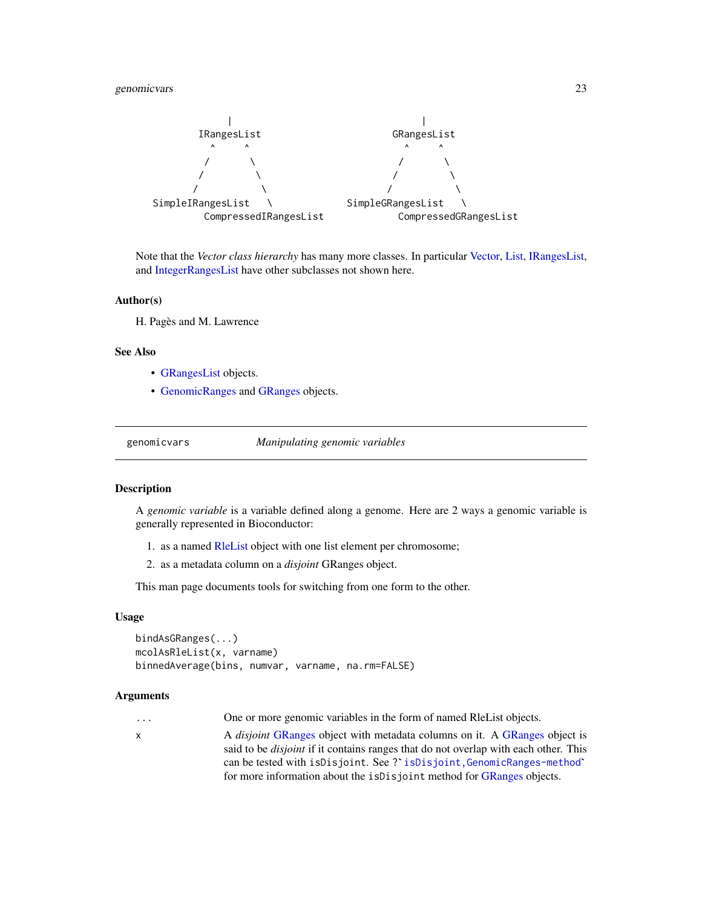## <span id="page-22-0"></span>genomicvars 23



Note that the *Vector class hierarchy* has many more classes. In particular [Vector,](#page-0-0) [List,](#page-0-0) [IRangesList,](#page-0-0) and [IntegerRangesList](#page-0-0) have other subclasses not shown here.

## Author(s)

H. Pagès and M. Lawrence

## See Also

- [GRangesList](#page-45-1) objects.
- [GenomicRanges](#page-35-1) and [GRanges](#page-35-1) objects.

<span id="page-22-1"></span>genomicvars *Manipulating genomic variables*

## Description

A *genomic variable* is a variable defined along a genome. Here are 2 ways a genomic variable is generally represented in Bioconductor:

- 1. as a named [RleList](#page-0-0) object with one list element per chromosome;
- 2. as a metadata column on a *disjoint* GRanges object.

This man page documents tools for switching from one form to the other.

#### Usage

```
bindAsGRanges(...)
mcolAsRleList(x, varname)
binnedAverage(bins, numvar, varname, na.rm=FALSE)
```
## Arguments

... One or more genomic variables in the form of named RleList objects.

x A *disjoint* [GRanges](#page-35-1) object with metadata columns on it. A [GRanges](#page-35-1) object is said to be *disjoint* if it contains ranges that do not overlap with each other. This can be tested with isDisjoint. See ? isDisjoint, GenomicRanges-method` for more information about the isDisjoint method for [GRanges](#page-35-1) objects.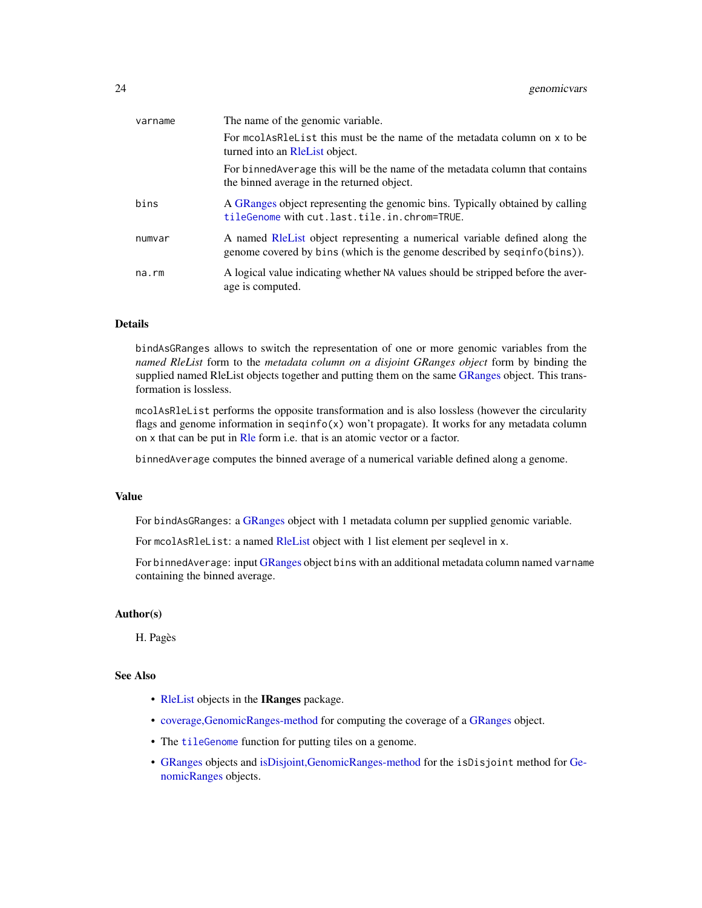| varname | The name of the genomic variable.                                                                                                                       |
|---------|---------------------------------------------------------------------------------------------------------------------------------------------------------|
|         | For modes helphalist this must be the name of the metadata column on x to be<br>turned into an Relaist object.                                          |
|         | For binned Average this will be the name of the metadata column that contains<br>the binned average in the returned object.                             |
| bins    | A GRanges object representing the genomic bins. Typically obtained by calling<br>tileGenome with cut.last.tile.in.chrom=TRUE.                           |
| numvar  | A named RIEL ist object representing a numerical variable defined along the<br>genome covered by bins (which is the genome described by seqinfo(bins)). |
| na.rm   | A logical value indicating whether NA values should be stripped before the aver-<br>age is computed.                                                    |

## Details

bindAsGRanges allows to switch the representation of one or more genomic variables from the *named RleList* form to the *metadata column on a disjoint GRanges object* form by binding the supplied named RleList objects together and putting them on the same [GRanges](#page-35-1) object. This transformation is lossless.

mcolAsRleList performs the opposite transformation and is also lossless (however the circularity flags and genome information in  $seqinfo(x)$  won't propagate). It works for any metadata column on x that can be put in [Rle](#page-0-0) form i.e. that is an atomic vector or a factor.

binnedAverage computes the binned average of a numerical variable defined along a genome.

#### Value

For bindAs[GRanges](#page-35-1): a GRanges object with 1 metadata column per supplied genomic variable.

For mcolAs[RleList](#page-0-0): a named RleList object with 1 list element per seqlevel in x.

For binnedAverage: input [GRanges](#page-35-1) object bins with an additional metadata column named varname containing the binned average.

## Author(s)

H. Pagès

## See Also

- [RleList](#page-0-0) objects in the IRanges package.
- [coverage,GenomicRanges-method](#page-11-1) for computing the coverage of a [GRanges](#page-35-1) object.
- The [tileGenome](#page-76-1) function for putting tiles on a genome.
- [GRanges](#page-35-1) objects and [isDisjoint,GenomicRanges-method](#page-50-1) for the isDisjoint method for [Ge](#page-35-1)[nomicRanges](#page-35-1) objects.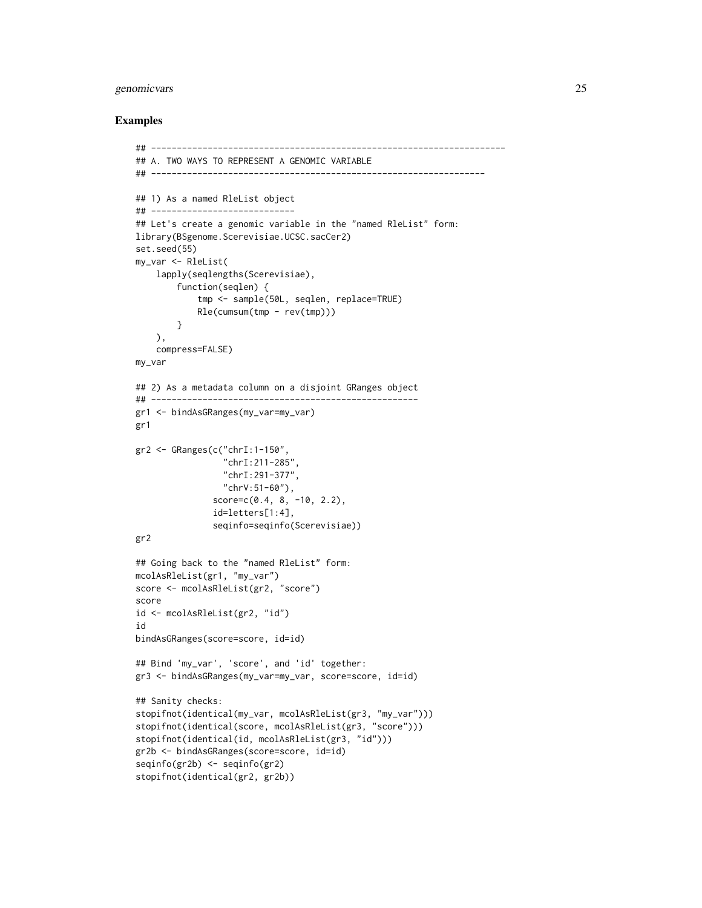## genomicvars 25

## Examples

```
## ---------------------------------------------------------------------
## A. TWO WAYS TO REPRESENT A GENOMIC VARIABLE
## -----------------------------------------------------------------
## 1) As a named RleList object
## ----------------------------
## Let's create a genomic variable in the "named RleList" form:
library(BSgenome.Scerevisiae.UCSC.sacCer2)
set.seed(55)
my_var <- RleList(
    lapply(seqlengths(Scerevisiae),
        function(seqlen) {
            tmp <- sample(50L, seqlen, replace=TRUE)
            Rle(cumsum(tmp - rev(tmp)))}
   ),
    compress=FALSE)
my_var
## 2) As a metadata column on a disjoint GRanges object
## ----------------------------------------------------
gr1 <- bindAsGRanges(my_var=my_var)
gr1
gr2 <- GRanges(c("chrI:1-150",
                 "chrI:211-285",
                 "chrI:291-377",
                 "chrV:51-60"),
               score=c(0.4, 8, -10, 2.2),
               id=letters[1:4],
               seqinfo=seqinfo(Scerevisiae))
gr2
## Going back to the "named RleList" form:
mcolAsRleList(gr1, "my_var")
score <- mcolAsRleList(gr2, "score")
score
id <- mcolAsRleList(gr2, "id")
id
bindAsGRanges(score=score, id=id)
## Bind 'my_var', 'score', and 'id' together:
gr3 <- bindAsGRanges(my_var=my_var, score=score, id=id)
## Sanity checks:
stopifnot(identical(my_var, mcolAsRleList(gr3, "my_var")))
stopifnot(identical(score, mcolAsRleList(gr3, "score")))
stopifnot(identical(id, mcolAsRleList(gr3, "id")))
gr2b <- bindAsGRanges(score=score, id=id)
seqinfo(gr2b) <- seqinfo(gr2)
stopifnot(identical(gr2, gr2b))
```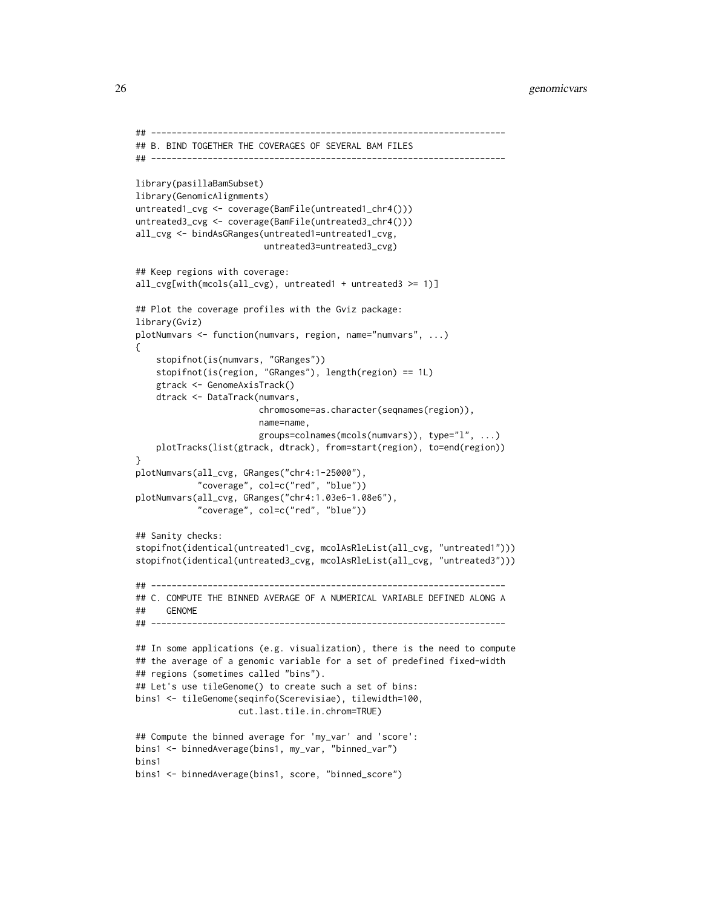```
## ---------------------------------------------------------------------
## B. BIND TOGETHER THE COVERAGES OF SEVERAL BAM FILES
## ---------------------------------------------------------------------
library(pasillaBamSubset)
library(GenomicAlignments)
untreated1_cvg <- coverage(BamFile(untreated1_chr4()))
untreated3_cvg <- coverage(BamFile(untreated3_chr4()))
all_cvg <- bindAsGRanges(untreated1=untreated1_cvg,
                        untreated3=untreated3_cvg)
## Keep regions with coverage:
all_cvg[with(mcols(all_cvg), untreated1 + untreated3 >= 1)]
## Plot the coverage profiles with the Gviz package:
library(Gviz)
plotNumvars <- function(numvars, region, name="numvars", ...)
{
    stopifnot(is(numvars, "GRanges"))
   stopifnot(is(region, "GRanges"), length(region) == 1L)
   gtrack <- GenomeAxisTrack()
   dtrack <- DataTrack(numvars,
                        chromosome=as.character(seqnames(region)),
                        name=name,
                        groups=colnames(mcols(numvars)), type="l", ...)
    plotTracks(list(gtrack, dtrack), from=start(region), to=end(region))
}
plotNumvars(all_cvg, GRanges("chr4:1-25000"),
            "coverage", col=c("red", "blue"))
plotNumvars(all_cvg, GRanges("chr4:1.03e6-1.08e6"),
            "coverage", col=c("red", "blue"))
## Sanity checks:
stopifnot(identical(untreated1_cvg, mcolAsRleList(all_cvg, "untreated1")))
stopifnot(identical(untreated3_cvg, mcolAsRleList(all_cvg, "untreated3")))
## ---------------------------------------------------------------------
## C. COMPUTE THE BINNED AVERAGE OF A NUMERICAL VARIABLE DEFINED ALONG A
## GENOME
## ---------------------------------------------------------------------
## In some applications (e.g. visualization), there is the need to compute
## the average of a genomic variable for a set of predefined fixed-width
## regions (sometimes called "bins").
## Let's use tileGenome() to create such a set of bins:
bins1 <- tileGenome(seqinfo(Scerevisiae), tilewidth=100,
                    cut.last.tile.in.chrom=TRUE)
## Compute the binned average for 'my_var' and 'score':
bins1 <- binnedAverage(bins1, my_var, "binned_var")
bins1
bins1 <- binnedAverage(bins1, score, "binned_score")
```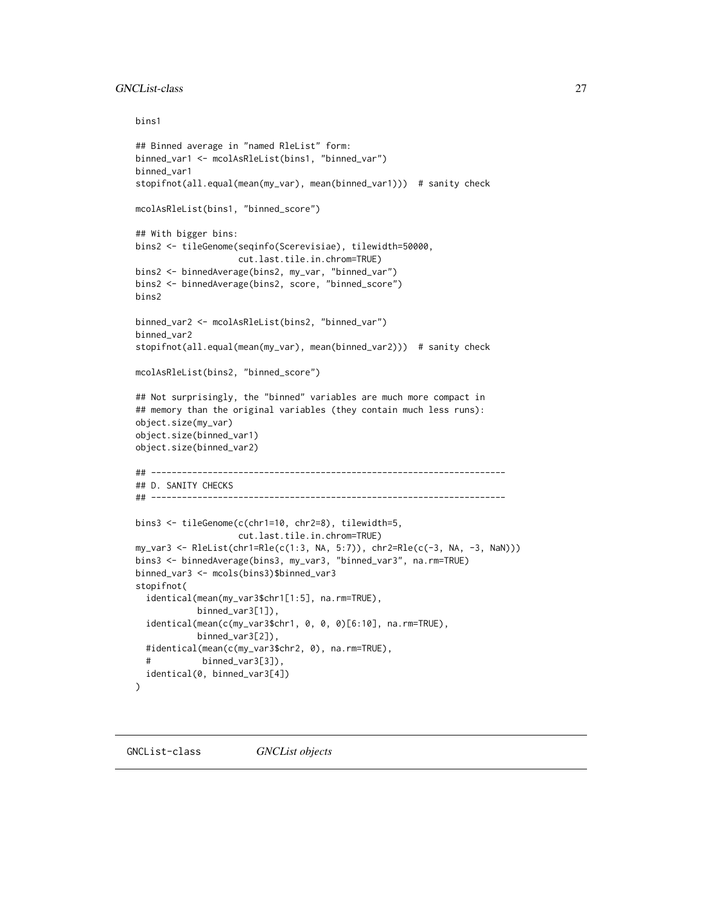## <span id="page-26-0"></span>GNCList-class 27

bins1

```
## Binned average in "named RleList" form:
binned_var1 <- mcolAsRleList(bins1, "binned_var")
binned_var1
stopifnot(all.equal(mean(my_var), mean(binned_var1))) # sanity check
mcolAsRleList(bins1, "binned_score")
## With bigger bins:
bins2 <- tileGenome(seqinfo(Scerevisiae), tilewidth=50000,
                    cut.last.tile.in.chrom=TRUE)
bins2 <- binnedAverage(bins2, my_var, "binned_var")
bins2 <- binnedAverage(bins2, score, "binned_score")
bins2
binned_var2 <- mcolAsRleList(bins2, "binned_var")
binned_var2
stopifnot(all.equal(mean(my_var), mean(binned_var2))) # sanity check
mcolAsRleList(bins2, "binned_score")
## Not surprisingly, the "binned" variables are much more compact in
## memory than the original variables (they contain much less runs):
object.size(my_var)
object.size(binned_var1)
object.size(binned_var2)
## ---------------------------------------------------------------------
## D. SANITY CHECKS
## ---------------------------------------------------------------------
bins3 <- tileGenome(c(chr1=10, chr2=8), tilewidth=5,
                    cut.last.tile.in.chrom=TRUE)
my_var3 <- RleList(chr1=Rle(c(1:3, NA, 5:7)), chr2=Rle(c(-3, NA, -3, NaN)))
bins3 <- binnedAverage(bins3, my_var3, "binned_var3", na.rm=TRUE)
binned_var3 <- mcols(bins3)$binned_var3
stopifnot(
 identical(mean(my_var3$chr1[1:5], na.rm=TRUE),
            binned_var3[1]),
 identical(mean(c(my_var3$chr1, 0, 0, 0)[6:10], na.rm=TRUE),
            binned_var3[2]),
 #identical(mean(c(my_var3$chr2, 0), na.rm=TRUE),
 # binned_var3[3]),
 identical(0, binned_var3[4])
)
```
<span id="page-26-1"></span>GNCList-class *GNCList objects*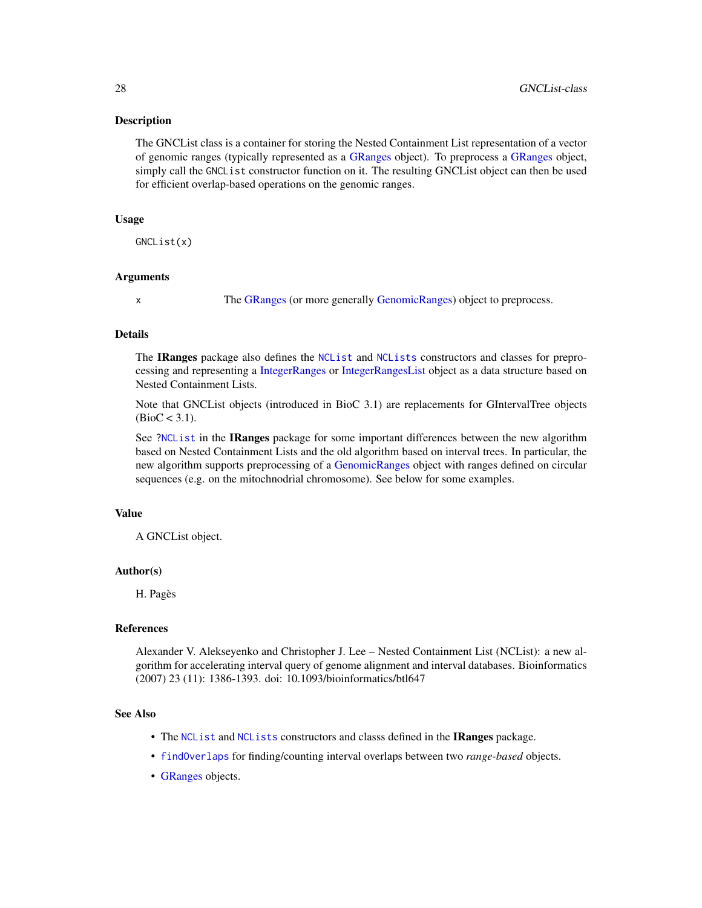## Description

The GNCList class is a container for storing the Nested Containment List representation of a vector of genomic ranges (typically represented as a [GRanges](#page-35-1) object). To preprocess a [GRanges](#page-35-1) object, simply call the GNCList constructor function on it. The resulting GNCList object can then be used for efficient overlap-based operations on the genomic ranges.

## Usage

GNCList(x)

## Arguments

x The [GRanges](#page-35-1) (or more generally [GenomicRanges\)](#page-35-1) object to preprocess.

## Details

The IRanges package also defines the [NCList](#page-0-0) and [NCLists](#page-0-0) constructors and classes for preprocessing and representing a [IntegerRanges](#page-0-0) or [IntegerRangesList](#page-0-0) object as a data structure based on Nested Containment Lists.

Note that GNCList objects (introduced in BioC 3.1) are replacements for GIntervalTree objects  $(BioC < 3.1)$ .

See [?NCList](#page-0-0) in the **IRanges** package for some important differences between the new algorithm based on Nested Containment Lists and the old algorithm based on interval trees. In particular, the new algorithm supports preprocessing of a [GenomicRanges](#page-35-1) object with ranges defined on circular sequences (e.g. on the mitochnodrial chromosome). See below for some examples.

## Value

A GNCList object.

#### Author(s)

H. Pagès

## References

Alexander V. Alekseyenko and Christopher J. Lee – Nested Containment List (NCList): a new algorithm for accelerating interval query of genome alignment and interval databases. Bioinformatics (2007) 23 (11): 1386-1393. doi: 10.1093/bioinformatics/btl647

## See Also

- The [NCList](#page-0-0) and [NCLists](#page-0-0) constructors and classs defined in the IRanges package.
- [findOverlaps](#page-13-1) for finding/counting interval overlaps between two *range-based* objects.
- [GRanges](#page-35-1) objects.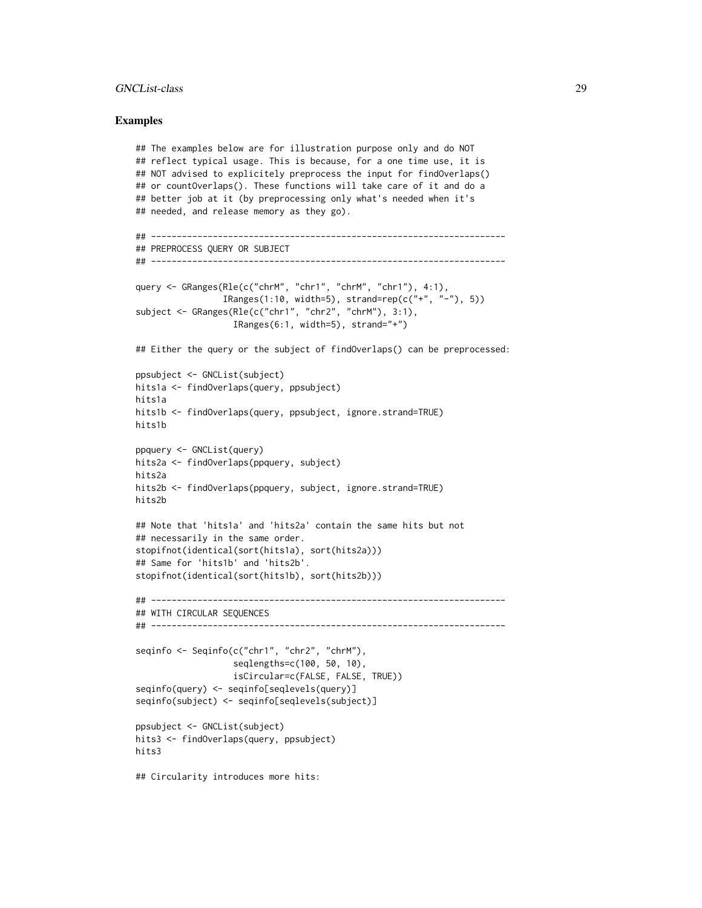## GNCList-class 29

## Examples

```
## The examples below are for illustration purpose only and do NOT
## reflect typical usage. This is because, for a one time use, it is
## NOT advised to explicitely preprocess the input for findOverlaps()
## or countOverlaps(). These functions will take care of it and do a
## better job at it (by preprocessing only what's needed when it's
## needed, and release memory as they go).
## ---------------------------------------------------------------------
## PREPROCESS QUERY OR SUBJECT
## ---------------------------------------------------------------------
query <- GRanges(Rle(c("chrM", "chr1", "chrM", "chr1"), 4:1),
                 IRanges(1:10, width=5), strand=rep(c("+", "-"), 5))
subject <- GRanges(Rle(c("chr1", "chr2", "chrM"), 3:1),
                  IRanges(6:1, width=5), strand="+")
## Either the query or the subject of findOverlaps() can be preprocessed:
ppsubject <- GNCList(subject)
hits1a <- findOverlaps(query, ppsubject)
hits1a
hits1b <- findOverlaps(query, ppsubject, ignore.strand=TRUE)
hits1b
ppquery <- GNCList(query)
hits2a <- findOverlaps(ppquery, subject)
hits2a
hits2b <- findOverlaps(ppquery, subject, ignore.strand=TRUE)
hits2b
## Note that 'hits1a' and 'hits2a' contain the same hits but not
## necessarily in the same order.
stopifnot(identical(sort(hits1a), sort(hits2a)))
## Same for 'hits1b' and 'hits2b'.
stopifnot(identical(sort(hits1b), sort(hits2b)))
## ---------------------------------------------------------------------
## WITH CIRCULAR SEQUENCES
## ---------------------------------------------------------------------
seqinfo <- Seqinfo(c("chr1", "chr2", "chrM"),
                   seqlengths=c(100, 50, 10),
                  isCircular=c(FALSE, FALSE, TRUE))
seqinfo(query) <- seqinfo[seqlevels(query)]
seqinfo(subject) <- seqinfo[seqlevels(subject)]
ppsubject <- GNCList(subject)
hits3 <- findOverlaps(query, ppsubject)
hits3
```
## Circularity introduces more hits: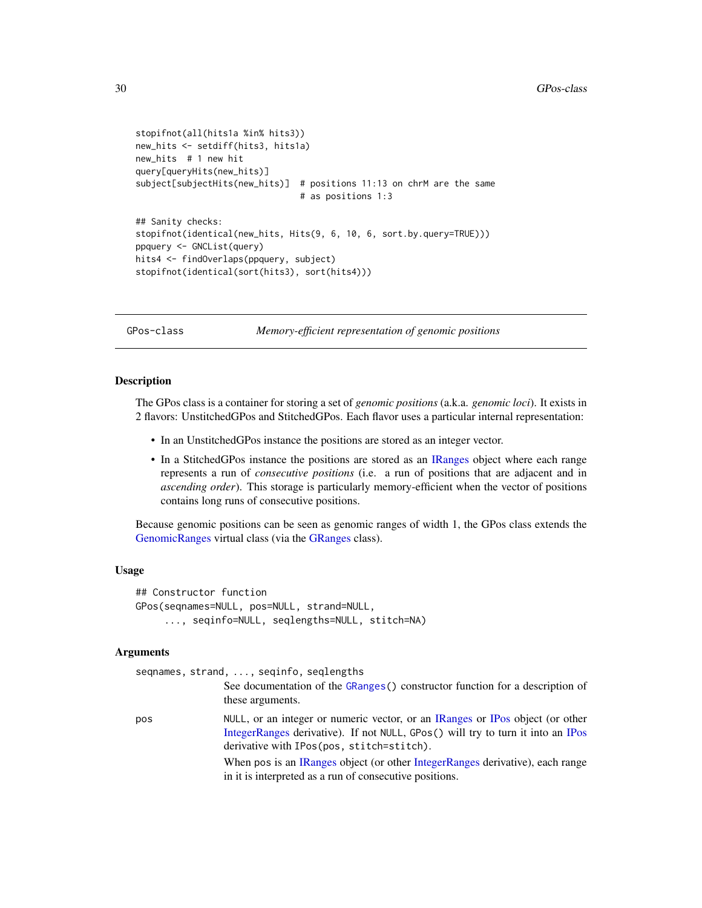```
stopifnot(all(hits1a %in% hits3))
new_hits <- setdiff(hits3, hits1a)
new_hits # 1 new hit
query[queryHits(new_hits)]
subject[subjectHits(new_hits)] # positions 11:13 on chrM are the same
                                # as positions 1:3
## Sanity checks:
stopifnot(identical(new_hits, Hits(9, 6, 10, 6, sort.by.query=TRUE)))
ppquery <- GNCList(query)
hits4 <- findOverlaps(ppquery, subject)
stopifnot(identical(sort(hits3), sort(hits4)))
```
GPos-class *Memory-efficient representation of genomic positions*

## <span id="page-29-1"></span>**Description**

The GPos class is a container for storing a set of *genomic positions* (a.k.a. *genomic loci*). It exists in 2 flavors: UnstitchedGPos and StitchedGPos. Each flavor uses a particular internal representation:

- In an UnstitchedGPos instance the positions are stored as an integer vector.
- In a StitchedGPos instance the positions are stored as an [IRanges](#page-0-0) object where each range represents a run of *consecutive positions* (i.e. a run of positions that are adjacent and in *ascending order*). This storage is particularly memory-efficient when the vector of positions contains long runs of consecutive positions.

Because genomic positions can be seen as genomic ranges of width 1, the GPos class extends the [GenomicRanges](#page-35-1) virtual class (via the [GRanges](#page-35-1) class).

## Usage

```
## Constructor function
GPos(seqnames=NULL, pos=NULL, strand=NULL,
     ..., seqinfo=NULL, seqlengths=NULL, stitch=NA)
```
#### **Arguments**

|     | seqnames, strand, , seqinfo, seqlengths                                                                                                                                                                       |
|-----|---------------------------------------------------------------------------------------------------------------------------------------------------------------------------------------------------------------|
|     | See documentation of the GRanges () constructor function for a description of<br>these arguments.                                                                                                             |
| pos | NULL, or an integer or numeric vector, or an IRanges or IPos object (or other<br>IntegerRanges derivative). If not NULL, GPos() will try to turn it into an IPos<br>derivative with IPos(pos, stitch=stitch). |
|     | When pos is an IRanges object (or other IntegerRanges derivative), each range<br>in it is interpreted as a run of consecutive positions.                                                                      |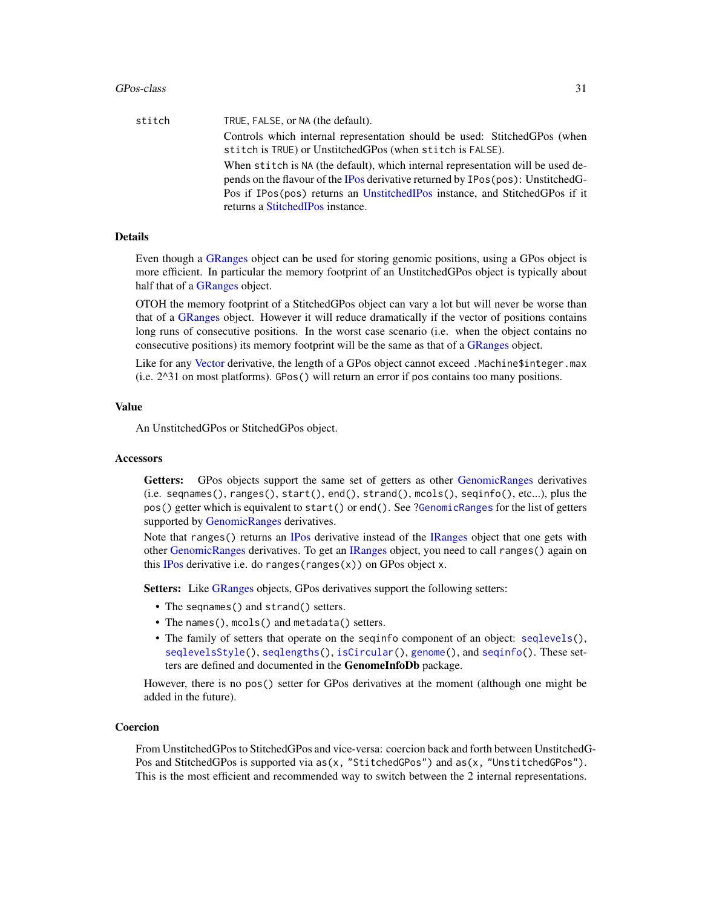## GPos-class 31

| stitch | TRUE, FALSE, or NA (the default).                                                                                                                                   |
|--------|---------------------------------------------------------------------------------------------------------------------------------------------------------------------|
|        | Controls which internal representation should be used: StitchedGPos (when<br>stitch is TRUE) or UnstitchedGPos (when stitch is FALSE).                              |
|        | When stitch is NA (the default), which internal representation will be used de-<br>pends on the flavour of the IPos derivative returned by IPos (pos): UnstitchedG- |
|        | Pos if IPos(pos) returns an UnstitchedIPos instance, and StitchedGPos if it                                                                                         |
|        | returns a StitchedIPos instance.                                                                                                                                    |

## Details

Even though a [GRanges](#page-35-1) object can be used for storing genomic positions, using a GPos object is more efficient. In particular the memory footprint of an UnstitchedGPos object is typically about half that of a [GRanges](#page-35-1) object.

OTOH the memory footprint of a StitchedGPos object can vary a lot but will never be worse than that of a [GRanges](#page-35-1) object. However it will reduce dramatically if the vector of positions contains long runs of consecutive positions. In the worst case scenario (i.e. when the object contains no consecutive positions) its memory footprint will be the same as that of a [GRanges](#page-35-1) object.

Like for any [Vector](#page-0-0) derivative, the length of a GPos object cannot exceed .Machine\$integer.max (i.e. 2^31 on most platforms). GPos() will return an error if pos contains too many positions.

## Value

An UnstitchedGPos or StitchedGPos object.

## **Accessors**

Getters: GPos objects support the same set of getters as other [GenomicRanges](#page-35-1) derivatives (i.e. seqnames(), ranges(), start(), end(), strand(), mcols(), seqinfo(), etc...), plus the pos() getter which is equivalent to start() or end(). See [?GenomicRanges](#page-35-1) for the list of getters supported by [GenomicRanges](#page-35-1) derivatives.

Note that ranges() returns an [IPos](#page-0-0) derivative instead of the [IRanges](#page-0-0) object that one gets with other [GenomicRanges](#page-35-1) derivatives. To get an [IRanges](#page-0-0) object, you need to call ranges() again on this [IPos](#page-0-0) derivative i.e. do ranges(ranges(x)) on GPos object x.

Setters: Like [GRanges](#page-35-1) objects, GPos derivatives support the following setters:

- The seqnames() and strand() setters.
- The names(), mcols() and metadata() setters.
- The family of setters that operate on the seqinfo component of an object: [seqlevels\(](#page-0-0)), [seqlevelsStyle\(](#page-0-0)), [seqlengths\(](#page-0-0)), [isCircular\(](#page-0-0)), [genome\(](#page-0-0)), and [seqinfo\(](#page-0-0)). These setters are defined and documented in the GenomeInfoDb package.

However, there is no pos() setter for GPos derivatives at the moment (although one might be added in the future).

## Coercion

From UnstitchedGPos to StitchedGPos and vice-versa: coercion back and forth between UnstitchedG-Pos and StitchedGPos is supported via as(x, "StitchedGPos") and as(x, "UnstitchedGPos"). This is the most efficient and recommended way to switch between the 2 internal representations.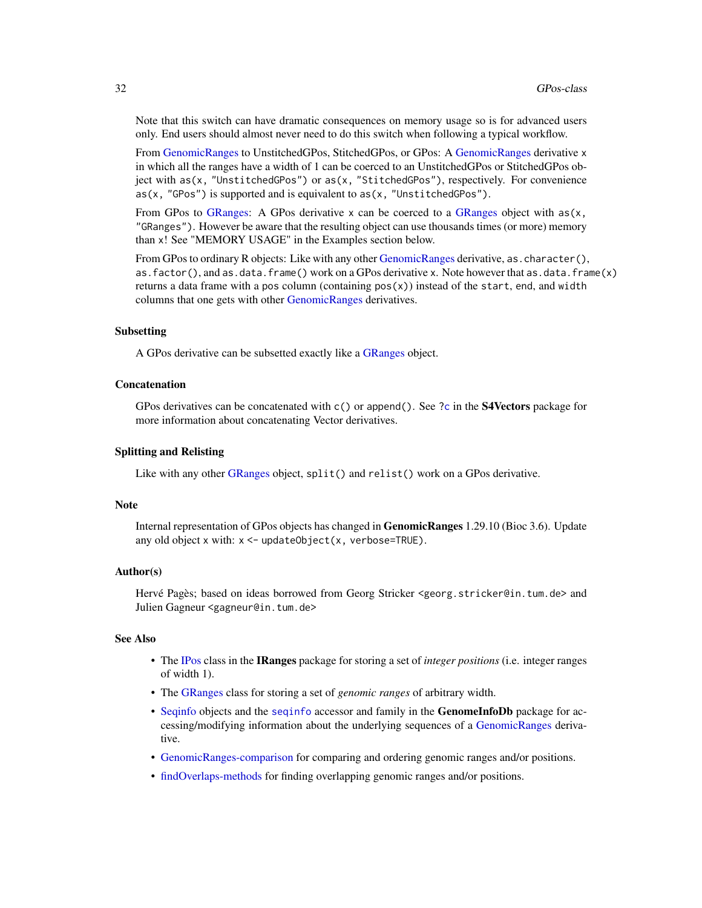Note that this switch can have dramatic consequences on memory usage so is for advanced users only. End users should almost never need to do this switch when following a typical workflow.

From [GenomicRanges](#page-35-1) to UnstitchedGPos, StitchedGPos, or GPos: A [GenomicRanges](#page-35-1) derivative x in which all the ranges have a width of 1 can be coerced to an UnstitchedGPos or StitchedGPos object with as(x, "UnstitchedGPos") or as(x, "StitchedGPos"), respectively. For convenience as(x, "GPos") is supported and is equivalent to as(x, "UnstitchedGPos").

From GPos to [GRanges:](#page-35-1) A GPos derivative x can be coerced to a [GRanges](#page-35-1) object with  $as(x,$ "GRanges"). However be aware that the resulting object can use thousands times (or more) memory than x! See "MEMORY USAGE" in the Examples section below.

From GPos to ordinary R objects: Like with any other [GenomicRanges](#page-35-1) derivative, as . character(), as.factor(), and as.data.frame() work on a GPos derivative x. Note however that as.data.frame(x) returns a data frame with a pos column (containing pos(x)) instead of the start, end, and width columns that one gets with other [GenomicRanges](#page-35-1) derivatives.

## Subsetting

A GPos derivative can be subsetted exactly like a [GRanges](#page-35-1) object.

## Concatenation

GPos derivatives can be concatenated with  $c()$  or append $()$ . See [?c](#page-0-0) in the **S4Vectors** package for more information about concatenating Vector derivatives.

## Splitting and Relisting

Like with any other [GRanges](#page-35-1) object, split() and relist() work on a GPos derivative.

## **Note**

Internal representation of GPos objects has changed in GenomicRanges 1.29.10 (Bioc 3.6). Update any old object x with:  $x < -$  updateObject(x, verbose=TRUE).

#### Author(s)

Hervé Pagès; based on ideas borrowed from Georg Stricker <georg.stricker@in.tum.de> and Julien Gagneur <gagneur@in.tum.de>

## See Also

- The [IPos](#page-0-0) class in the IRanges package for storing a set of *integer positions* (i.e. integer ranges of width 1).
- The [GRanges](#page-35-1) class for storing a set of *genomic ranges* of arbitrary width.
- [Seqinfo](#page-0-0) objects and the [seqinfo](#page-0-0) accessor and family in the GenomeInfoDb package for accessing/modifying information about the underlying sequences of a [GenomicRanges](#page-35-1) derivative.
- [GenomicRanges-comparison](#page-17-1) for comparing and ordering genomic ranges and/or positions.
- [findOverlaps-methods](#page-13-2) for finding overlapping genomic ranges and/or positions.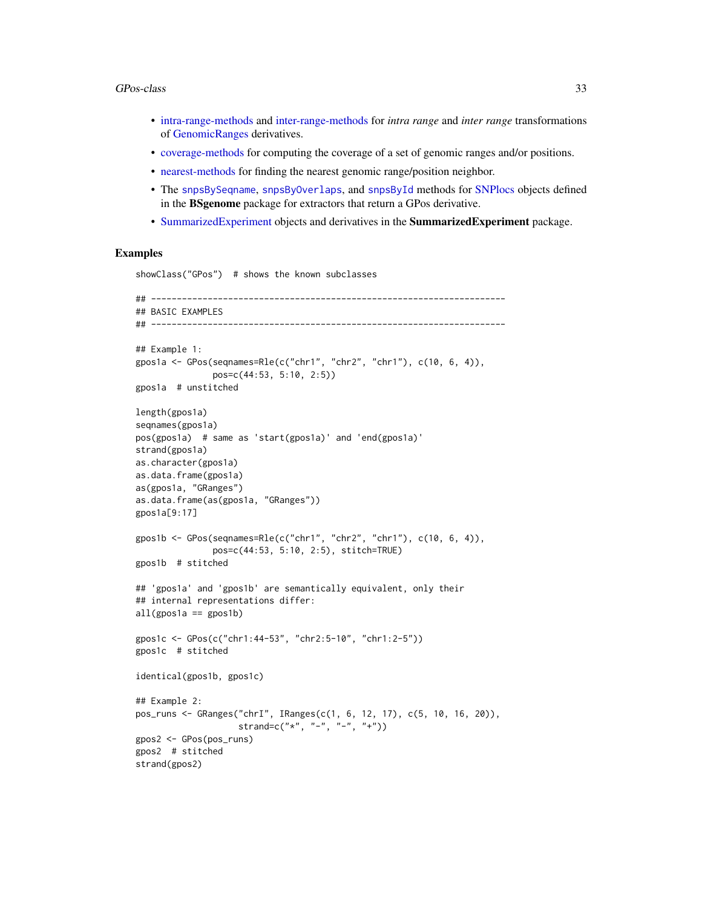### GPos-class 33

- [intra-range-methods](#page-54-1) and [inter-range-methods](#page-50-2) for *intra range* and *inter range* transformations of [GenomicRanges](#page-35-1) derivatives.
- [coverage-methods](#page-11-2) for computing the coverage of a set of genomic ranges and/or positions.
- [nearest-methods](#page-62-1) for finding the nearest genomic range/position neighbor.
- The [snpsBySeqname](#page-0-0), [snpsByOverlaps](#page-0-0), and [snpsById](#page-0-0) methods for [SNPlocs](#page-0-0) objects defined in the BSgenome package for extractors that return a GPos derivative.
- [SummarizedExperiment](#page-0-0) objects and derivatives in the SummarizedExperiment package.

## Examples

```
showClass("GPos") # shows the known subclasses
## ---------------------------------------------------------------------
## BASIC EXAMPLES
## ---------------------------------------------------------------------
## Example 1:
gpos1a <- GPos(seqnames=Rle(c("chr1", "chr2", "chr1"), c(10, 6, 4)),
              pos=c(44:53, 5:10, 2:5))
gpos1a # unstitched
length(gpos1a)
seqnames(gpos1a)
pos(gpos1a) # same as 'start(gpos1a)' and 'end(gpos1a)'
strand(gpos1a)
as.character(gpos1a)
as.data.frame(gpos1a)
as(gpos1a, "GRanges")
as.data.frame(as(gpos1a, "GRanges"))
gpos1a[9:17]
gpos1b <- GPos(seqnames=Rle(c("chr1", "chr2", "chr1"), c(10, 6, 4)),
               pos=c(44:53, 5:10, 2:5), stitch=TRUE)
gpos1b # stitched
## 'gpos1a' and 'gpos1b' are semantically equivalent, only their
## internal representations differ:
all(gpos1a == gpos1b)gpos1c <- GPos(c("chr1:44-53", "chr2:5-10", "chr1:2-5"))
gpos1c # stitched
identical(gpos1b, gpos1c)
## Example 2:
pos_runs <- GRanges("chrI", IRanges(c(1, 6, 12, 17), c(5, 10, 16, 20)),
                    strand=c("*", "-", "-", "+"))
gpos2 <- GPos(pos_runs)
gpos2 # stitched
strand(gpos2)
```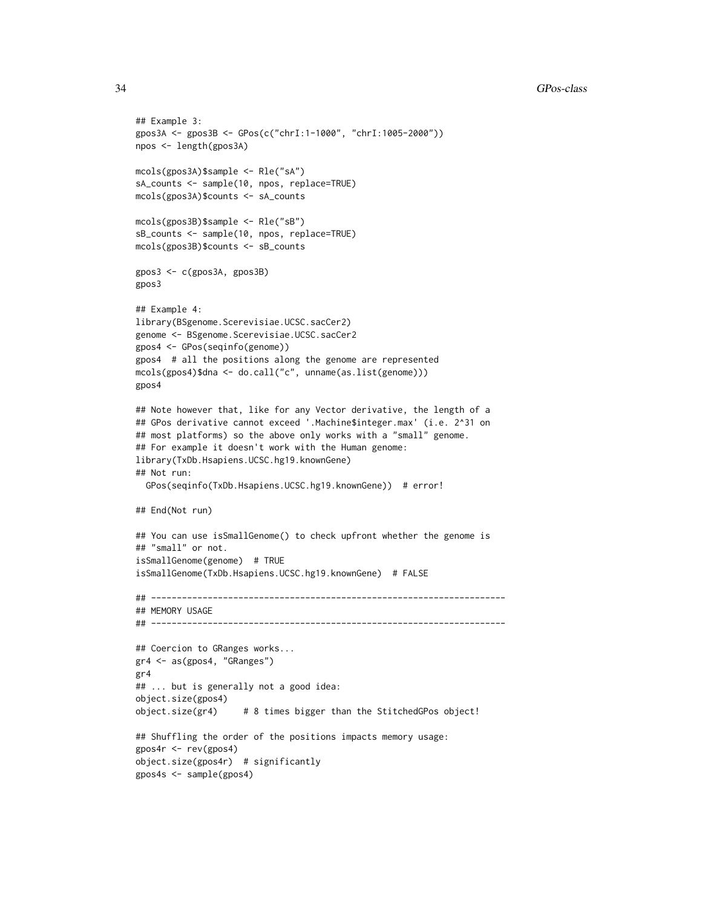```
## Example 3:
gpos3A <- gpos3B <- GPos(c("chrI:1-1000", "chrI:1005-2000"))
npos <- length(gpos3A)
mcols(gpos3A)$sample <- Rle("sA")
sA_counts <- sample(10, npos, replace=TRUE)
mcols(gpos3A)$counts <- sA_counts
mcols(gpos3B)$sample <- Rle("sB")
sB_counts <- sample(10, npos, replace=TRUE)
mcols(gpos3B)$counts <- sB_counts
gpos3 <- c(gpos3A, gpos3B)
gpos3
## Example 4:
library(BSgenome.Scerevisiae.UCSC.sacCer2)
genome <- BSgenome.Scerevisiae.UCSC.sacCer2
gpos4 <- GPos(seqinfo(genome))
gpos4 # all the positions along the genome are represented
mcols(gpos4)$dna <- do.call("c", unname(as.list(genome)))
gpos4
## Note however that, like for any Vector derivative, the length of a
## GPos derivative cannot exceed '.Machine$integer.max' (i.e. 2^31 on
## most platforms) so the above only works with a "small" genome.
## For example it doesn't work with the Human genome:
library(TxDb.Hsapiens.UCSC.hg19.knownGene)
## Not run:
  GPos(seqinfo(TxDb.Hsapiens.UCSC.hg19.knownGene)) # error!
## End(Not run)
## You can use isSmallGenome() to check upfront whether the genome is
## "small" or not.
isSmallGenome(genome) # TRUE
isSmallGenome(TxDb.Hsapiens.UCSC.hg19.knownGene) # FALSE
## ---------------------------------------------------------------------
## MEMORY USAGE
## ---------------------------------------------------------------------
## Coercion to GRanges works...
gr4 <- as(gpos4, "GRanges")
gr4
## ... but is generally not a good idea:
object.size(gpos4)
object.size(gr4) # 8 times bigger than the StitchedGPos object!
## Shuffling the order of the positions impacts memory usage:
gpos4r <- rev(gpos4)
object.size(gpos4r) # significantly
gpos4s <- sample(gpos4)
```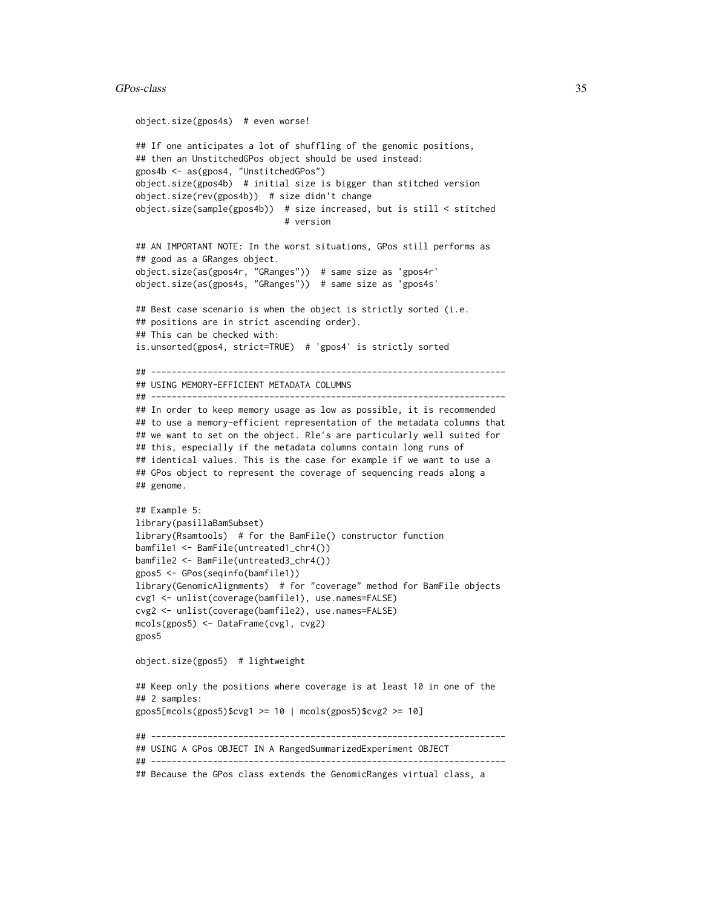### GPos-class 35

```
object.size(gpos4s) # even worse!
## If one anticipates a lot of shuffling of the genomic positions,
## then an UnstitchedGPos object should be used instead:
gpos4b <- as(gpos4, "UnstitchedGPos")
object.size(gpos4b) # initial size is bigger than stitched version
object.size(rev(gpos4b)) # size didn't change
object.size(sample(gpos4b)) # size increased, but is still < stitched
                             # version
## AN IMPORTANT NOTE: In the worst situations, GPos still performs as
## good as a GRanges object.
object.size(as(gpos4r, "GRanges")) # same size as 'gpos4r'
object.size(as(gpos4s, "GRanges")) # same size as 'gpos4s'
## Best case scenario is when the object is strictly sorted (i.e.
## positions are in strict ascending order).
## This can be checked with:
is.unsorted(gpos4, strict=TRUE) # 'gpos4' is strictly sorted
## ---------------------------------------------------------------------
## USING MEMORY-EFFICIENT METADATA COLUMNS
## ---------------------------------------------------------------------
## In order to keep memory usage as low as possible, it is recommended
## to use a memory-efficient representation of the metadata columns that
## we want to set on the object. Rle's are particularly well suited for
## this, especially if the metadata columns contain long runs of
## identical values. This is the case for example if we want to use a
## GPos object to represent the coverage of sequencing reads along a
## genome.
## Example 5:
library(pasillaBamSubset)
library(Rsamtools) # for the BamFile() constructor function
bamfile1 <- BamFile(untreated1_chr4())
bamfile2 <- BamFile(untreated3_chr4())
gpos5 <- GPos(seqinfo(bamfile1))
library(GenomicAlignments) # for "coverage" method for BamFile objects
cvg1 <- unlist(coverage(bamfile1), use.names=FALSE)
cvg2 <- unlist(coverage(bamfile2), use.names=FALSE)
mcols(gpos5) <- DataFrame(cvg1, cvg2)
gpos5
object.size(gpos5) # lightweight
## Keep only the positions where coverage is at least 10 in one of the
## 2 samples:
gpos5[mcols(gpos5)$cvg1 >= 10 | mcols(gpos5)$cvg2 >= 10]
## ---------------------------------------------------------------------
## USING A GPos OBJECT IN A RangedSummarizedExperiment OBJECT
## ---------------------------------------------------------------------
## Because the GPos class extends the GenomicRanges virtual class, a
```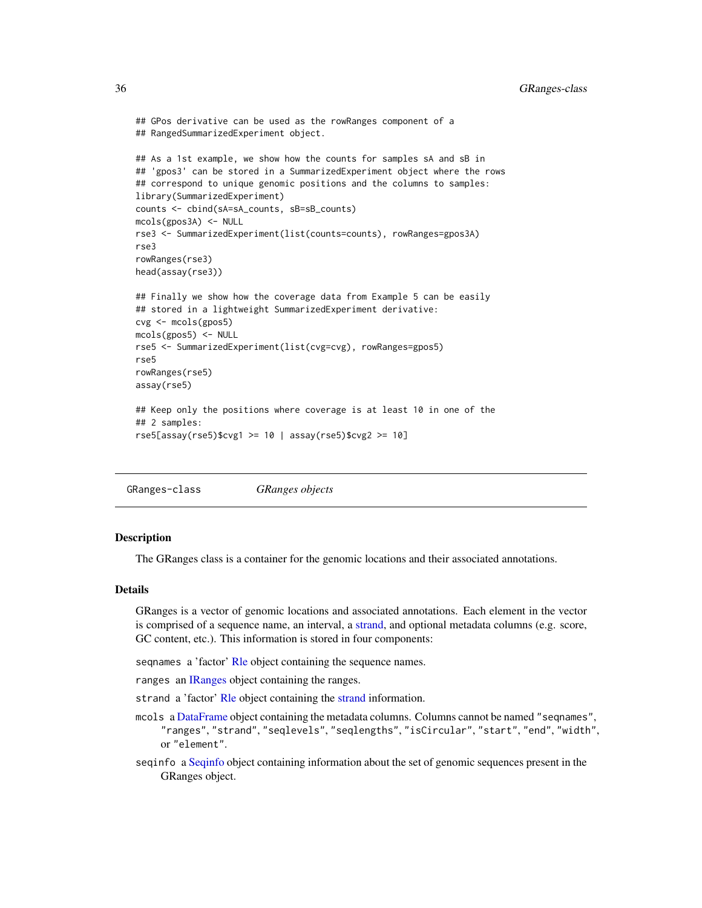```
## GPos derivative can be used as the rowRanges component of a
## RangedSummarizedExperiment object.
## As a 1st example, we show how the counts for samples sA and sB in
## 'gpos3' can be stored in a SummarizedExperiment object where the rows
## correspond to unique genomic positions and the columns to samples:
library(SummarizedExperiment)
counts <- cbind(sA=sA_counts, sB=sB_counts)
mcols(gpos3A) <- NULL
rse3 <- SummarizedExperiment(list(counts=counts), rowRanges=gpos3A)
rse3
rowRanges(rse3)
head(assay(rse3))
## Finally we show how the coverage data from Example 5 can be easily
## stored in a lightweight SummarizedExperiment derivative:
cvg <- mcols(gpos5)
mcols(gpos5) <- NULL
rse5 <- SummarizedExperiment(list(cvg=cvg), rowRanges=gpos5)
rse5
rowRanges(rse5)
assay(rse5)
## Keep only the positions where coverage is at least 10 in one of the
## 2 samples:
rse5[assay(rse5)$cvg1 >= 10 | assay(rse5)$cvg2 >= 10]
```
GRanges-class *GRanges objects*

## <span id="page-35-1"></span>Description

The GRanges class is a container for the genomic locations and their associated annotations.

## Details

GRanges is a vector of genomic locations and associated annotations. Each element in the vector is comprised of a sequence name, an interval, a [strand,](#page-0-0) and optional metadata columns (e.g. score, GC content, etc.). This information is stored in four components:

seqnames a 'factor' [Rle](#page-0-0) object containing the sequence names.

ranges an [IRanges](#page-0-0) object containing the ranges.

strand a 'factor' [Rle](#page-0-0) object containing the [strand](#page-0-0) information.

- mcols a [DataFrame](#page-0-0) object containing the metadata columns. Columns cannot be named "seqnames", "ranges", "strand", "seqlevels", "seqlengths", "isCircular", "start", "end", "width", or "element".
- seqinfo a [Seqinfo](#page-0-0) object containing information about the set of genomic sequences present in the GRanges object.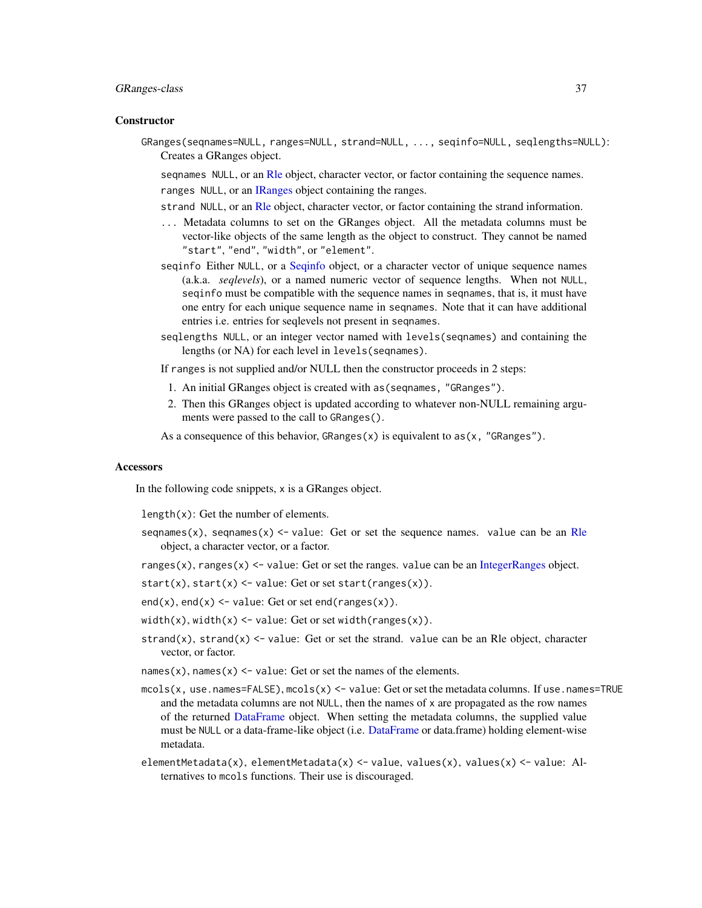### GRanges-class 37

#### **Constructor**

GRanges(seqnames=NULL, ranges=NULL, strand=NULL, ..., seqinfo=NULL, seqlengths=NULL): Creates a GRanges object.

sequames NULL, or an RIe object, character vector, or factor containing the sequence names. ranges NULL, or an [IRanges](#page-0-0) object containing the ranges.

- strand NULL, or an RIe object, character vector, or factor containing the strand information.
- ... Metadata columns to set on the GRanges object. All the metadata columns must be vector-like objects of the same length as the object to construct. They cannot be named "start", "end", "width", or "element".
- seqinfo Either NULL, or a [Seqinfo](#page-0-0) object, or a character vector of unique sequence names (a.k.a. *seqlevels*), or a named numeric vector of sequence lengths. When not NULL, seqinfo must be compatible with the sequence names in seqnames, that is, it must have one entry for each unique sequence name in seqnames. Note that it can have additional entries i.e. entries for seqlevels not present in seqnames.
- seqlengths NULL, or an integer vector named with levels(seqnames) and containing the lengths (or NA) for each level in levels(seqnames).

If ranges is not supplied and/or NULL then the constructor proceeds in 2 steps:

- 1. An initial GRanges object is created with as(seqnames, "GRanges").
- 2. Then this GRanges object is updated according to whatever non-NULL remaining arguments were passed to the call to GRanges().

As a consequence of this behavior,  $GRanges(x)$  is equivalent to  $as(x, "GRanges").$ 

#### **Accessors**

In the following code snippets, x is a GRanges object.

length(x): Get the number of elements.

seqnames(x), seqnames(x)  $\le$  value: Get or set the sequence names. value can be an [Rle](#page-0-0) object, a character vector, or a factor.

ranges(x), ranges(x)  $\le$  value: Get or set the ranges. value can be an [IntegerRanges](#page-0-0) object.

- start(x), start(x) <- value: Get or set start(ranges(x)).
- end(x), end(x)  $\le$  value: Get or set end(ranges(x)).
- width(x), width(x) <- value: Get or set width(ranges(x)).
- strand(x), strand(x)  $\le$  value: Get or set the strand. value can be an Rle object, character vector, or factor.
- names(x), names(x)  $\le$  value: Get or set the names of the elements.
- mcols(x, use.names=FALSE), mcols(x) <- value: Get or set the metadata columns. If use.names=TRUE and the metadata columns are not  $NULL$ , then the names of x are propagated as the row names of the returned [DataFrame](#page-0-0) object. When setting the metadata columns, the supplied value must be NULL or a data-frame-like object (i.e. [DataFrame](#page-0-0) or data.frame) holding element-wise metadata.
- elementMetadata(x), elementMetadata(x) <- value, values(x), values(x) <- value: Alternatives to mcols functions. Their use is discouraged.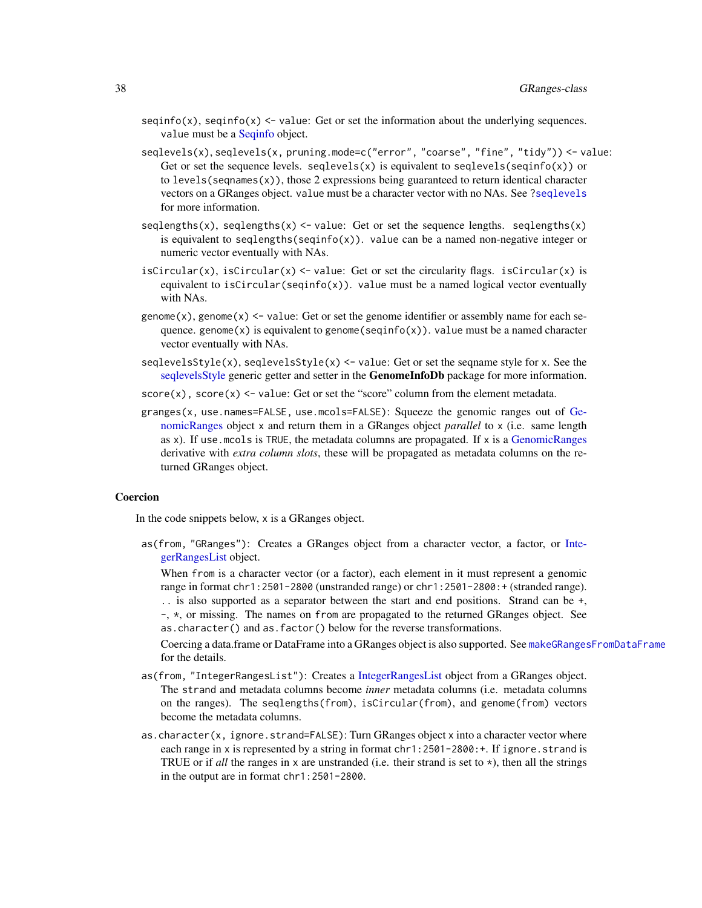- seqinfo(x), seqinfo(x)  $\le$  value: Get or set the information about the underlying sequences. value must be a [Seqinfo](#page-0-0) object.
- seqlevels(x), seqlevels(x, pruning.mode=c("error", "coarse", "fine", "tidy")) <- value: Get or set the sequence levels. seqlevels(x) is equivalent to seqlevels(seqinfo(x)) or to levels(seqnames(x)), those 2 expressions being guaranteed to return identical character vectors on a GRanges object. value must be a character vector with no NAs. See [?seqlevels](#page-0-0) for more information.
- seqlengths(x), seqlengths(x)  $\le$  value: Get or set the sequence lengths. seqlengths(x) is equivalent to seqlengths(seqinfo(x)). value can be a named non-negative integer or numeric vector eventually with NAs.
- isCircular(x), isCircular(x)  $\le$ -value: Get or set the circularity flags. isCircular(x) is equivalent to isCircular(seqinfo(x)). value must be a named logical vector eventually with NAs.
- genome(x), genome(x)  $\le$  value: Get or set the genome identifier or assembly name for each sequence. genome(x) is equivalent to genome(seqinfo(x)). value must be a named character vector eventually with NAs.
- seqlevelsStyle(x), seqlevelsStyle(x)  $\le$  value: Get or set the seqname style for x. See the [seqlevelsStyle](#page-0-0) generic getter and setter in the **GenomeInfoDb** package for more information.
- $score(x)$ ,  $score(x) < -$  value: Get or set the "score" column from the element metadata.
- granges(x, use.names=FALSE, use.mcols=FALSE): Squeeze the genomic ranges out of [Ge](#page-35-0)[nomicRanges](#page-35-0) object x and return them in a GRanges object *parallel* to x (i.e. same length as x). If use.mcols is TRUE, the metadata columns are propagated. If x is a [GenomicRanges](#page-35-0) derivative with *extra column slots*, these will be propagated as metadata columns on the returned GRanges object.

## Coercion

In the code snippets below, x is a GRanges object.

as(from, "GRanges"): Creates a GRanges object from a character vector, a factor, or [Inte](#page-0-0)[gerRangesList](#page-0-0) object.

When from is a character vector (or a factor), each element in it must represent a genomic range in format chr1:2501-2800 (unstranded range) or chr1:2501-2800:+ (stranded range). .. is also supported as a separator between the start and end positions. Strand can be +, -, \*, or missing. The names on from are propagated to the returned GRanges object. See as.character() and as.factor() below for the reverse transformations.

Coercing a data.frame or DataFrame into a GRanges object is also supported. See [makeGRangesFromDataFrame](#page-57-0) for the details.

- as(from, "IntegerRangesList"): Creates a [IntegerRangesList](#page-0-0) object from a GRanges object. The strand and metadata columns become *inner* metadata columns (i.e. metadata columns on the ranges). The seqlengths(from), isCircular(from), and genome(from) vectors become the metadata columns.
- as.character(x, ignore.strand=FALSE): Turn GRanges object x into a character vector where each range in x is represented by a string in format chr1:2501-2800: +. If ignore.strand is TRUE or if *all* the ranges in x are unstranded (i.e. their strand is set to \*), then all the strings in the output are in format chr1:2501-2800.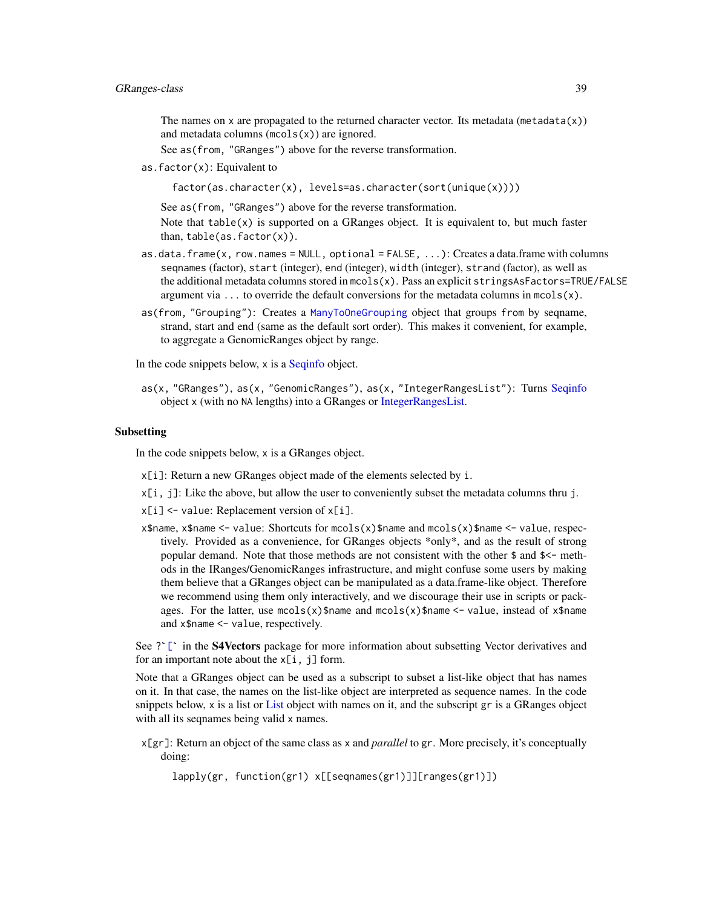The names on x are propagated to the returned character vector. Its metadata (metadata $(x)$ ) and metadata columns  $(mcols(x))$  are ignored.

See as(from, "GRanges") above for the reverse transformation.

as.  $factor(x)$ : Equivalent to

factor(as.character(x), levels=as.character(sort(unique(x))))

See as(from, "GRanges") above for the reverse transformation.

Note that  $table(x)$  is supported on a GRanges object. It is equivalent to, but much faster than,  $table(as.factor(x))$ .

- as.data.frame $(x, row.name = NULL, optional = FALSE, ...)$ : Creates a data.frame with columns seqnames (factor), start (integer), end (integer), width (integer), strand (factor), as well as the additional metadata columns stored in  ${mcols}(x)$ . Pass an explicit stringsAsFactors=TRUE/FALSE argument via ... to override the default conversions for the metadata columns in  ${mods}(x)$ .
- as(from, "Grouping"): Creates a [ManyToOneGrouping](#page-0-0) object that groups from by seqname, strand, start and end (same as the default sort order). This makes it convenient, for example, to aggregate a GenomicRanges object by range.

In the code snippets below, x is a [Seqinfo](#page-0-0) object.

as(x, "GRanges"), as(x, "GenomicRanges"), as(x, "IntegerRangesList"): Turns [Seqinfo](#page-0-0) object x (with no NA lengths) into a GRanges or [IntegerRangesList.](#page-0-0)

#### Subsetting

In the code snippets below, x is a GRanges object.

- x[i]: Return a new GRanges object made of the elements selected by i.
- x[i, j]: Like the above, but allow the user to conveniently subset the metadata columns thru j.
- x[i] <- value: Replacement version of x[i].
- x\$name, x\$name <- value: Shortcuts for mcols(x)\$name and mcols(x)\$name <- value, respectively. Provided as a convenience, for GRanges objects \*only\*, and as the result of strong popular demand. Note that those methods are not consistent with the other  $\frac{1}{2}$  and  $\frac{1}{2}$  methods in the IRanges/GenomicRanges infrastructure, and might confuse some users by making them believe that a GRanges object can be manipulated as a data.frame-like object. Therefore we recommend using them only interactively, and we discourage their use in scripts or packwe recommend using them only interactively, and we usedurage them use in scripts of packages. For the latter, use mcols(x)\$name and mcols(x)\$name  $\lt$ - value, instead of x\$name and x\$name  $\lt$ - value, respectively.<br>See ?` and x\$name <- value, respectively.

for an important note about the  $x[i, j]$  form.

Note that a GRanges object can be used as a subscript to subset a list-like object that has names on it. In that case, the names on the list-like object are interpreted as sequence names. In the code snippets below, x is a list or [List](#page-0-0) object with names on it, and the subscript gr is a GRanges object with all its seqnames being valid x names.

x[gr]: Return an object of the same class as x and *parallel* to gr. More precisely, it's conceptually doing:

lapply(gr, function(gr1) x[[seqnames(gr1)]][ranges(gr1)])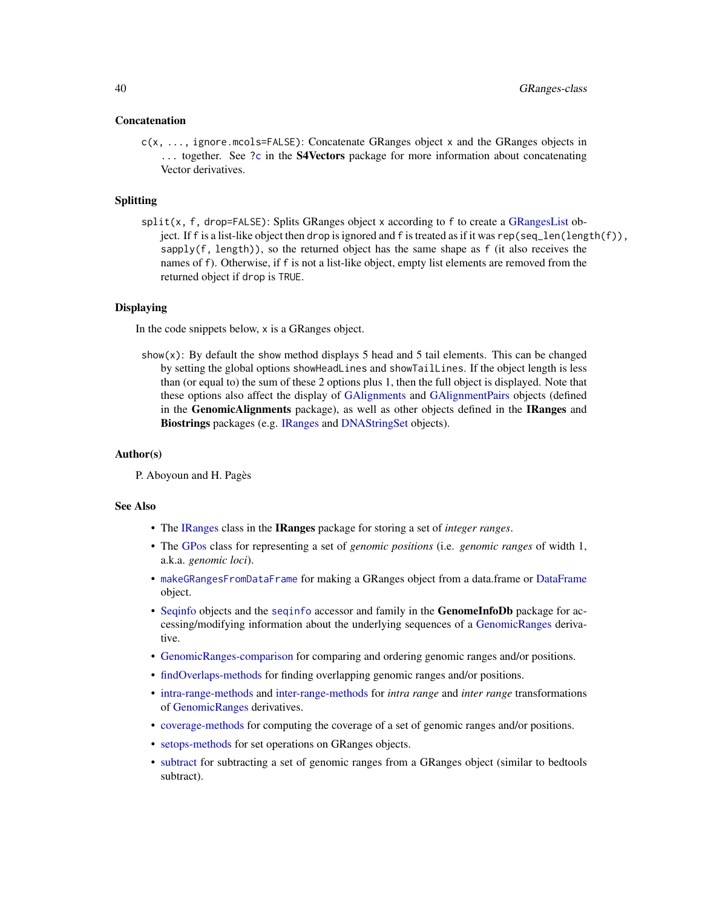#### Concatenation

c(x, ..., ignore.mcols=FALSE): Concatenate GRanges object x and the GRanges objects in ... together. See [?c](#page-0-0) in the **S4Vectors** package for more information about concatenating Vector derivatives.

### Splitting

split(x, f, drop=FALSE): Splits GRanges object x according to f to create a [GRangesList](#page-45-0) object. If f is a list-like object then drop is ignored and f is treated as if it was rep(seq\_len(length(f)), sapply(f, length)), so the returned object has the same shape as f (it also receives the names of f). Otherwise, if f is not a list-like object, empty list elements are removed from the returned object if drop is TRUE.

### Displaying

In the code snippets below, x is a GRanges object.

show(x): By default the show method displays 5 head and 5 tail elements. This can be changed by setting the global options showHeadLines and showTailLines. If the object length is less than (or equal to) the sum of these 2 options plus 1, then the full object is displayed. Note that these options also affect the display of [GAlignments](#page-0-0) and [GAlignmentPairs](#page-0-0) objects (defined in the GenomicAlignments package), as well as other objects defined in the IRanges and Biostrings packages (e.g. [IRanges](#page-0-0) and [DNAStringSet](#page-0-0) objects).

### Author(s)

P. Aboyoun and H. Pagès

### See Also

- The [IRanges](#page-0-0) class in the IRanges package for storing a set of *integer ranges*.
- The [GPos](#page-29-0) class for representing a set of *genomic positions* (i.e. *genomic ranges* of width 1, a.k.a. *genomic loci*).
- [makeGRangesFromDataFrame](#page-57-0) for making a GRanges object from a data.frame or [DataFrame](#page-0-0) object.
- [Seqinfo](#page-0-0) objects and the [seqinfo](#page-0-0) accessor and family in the **GenomeInfoDb** package for accessing/modifying information about the underlying sequences of a [GenomicRanges](#page-35-0) derivative.
- [GenomicRanges-comparison](#page-17-0) for comparing and ordering genomic ranges and/or positions.
- [findOverlaps-methods](#page-13-0) for finding overlapping genomic ranges and/or positions.
- [intra-range-methods](#page-54-0) and [inter-range-methods](#page-50-0) for *intra range* and *inter range* transformations of [GenomicRanges](#page-35-0) derivatives.
- [coverage-methods](#page-11-0) for computing the coverage of a set of genomic ranges and/or positions.
- [setops-methods](#page-67-0) for set operations on GRanges objects.
- [subtract](#page-73-0) for subtracting a set of genomic ranges from a GRanges object (similar to bedtools subtract).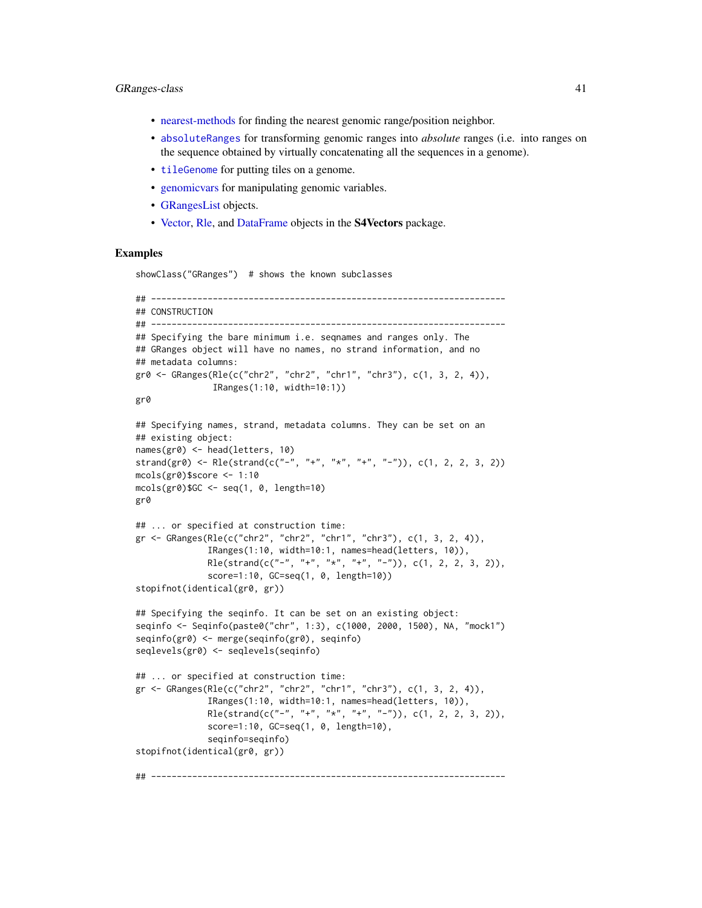#### GRanges-class 41

- [nearest-methods](#page-62-0) for finding the nearest genomic range/position neighbor.
- [absoluteRanges](#page-2-0) for transforming genomic ranges into *absolute* ranges (i.e. into ranges on the sequence obtained by virtually concatenating all the sequences in a genome).
- [tileGenome](#page-76-0) for putting tiles on a genome.
- [genomicvars](#page-22-0) for manipulating genomic variables.
- [GRangesList](#page-45-0) objects.
- [Vector,](#page-0-0) [Rle,](#page-0-0) and [DataFrame](#page-0-0) objects in the **S4Vectors** package.

## Examples

showClass("GRanges") # shows the known subclasses

```
## ---------------------------------------------------------------------
## CONSTRUCTION
## ---------------------------------------------------------------------
## Specifying the bare minimum i.e. seqnames and ranges only. The
## GRanges object will have no names, no strand information, and no
## metadata columns:
gr0 <- GRanges(Rle(c("chr2", "chr2", "chr1", "chr3"), c(1, 3, 2, 4)),
               IRanges(1:10, width=10:1))
gr0
## Specifying names, strand, metadata columns. They can be set on an
## existing object:
names(gr0) <- head(letters, 10)
strand(gr0) <- Rle(strand(c("-", "+", "*", "+", "-")), c(1, 2, 2, 3, 2))
mcols(gr0)$score <- 1:10
mcols(gr0)$GC <- seq(1, 0, length=10)
gr0
## ... or specified at construction time:
gr <- GRanges(Rle(c("chr2", "chr2", "chr1", "chr3"), c(1, 3, 2, 4)),
              IRanges(1:10, width=10:1, names=head(letters, 10)),
              Rle(strand(c("-", "+", "*", "+", "-")), c(1, 2, 2, 3, 2)),
              score=1:10, GC=seq(1, 0, length=10))
stopifnot(identical(gr0, gr))
## Specifying the seqinfo. It can be set on an existing object:
seqinfo <- Seqinfo(paste0("chr", 1:3), c(1000, 2000, 1500), NA, "mock1")
seqinfo(gr0) <- merge(seqinfo(gr0), seqinfo)
seqlevels(gr0) <- seqlevels(seqinfo)
## ... or specified at construction time:
gr <- GRanges(Rle(c("chr2", "chr2", "chr1", "chr3"), c(1, 3, 2, 4)),
              IRanges(1:10, width=10:1, names=head(letters, 10)),
              Rle(strand(c("-", "+", "*", "+", "-")), c(1, 2, 2, 3, 2)),
              score=1:10, GC=seq(1, 0, length=10),
              seqinfo=seqinfo)
stopifnot(identical(gr0, gr))
## ---------------------------------------------------------------------
```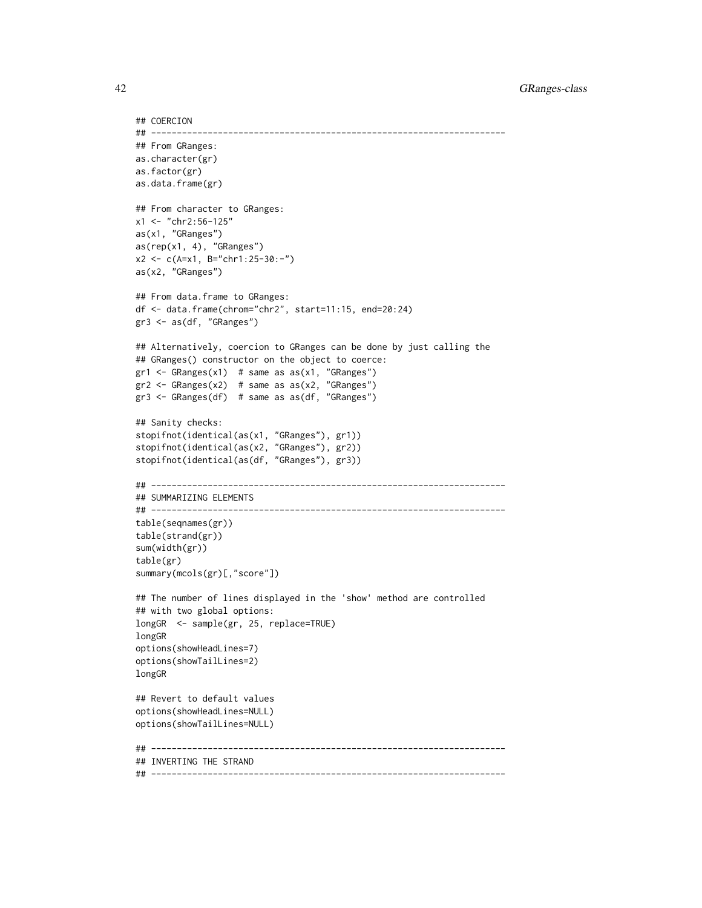```
## COERCION
## ---------------------------------------------------------------------
## From GRanges:
as.character(gr)
as.factor(gr)
as.data.frame(gr)
## From character to GRanges:
x1 <- "chr2:56-125"
as(x1, "GRanges")
as(rep(x1, 4), "GRanges")
x2 <- c(A=x1, B="chr1:25-30:-")
as(x2, "GRanges")
## From data.frame to GRanges:
df <- data.frame(chrom="chr2", start=11:15, end=20:24)
gr3 <- as(df, "GRanges")
## Alternatively, coercion to GRanges can be done by just calling the
## GRanges() constructor on the object to coerce:
gr1 \leftarrow GRanges(x1) # same as as(x1, "GRanges")gr2 \leq - GRanges(x2) # same as as(x2, "GRanges")gr3 <- GRanges(df) # same as as(df, "GRanges")
## Sanity checks:
stopifnot(identical(as(x1, "GRanges"), gr1))
stopifnot(identical(as(x2, "GRanges"), gr2))
stopifnot(identical(as(df, "GRanges"), gr3))
## ---------------------------------------------------------------------
## SUMMARIZING ELEMENTS
## ---------------------------------------------------------------------
table(seqnames(gr))
table(strand(gr))
sum(width(gr))
table(gr)
summary(mcols(gr)[,"score"])
## The number of lines displayed in the 'show' method are controlled
## with two global options:
longGR <- sample(gr, 25, replace=TRUE)
longGR
options(showHeadLines=7)
options(showTailLines=2)
longGR
## Revert to default values
options(showHeadLines=NULL)
options(showTailLines=NULL)
## ---------------------------------------------------------------------
## INVERTING THE STRAND
## ---------------------------------------------------------------------
```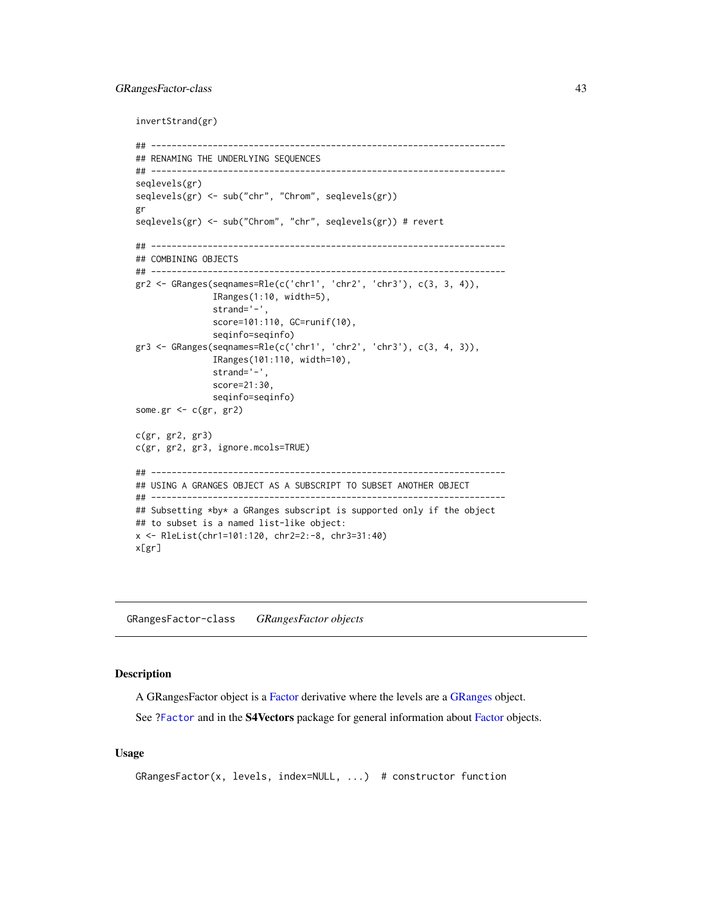## GRangesFactor-class 43

invertStrand(gr)

```
## ---------------------------------------------------------------------
## RENAMING THE UNDERLYING SEQUENCES
## ---------------------------------------------------------------------
seqlevels(gr)
seqlevels(gr) <- sub("chr", "Chrom", seqlevels(gr))
gr
seqlevels(gr) <- sub("Chrom", "chr", seqlevels(gr)) # revert
## ---------------------------------------------------------------------
## COMBINING OBJECTS
## ---------------------------------------------------------------------
gr2 <- GRanges(seqnames=Rle(c('chr1', 'chr2', 'chr3'), c(3, 3, 4)),
               IRanges(1:10, width=5),
               strand='-',
              score=101:110, GC=runif(10),
              seqinfo=seqinfo)
gr3 <- GRanges(seqnames=Rle(c('chr1', 'chr2', 'chr3'), c(3, 4, 3)),
              IRanges(101:110, width=10),
              strand='-',
              score=21:30,
              seqinfo=seqinfo)
some.gr \leq c(gr, gr2)
c(gr, gr2, gr3)
c(gr, gr2, gr3, ignore.mcols=TRUE)
## ---------------------------------------------------------------------
## USING A GRANGES OBJECT AS A SUBSCRIPT TO SUBSET ANOTHER OBJECT
## ---------------------------------------------------------------------
## Subsetting *by* a GRanges subscript is supported only if the object
## to subset is a named list-like object:
x <- RleList(chr1=101:120, chr2=2:-8, chr3=31:40)
x[gr]
```
GRangesFactor-class *GRangesFactor objects*

## Description

A GRangesFactor object is a [Factor](#page-0-0) derivative where the levels are a [GRanges](#page-35-0) object.

See [?Factor](#page-0-0) and in the S4Vectors package for general information about [Factor](#page-0-0) objects.

## Usage

```
GRangesFactor(x, levels, index=NULL, ...) # constructor function
```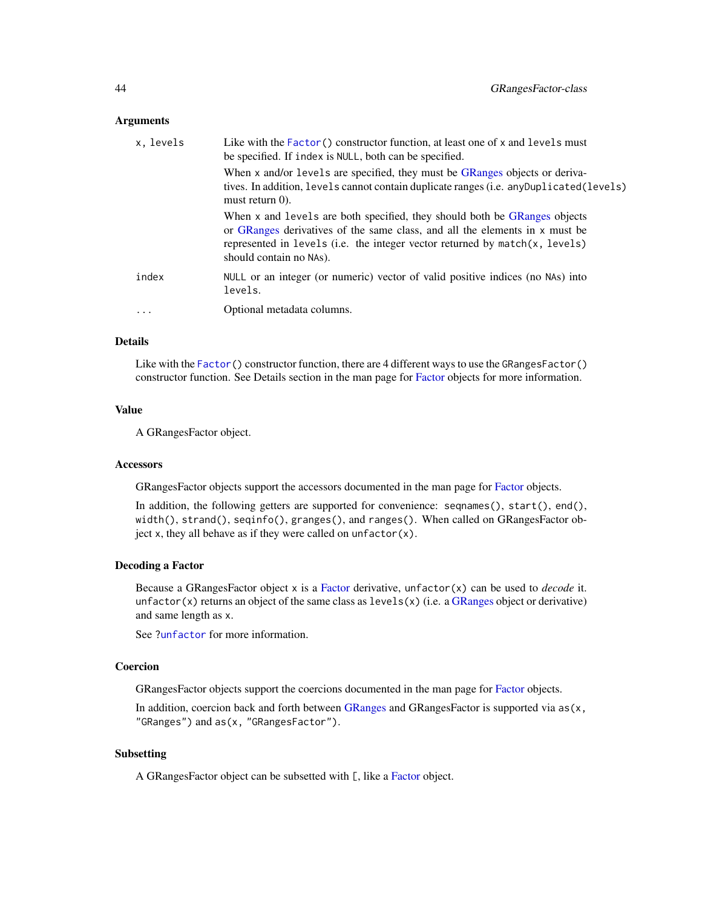### Arguments

| x, levels | Like with the $Factor()$ constructor function, at least one of x and levels must<br>be specified. If index is NULL, both can be specified.                                                                                                                         |
|-----------|--------------------------------------------------------------------------------------------------------------------------------------------------------------------------------------------------------------------------------------------------------------------|
|           | When x and/or levels are specified, they must be GRanges objects or deriva-<br>tives. In addition, levels cannot contain duplicate ranges (i.e. any Duplicated (levels)<br>must return $0$ ).                                                                      |
|           | When x and levels are both specified, they should both be GRanges objects<br>or GRanges derivatives of the same class, and all the elements in x must be<br>represented in levels (i.e. the integer vector returned by match(x, levels)<br>should contain no NAs). |
| index     | NULL or an integer (or numeric) vector of valid positive indices (no NAs) into<br>levels.                                                                                                                                                                          |
| $\cdot$   | Optional metadata columns.                                                                                                                                                                                                                                         |

#### Details

Like with the [Factor\(](#page-0-0)) constructor function, there are 4 different ways to use the GRangesFactor() constructor function. See Details section in the man page for [Factor](#page-0-0) objects for more information.

## Value

A GRangesFactor object.

### **Accessors**

GRangesFactor objects support the accessors documented in the man page for [Factor](#page-0-0) objects.

In addition, the following getters are supported for convenience: seqnames(), start(), end(), width(), strand(), seqinfo(), granges(), and ranges(). When called on GRangesFactor object x, they all behave as if they were called on unfactor $(x)$ .

### Decoding a Factor

Because a GRangesFactor object x is a [Factor](#page-0-0) derivative, unfactor(x) can be used to *decode* it. unfactor(x) returns an object of the same class as  $levels(x)$  (i.e. a [GRanges](#page-35-0) object or derivative) and same length as x.

See [?unfactor](#page-0-0) for more information.

#### Coercion

GRangesFactor objects support the coercions documented in the man page for [Factor](#page-0-0) objects.

In addition, coercion back and forth between [GRanges](#page-35-0) and GRanges Factor is supported via  $as(x,$ "GRanges") and as(x, "GRangesFactor").

# Subsetting

A GRanges[Factor](#page-0-0) object can be subsetted with [, like a Factor object.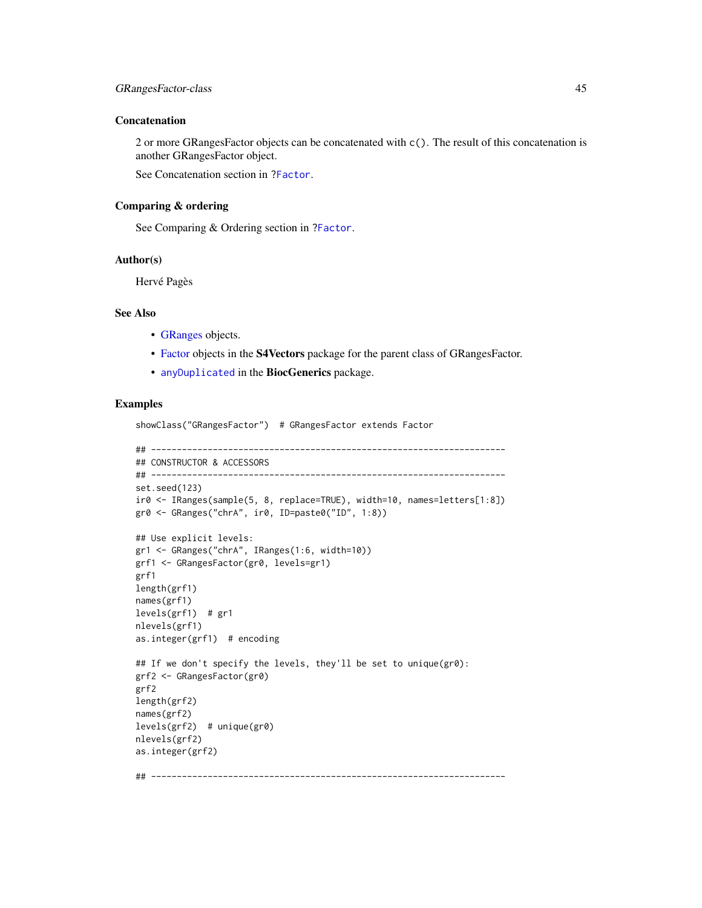#### Concatenation

2 or more GRangesFactor objects can be concatenated with c(). The result of this concatenation is another GRangesFactor object.

See Concatenation section in [?Factor](#page-0-0).

## Comparing & ordering

See Comparing & Ordering section in [?Factor](#page-0-0).

### Author(s)

Hervé Pagès

# See Also

- [GRanges](#page-35-0) objects.
- [Factor](#page-0-0) objects in the S4Vectors package for the parent class of GRangesFactor.
- [anyDuplicated](#page-0-0) in the BiocGenerics package.

# Examples

showClass("GRangesFactor") # GRangesFactor extends Factor

```
## ---------------------------------------------------------------------
## CONSTRUCTOR & ACCESSORS
## ---------------------------------------------------------------------
set.seed(123)
ir0 <- IRanges(sample(5, 8, replace=TRUE), width=10, names=letters[1:8])
gr0 <- GRanges("chrA", ir0, ID=paste0("ID", 1:8))
## Use explicit levels:
gr1 <- GRanges("chrA", IRanges(1:6, width=10))
grf1 <- GRangesFactor(gr0, levels=gr1)
grf1
length(grf1)
names(grf1)
levels(grf1) # gr1
nlevels(grf1)
as.integer(grf1) # encoding
## If we don't specify the levels, they'll be set to unique(gr0):
grf2 <- GRangesFactor(gr0)
grf2
length(grf2)
names(grf2)
levels(grf2) # unique(gr0)
nlevels(grf2)
as.integer(grf2)
## ---------------------------------------------------------------------
```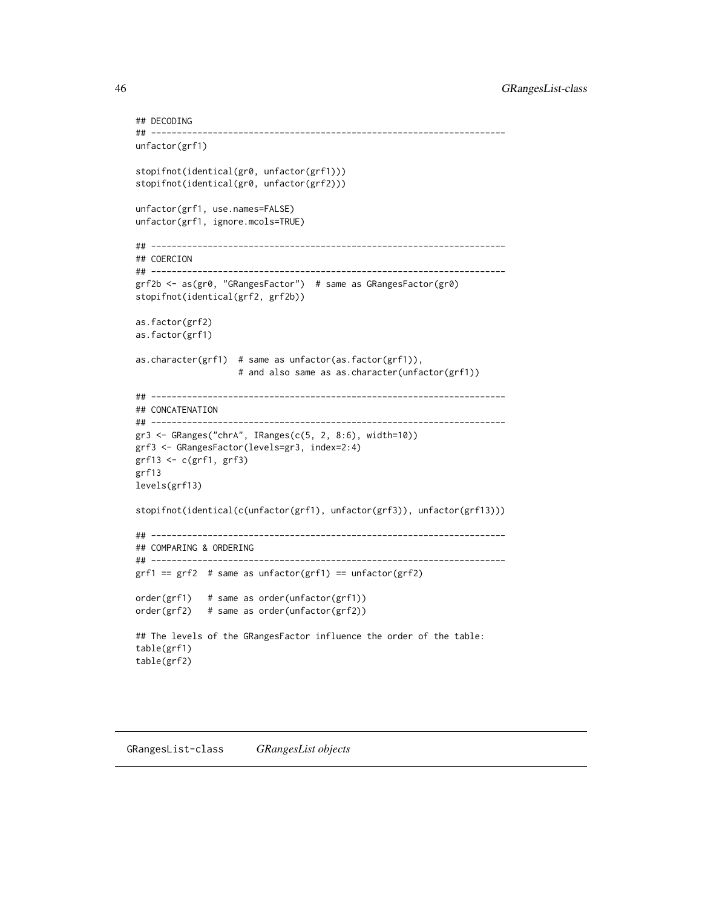```
## DECODING
## ---------------------------------------------------------------------
unfactor(grf1)
stopifnot(identical(gr0, unfactor(grf1)))
stopifnot(identical(gr0, unfactor(grf2)))
unfactor(grf1, use.names=FALSE)
unfactor(grf1, ignore.mcols=TRUE)
## ---------------------------------------------------------------------
## COERCION
## ---------------------------------------------------------------------
grf2b <- as(gr0, "GRangesFactor") # same as GRangesFactor(gr0)
stopifnot(identical(grf2, grf2b))
as.factor(grf2)
as.factor(grf1)
as.character(grf1) # same as unfactor(as.factor(grf1)),
                   # and also same as as.character(unfactor(grf1))
## ---------------------------------------------------------------------
## CONCATENATION
## ---------------------------------------------------------------------
gr3 <- GRanges("chrA", IRanges(c(5, 2, 8:6), width=10))
grf3 <- GRangesFactor(levels=gr3, index=2:4)
grf13 <- c(grf1, grf3)
grf13
levels(grf13)
stopifnot(identical(c(unfactor(grf1), unfactor(grf3)), unfactor(grf13)))
## ---------------------------------------------------------------------
## COMPARING & ORDERING
## ---------------------------------------------------------------------
grf1 == grf2 # same as unfactor(grf1) == unfactor(grf2)
order(grf1) # same as order(unfactor(grf1))
order(grf2) # same as order(unfactor(grf2))
## The levels of the GRangesFactor influence the order of the table:
table(grf1)
table(grf2)
```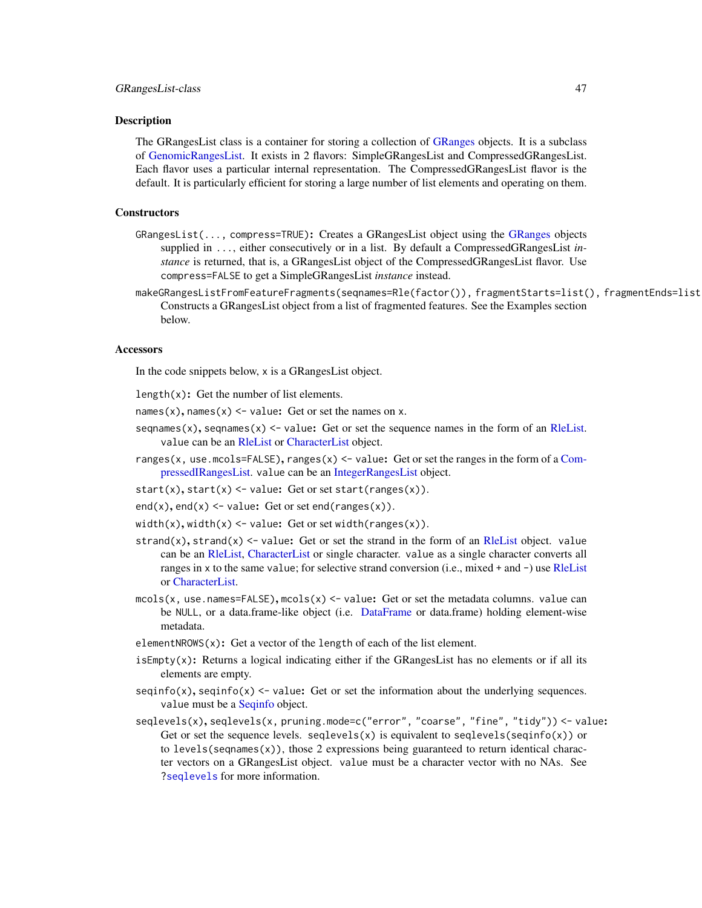### Description

The GRangesList class is a container for storing a collection of [GRanges](#page-35-0) objects. It is a subclass of [GenomicRangesList.](#page-21-0) It exists in 2 flavors: SimpleGRangesList and CompressedGRangesList. Each flavor uses a particular internal representation. The CompressedGRangesList flavor is the default. It is particularly efficient for storing a large number of list elements and operating on them.

### **Constructors**

- GRangesList(..., compress=TRUE): Creates a GRangesList object using the [GRanges](#page-35-0) objects supplied in ..., either consecutively or in a list. By default a CompressedGRangesList *instance* is returned, that is, a GRangesList object of the CompressedGRangesList flavor. Use compress=FALSE to get a SimpleGRangesList *instance* instead.
- makeGRangesListFromFeatureFragments(seqnames=Rle(factor()), fragmentStarts=list(), fragmentEnds=list Constructs a GRangesList object from a list of fragmented features. See the Examples section below.

#### **Accessors**

In the code snippets below, x is a GRangesList object.

length $(x)$ : Get the number of list elements.

names(x), names(x)  $\le$  value: Get or set the names on x.

- seqnames(x), seqnames(x)  $\le$  value: Get or set the sequence names in the form of an [RleList.](#page-0-0) value can be an [RleList](#page-0-0) or [CharacterList](#page-0-0) object.
- ranges(x, use.mcols=FALSE), ranges(x) <- value: Get or set the ranges in the form of a [Com](#page-0-0)[pressedIRangesList.](#page-0-0) value can be an [IntegerRangesList](#page-0-0) object.

start(x), start(x) <- value: Get or set start(ranges(x)).

- $end(x)$ ,  $end(x)$  <- value: Get or set end(ranges(x)).
- width(x), width(x) <- value: Get or set width(ranges(x)).
- strand(x), strand(x)  $\le$  value: Get or set the strand in the form of an [RleList](#page-0-0) object. value can be an [RleList,](#page-0-0) [CharacterList](#page-0-0) or single character. value as a single character converts all ranges in x to the same value; for selective strand conversion (i.e., mixed + and -) use [RleList](#page-0-0) or [CharacterList.](#page-0-0)
- mcols(x, use.names=FALSE), mcols(x)  $\le$  value: Get or set the metadata columns. value can be NULL, or a data.frame-like object (i.e. [DataFrame](#page-0-0) or data.frame) holding element-wise metadata.
- elementNROWS(x): Get a vector of the length of each of the list element.
- isEmpty(x): Returns a logical indicating either if the GRangesList has no elements or if all its elements are empty.
- $seqinfo(x)$ ,  $seqinfo(x)$  <- value: Get or set the information about the underlying sequences. value must be a [Seqinfo](#page-0-0) object.
- seqlevels(x), seqlevels(x, pruning.mode=c("error", "coarse", "fine", "tidy")) <- value: Get or set the sequence levels. seqlevels(x) is equivalent to seqlevels(sequator) or to levels(sequames $(x)$ ), those 2 expressions being guaranteed to return identical character vectors on a GRangesList object. value must be a character vector with no NAs. See [?seqlevels](#page-0-0) for more information.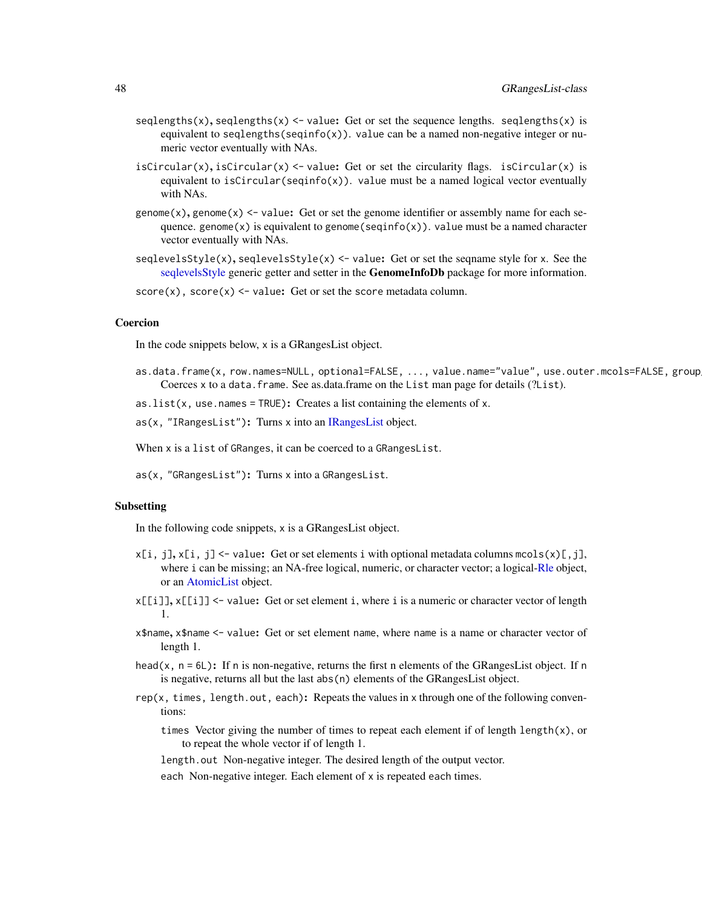- seqlengths(x), seqlengths(x)  $\le$  value: Get or set the sequence lengths. seqlengths(x) is equivalent to seqlengths(seqinfo(x)). value can be a named non-negative integer or numeric vector eventually with NAs.
- isCircular(x), isCircular(x) <- value: Get or set the circularity flags. isCircular(x) is equivalent to isCircular(seqinfo(x)). value must be a named logical vector eventually with NAs.
- genome(x), genome(x)  $\le$  value: Get or set the genome identifier or assembly name for each sequence. genome $(x)$  is equivalent to genome(seqinfo $(x)$ ). value must be a named character vector eventually with NAs.
- seqlevelsStyle(x), seqlevelsStyle(x) <- value: Get or set the seqname style for x. See the [seqlevelsStyle](#page-0-0) generic getter and setter in the **GenomeInfoDb** package for more information.

 $score(x)$ ,  $score(x)$  <- value: Get or set the score metadata column.

### Coercion

In the code snippets below, x is a GRangesList object.

as.data.frame(x, row.names=NULL, optional=FALSE, ..., value.name="value", use.outer.mcols=FALSE, group Coerces x to a data.frame. See as.data.frame on the List man page for details (?List).

as. list( $x$ , use. names = TRUE): Creates a list containing the elements of  $x$ .

as(x, "IRangesList"): Turns x into an [IRangesList](#page-0-0) object.

When x is a list of GRanges, it can be coerced to a GRangesList.

as(x, "GRangesList"): Turns x into a GRangesList.

### Subsetting

In the following code snippets, x is a GRangesList object.

- $x[i, j], x[i, j] \leq value$ : Get or set elements i with optional metadata columns mcols(x)[,j], where i can be missing; an NA-free logical, numeric, or character vector; a logical[-Rle](#page-0-0) object, or an [AtomicList](#page-0-0) object.
- x[[i]], x[[i]] <- value: Get or set element i, where i is a numeric or character vector of length 1.
- x\$name, x\$name <- value: Get or set element name, where name is a name or character vector of length 1.
- head(x,  $n = 6L$ ): If n is non-negative, returns the first n elements of the GRangesList object. If n is negative, returns all but the last abs(n) elements of the GRangesList object.
- rep(x, times, length.out, each): Repeats the values in x through one of the following conventions:
	- times Vector giving the number of times to repeat each element if of length length $(x)$ , or to repeat the whole vector if of length 1.

length.out Non-negative integer. The desired length of the output vector.

each Non-negative integer. Each element of x is repeated each times.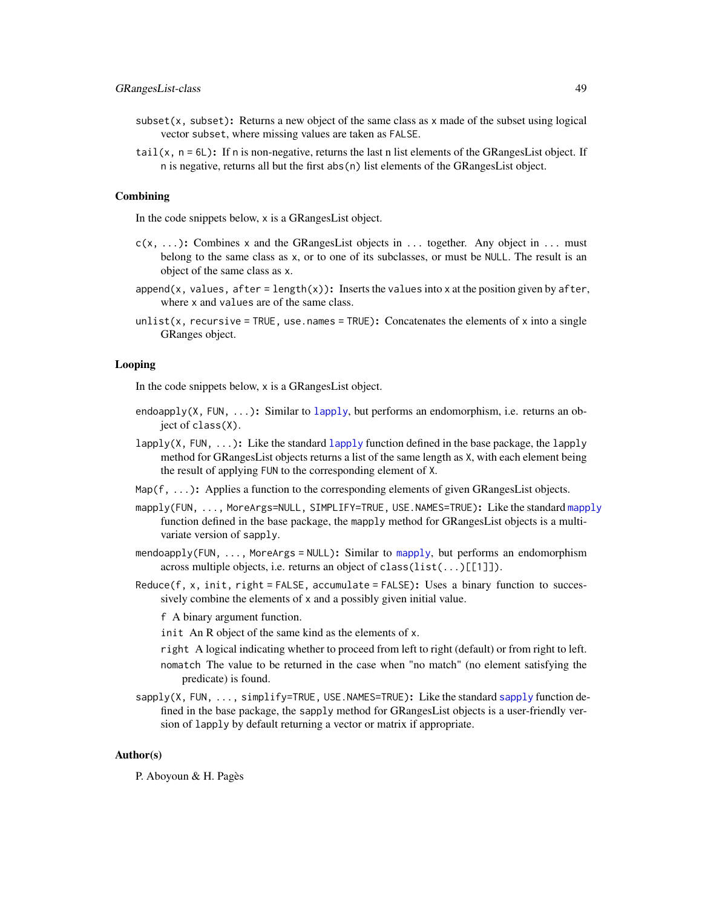# GRangesList-class 49

- subset(x, subset): Returns a new object of the same class as  $x$  made of the subset using logical vector subset, where missing values are taken as FALSE.
- tail(x,  $n = 6L$ ): If n is non-negative, returns the last n list elements of the GRangesList object. If n is negative, returns all but the first abs(n) list elements of the GRangesList object.

#### Combining

In the code snippets below, x is a GRangesList object.

- $c(x, \ldots)$ : Combines x and the GRangesList objects in ... together. Any object in ... must belong to the same class as x, or to one of its subclasses, or must be NULL. The result is an object of the same class as x.
- append(x, values, after = length(x)): Inserts the values into x at the position given by after, where x and values are of the same class.
- unlist(x, recursive = TRUE, use.names = TRUE): Concatenates the elements of x into a single GRanges object.

## Looping

In the code snippets below, x is a GRangesList object.

- endoapply(X, FUN,  $\dots$ ): Similar to [lapply](#page-0-0), but performs an endomorphism, i.e. returns an object of class(X).
- [lapply](#page-0-0)( $X$ , FUN, ...): Like the standard lapply function defined in the base package, the lapply method for GRangesList objects returns a list of the same length as X, with each element being the result of applying FUN to the corresponding element of X.
- Map( $f, \ldots$ ): Applies a function to the corresponding elements of given GRangesList objects.
- [mapply](#page-0-0)(FUN, ..., MoreArgs=NULL, SIMPLIFY=TRUE, USE.NAMES=TRUE): Like the standard mapply function defined in the base package, the mapply method for GRangesList objects is a multivariate version of sapply.
- mendoapply(FUN, ..., MoreArgs = NULL): Similar to [mapply](#page-0-0), but performs an endomorphism across multiple objects, i.e. returns an object of class(list(...)[[1]]).
- $Reduce(f, x, init, right = FALSE, accumulate = FALSE): Uses a binary function to successful.$ sively combine the elements of x and a possibly given initial value.

f A binary argument function.

init An R object of the same kind as the elements of x.

- right A logical indicating whether to proceed from left to right (default) or from right to left.
- nomatch The value to be returned in the case when "no match" (no element satisfying the predicate) is found.
- [sapply](#page-0-0)(X, FUN, ..., simplify=TRUE, USE.NAMES=TRUE): Like the standard sapply function defined in the base package, the sapply method for GRangesList objects is a user-friendly version of lapply by default returning a vector or matrix if appropriate.

#### Author(s)

P. Aboyoun & H. Pagès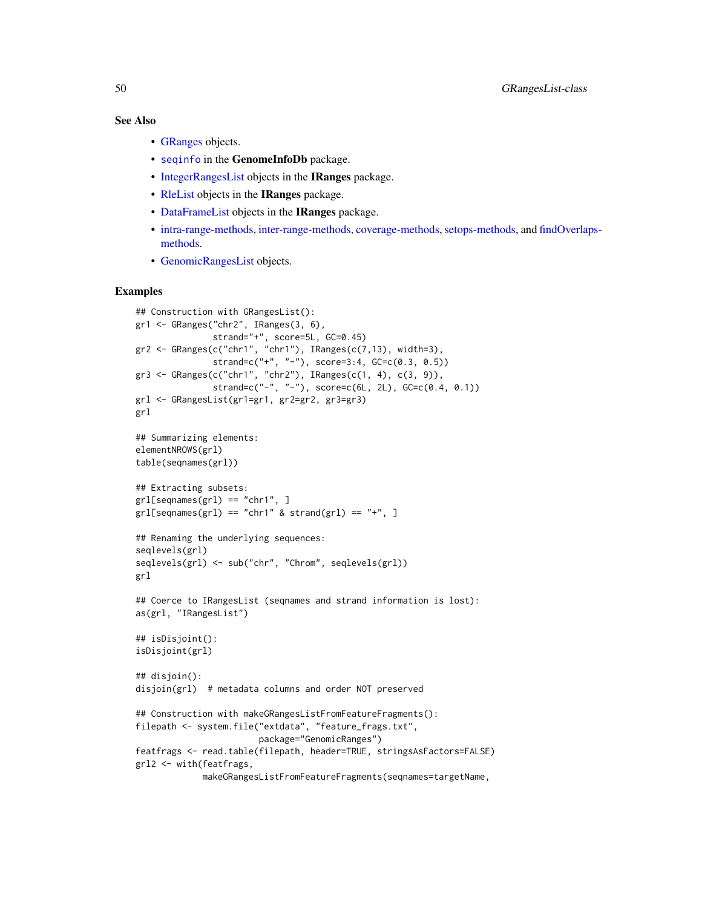### See Also

- [GRanges](#page-35-0) objects.
- [seqinfo](#page-0-0) in the GenomeInfoDb package.
- [IntegerRangesList](#page-0-0) objects in the IRanges package.
- [RleList](#page-0-0) objects in the IRanges package.
- [DataFrameList](#page-0-0) objects in the IRanges package.
- [intra-range-methods,](#page-54-0) [inter-range-methods,](#page-50-0) [coverage-methods,](#page-11-0) [setops-methods,](#page-67-0) and [findOverla](#page-13-0)ps[methods.](#page-13-0)
- [GenomicRangesList](#page-21-0) objects.

```
## Construction with GRangesList():
gr1 <- GRanges("chr2", IRanges(3, 6),
               strand="+", score=5L, GC=0.45)
gr2 \leq GRanges(c("chr1", "chr1"), IRanges(c(7,13), width=3),
               strand=c("+", "-"), score=3:4, GC=c(0.3, 0.5))
gr3 <- GRanges(c("chr1", "chr2"), IRanges(c(1, 4), c(3, 9)),
               strand=c("-", "-"), score=c(6L, 2L), GC=c(0.4, 0.1))
grl <- GRangesList(gr1=gr1, gr2=gr2, gr3=gr3)
grl
## Summarizing elements:
elementNROWS(grl)
table(seqnames(grl))
## Extracting subsets:
gr1[seqnames(gr1) == "chr1", ]gr1[seqnames(gr1) == "chr1" & strand(gr1) == "+'", ]## Renaming the underlying sequences:
seqlevels(grl)
seqlevels(grl) <- sub("chr", "Chrom", seqlevels(grl))
grl
## Coerce to IRangesList (seqnames and strand information is lost):
as(grl, "IRangesList")
## isDisjoint():
isDisjoint(grl)
## disjoin():
disjoin(grl) # metadata columns and order NOT preserved
## Construction with makeGRangesListFromFeatureFragments():
filepath <- system.file("extdata", "feature_frags.txt",
                        package="GenomicRanges")
featfrags <- read.table(filepath, header=TRUE, stringsAsFactors=FALSE)
grl2 <- with(featfrags,
             makeGRangesListFromFeatureFragments(seqnames=targetName,
```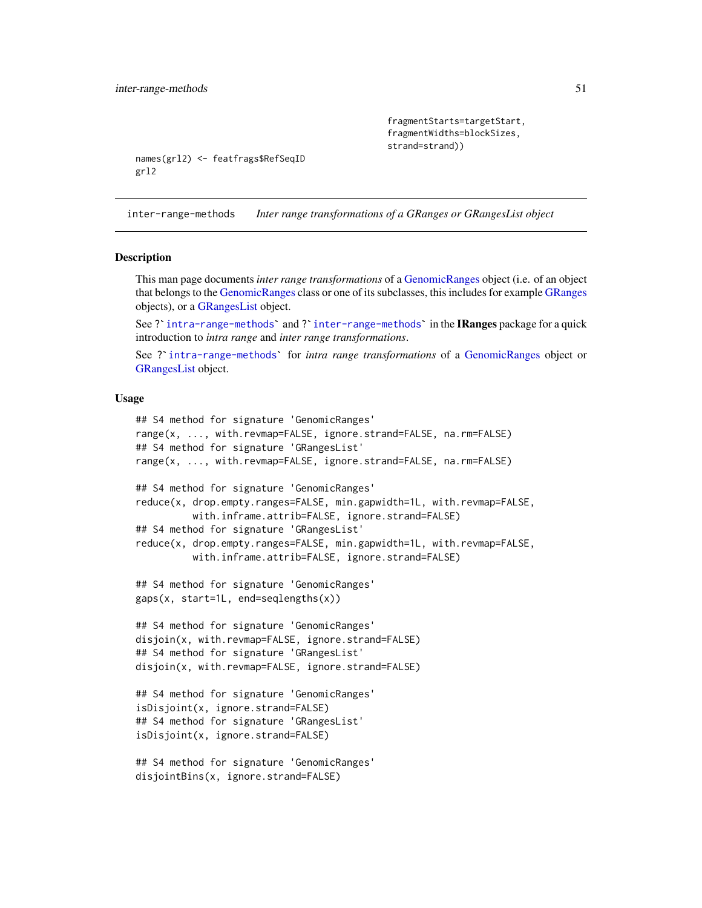```
fragmentStarts=targetStart,
fragmentWidths=blockSizes,
strand=strand))
```

```
names(grl2) <- featfrags$RefSeqID
grl2
```
<span id="page-50-0"></span>inter-range-methods *Inter range transformations of a GRanges or GRangesList object*

#### <span id="page-50-1"></span>Description

This man page documents *inter range transformations* of a [GenomicRanges](#page-35-0) object (i.e. of an object that belongs to the [GenomicRanges](#page-35-0) class or one of its subclasses, this includes for example [GRanges](#page-35-0) objects), or a [GRangesList](#page-45-0) object. This man page documents *inter range transformations* of a GenomicRanges object (i.e. of an object<br>that belongs to the GenomicRanges class or one of its subclasses, this includes for example GRanges<br>objects), or a GRangesL

introduction to *intra range* and *inter range transformations*. See ? [intra-range-methods](#page-54-0)' and ? inter-range-methods' in the **IRanges** package for a quick<br>introduction to *intra range* and *inter range transformations*.<br>See ? intra-range-methods' for *intra range transformations* of a

[GRangesList](#page-45-0) object.

## Usage

```
## S4 method for signature 'GenomicRanges'
range(x, ..., with.revmap=FALSE, ignore.strand=FALSE, na.rm=FALSE)
## S4 method for signature 'GRangesList'
range(x, ..., with.revmap=FALSE, ignore.strand=FALSE, na.rm=FALSE)
## S4 method for signature 'GenomicRanges'
reduce(x, drop.empty.ranges=FALSE, min.gapwidth=1L, with.revmap=FALSE,
          with.inframe.attrib=FALSE, ignore.strand=FALSE)
## S4 method for signature 'GRangesList'
reduce(x, drop.empty.ranges=FALSE, min.gapwidth=1L, with.revmap=FALSE,
          with.inframe.attrib=FALSE, ignore.strand=FALSE)
## S4 method for signature 'GenomicRanges'
gaps(x, start=1L, end=seqlengths(x))
## S4 method for signature 'GenomicRanges'
disjoin(x, with.revmap=FALSE, ignore.strand=FALSE)
## S4 method for signature 'GRangesList'
disjoin(x, with.revmap=FALSE, ignore.strand=FALSE)
## S4 method for signature 'GenomicRanges'
isDisjoint(x, ignore.strand=FALSE)
## S4 method for signature 'GRangesList'
isDisjoint(x, ignore.strand=FALSE)
## S4 method for signature 'GenomicRanges'
disjointBins(x, ignore.strand=FALSE)
```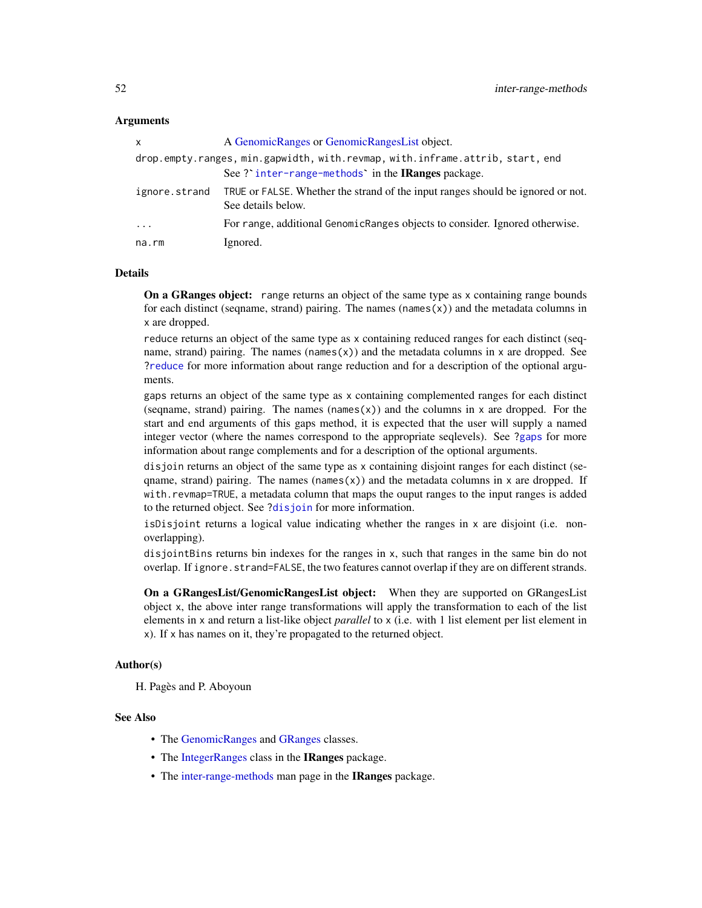### **Arguments**

| X             | A GenomicRanges or GenomicRangesList object.                                                          |  |
|---------------|-------------------------------------------------------------------------------------------------------|--|
|               | drop.empty.ranges, min.gapwidth, with.revmap, with.inframe.attrib, start, end                         |  |
|               | See ? inter-range-methods in the IRanges package.                                                     |  |
| ignore.strand | TRUE or FALSE. Whether the strand of the input ranges should be ignored or not.<br>See details below. |  |
| $\cdot$       | For range, additional GenomicRanges objects to consider. Ignored otherwise.                           |  |
| na.rm         | Ignored.                                                                                              |  |

### Details

On a GRanges object: range returns an object of the same type as x containing range bounds for each distinct (seqname, strand) pairing. The names (names $(x)$ ) and the metadata columns in x are dropped.

reduce returns an object of the same type as x containing reduced ranges for each distinct (seqname, strand) pairing. The names (names $(x)$ ) and the metadata columns in x are dropped. See [?reduce](#page-50-1) for more information about range reduction and for a description of the optional arguments.

gaps returns an object of the same type as x containing complemented ranges for each distinct (seqname, strand) pairing. The names (names $(x)$ ) and the columns in x are dropped. For the start and end arguments of this gaps method, it is expected that the user will supply a named integer vector (where the names correspond to the appropriate seqlevels). See [?gaps](#page-50-1) for more information about range complements and for a description of the optional arguments.

disjoin returns an object of the same type as x containing disjoint ranges for each distinct (seqname, strand) pairing. The names (names(x)) and the metadata columns in x are dropped. If with.revmap=TRUE, a metadata column that maps the ouput ranges to the input ranges is added to the returned object. See [?disjoin](#page-50-1) for more information.

isDisjoint returns a logical value indicating whether the ranges in x are disjoint (i.e. nonoverlapping).

disjointBins returns bin indexes for the ranges in x, such that ranges in the same bin do not overlap. If ignore.strand=FALSE, the two features cannot overlap if they are on different strands.

On a GRangesList/GenomicRangesList object: When they are supported on GRangesList object x, the above inter range transformations will apply the transformation to each of the list elements in x and return a list-like object *parallel* to x (i.e. with 1 list element per list element in x). If x has names on it, they're propagated to the returned object.

#### Author(s)

H. Pagès and P. Aboyoun

### See Also

- The [GenomicRanges](#page-35-0) and [GRanges](#page-35-0) classes.
- The [IntegerRanges](#page-0-0) class in the **IRanges** package.
- The [inter-range-methods](#page-50-0) man page in the IRanges package.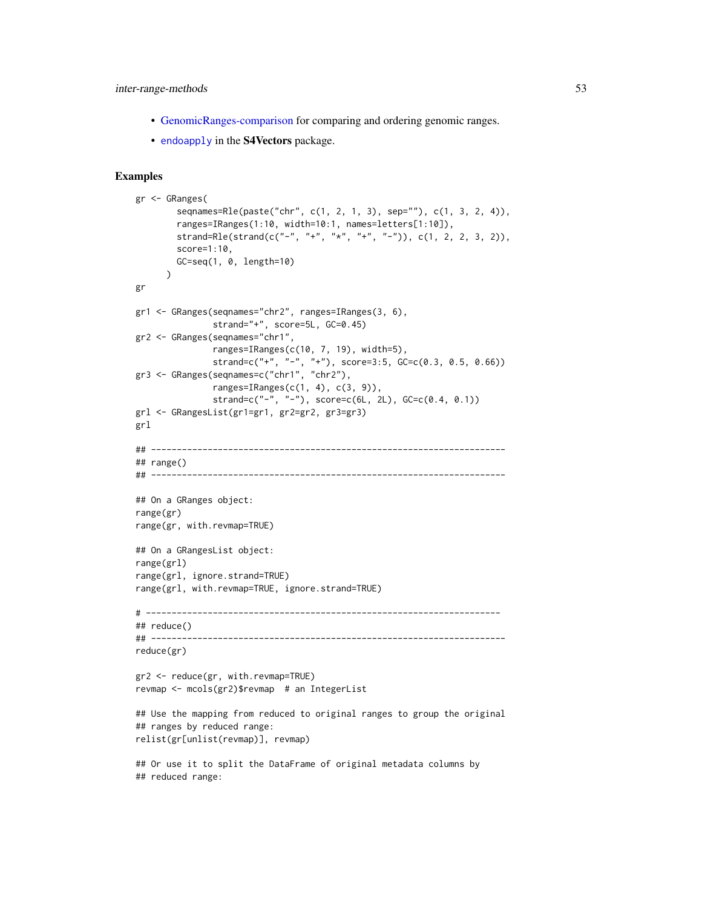## inter-range-methods 53

- [GenomicRanges-comparison](#page-17-0) for comparing and ordering genomic ranges.
- [endoapply](#page-0-0) in the S4Vectors package.

```
gr <- GRanges(
        seqnames=Rle(paste("chr", c(1, 2, 1, 3), sep=""), c(1, 3, 2, 4)),
        ranges=IRanges(1:10, width=10:1, names=letters[1:10]),
        strand=Rle(strand(c("-", "+", "*", "+", "-")), c(1, 2, 2, 3, 2)),
        score=1:10,
        GC=seq(1, 0, length=10)
      )
gr
gr1 <- GRanges(seqnames="chr2", ranges=IRanges(3, 6),
              strand="+", score=5L, GC=0.45)
gr2 <- GRanges(seqnames="chr1",
               ranges=IRanges(c(10, 7, 19), width=5),
               strand=c("+", "-", "+"), score=3:5, GC=c(0.3, 0.5, 0.66))
gr3 <- GRanges(seqnames=c("chr1", "chr2"),
               ranges=IRanges(c(1, 4), c(3, 9)),
               strand=c("-", "-"), score=c(6L, 2L), GC=c(0.4, 0.1))
grl <- GRangesList(gr1=gr1, gr2=gr2, gr3=gr3)
grl
## ---------------------------------------------------------------------
## range()
                   ## ---------------------------------------------------------------------
## On a GRanges object:
range(gr)
range(gr, with.revmap=TRUE)
## On a GRangesList object:
range(grl)
range(grl, ignore.strand=TRUE)
range(grl, with.revmap=TRUE, ignore.strand=TRUE)
# ---------------------------------------------------------------------
## reduce()
## ---------------------------------------------------------------------
reduce(gr)
gr2 <- reduce(gr, with.revmap=TRUE)
revmap <- mcols(gr2)$revmap # an IntegerList
## Use the mapping from reduced to original ranges to group the original
## ranges by reduced range:
relist(gr[unlist(revmap)], revmap)
## Or use it to split the DataFrame of original metadata columns by
## reduced range:
```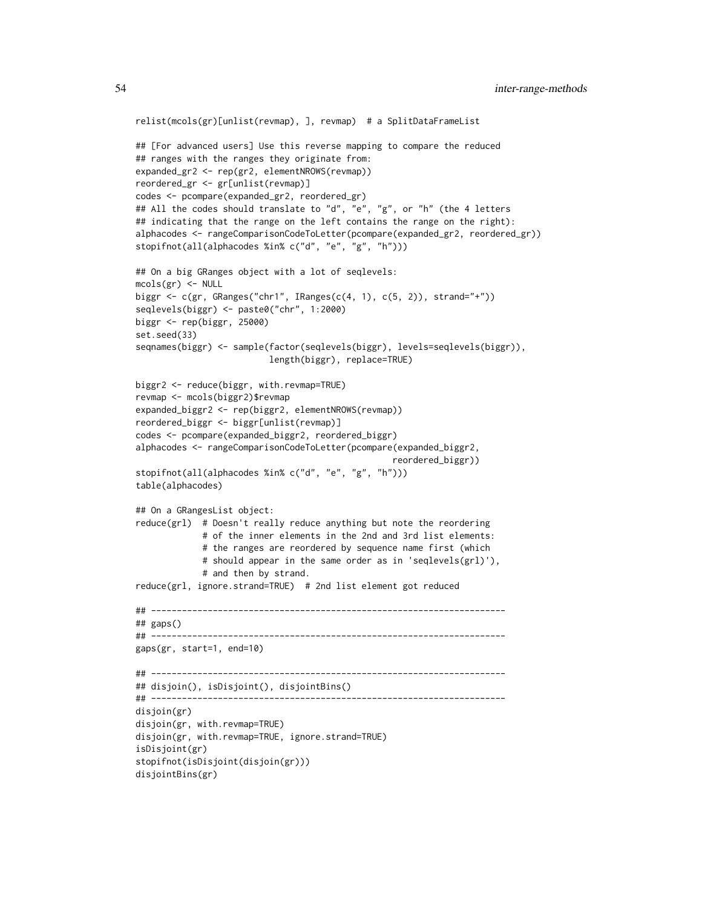```
relist(mcols(gr)[unlist(revmap), ], revmap) # a SplitDataFrameList
## [For advanced users] Use this reverse mapping to compare the reduced
## ranges with the ranges they originate from:
expanded_gr2 <- rep(gr2, elementNROWS(revmap))
reordered_gr <- gr[unlist(revmap)]
codes <- pcompare(expanded_gr2, reordered_gr)
## All the codes should translate to "d", "e", "g", or "h" (the 4 letters
## indicating that the range on the left contains the range on the right):
alphacodes <- rangeComparisonCodeToLetter(pcompare(expanded_gr2, reordered_gr))
stopifnot(all(alphacodes %in% c("d", "e", "g", "h")))
## On a big GRanges object with a lot of seqlevels:
mcols(gr) < - NULLbiggr <- c(gr, GRanges("chr1", IRanges(c(4, 1), c(5, 2)), strand="+"))
seqlevels(biggr) <- paste0("chr", 1:2000)
biggr <- rep(biggr, 25000)
set.seed(33)
seqnames(biggr) <- sample(factor(seqlevels(biggr), levels=seqlevels(biggr)),
                          length(biggr), replace=TRUE)
biggr2 <- reduce(biggr, with.revmap=TRUE)
revmap <- mcols(biggr2)$revmap
expanded_biggr2 <- rep(biggr2, elementNROWS(revmap))
reordered_biggr <- biggr[unlist(revmap)]
codes <- pcompare(expanded_biggr2, reordered_biggr)
alphacodes <- rangeComparisonCodeToLetter(pcompare(expanded_biggr2,
                                                 reordered_biggr))
stopifnot(all(alphacodes %in% c("d", "e", "g", "h")))
table(alphacodes)
## On a GRangesList object:
reduce(grl) # Doesn't really reduce anything but note the reordering
             # of the inner elements in the 2nd and 3rd list elements:
             # the ranges are reordered by sequence name first (which
             # should appear in the same order as in 'seqlevels(grl)'),
             # and then by strand.
reduce(grl, ignore.strand=TRUE) # 2nd list element got reduced
## ---------------------------------------------------------------------
## gaps()
## ---------------------------------------------------------------------
gaps(gr, start=1, end=10)
## ---------------------------------------------------------------------
## disjoin(), isDisjoint(), disjointBins()
## ---------------------------------------------------------------------
disjoin(gr)
disjoin(gr, with.revmap=TRUE)
disjoin(gr, with.revmap=TRUE, ignore.strand=TRUE)
isDisjoint(gr)
stopifnot(isDisjoint(disjoin(gr)))
disjointBins(gr)
```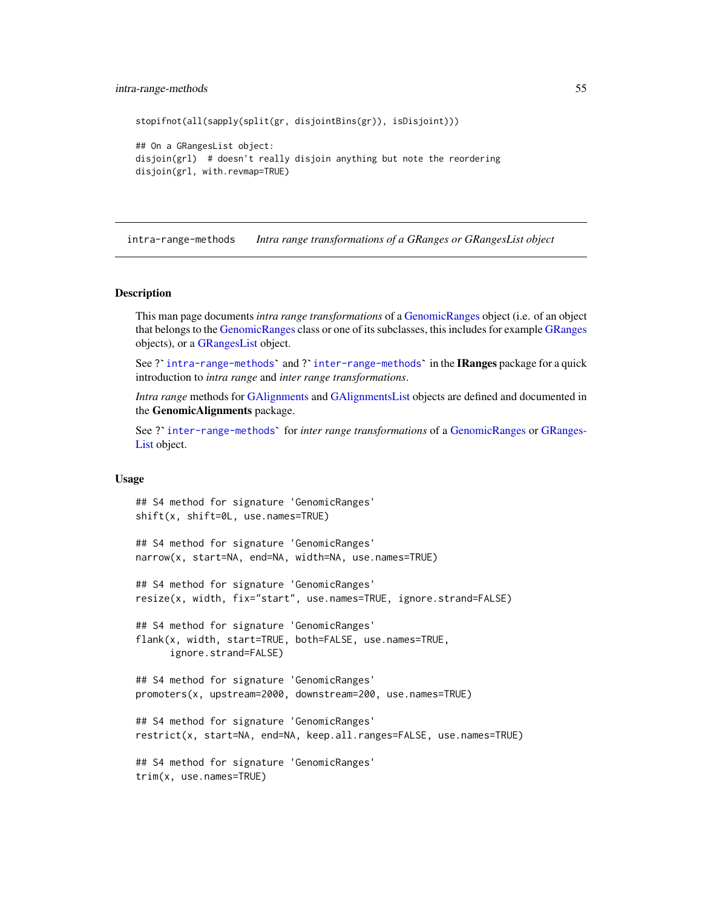#### intra-range-methods 55

```
stopifnot(all(sapply(split(gr, disjointBins(gr)), isDisjoint)))
```

```
## On a GRangesList object:
disjoin(grl) # doesn't really disjoin anything but note the reordering
disjoin(grl, with.revmap=TRUE)
```
<span id="page-54-0"></span>intra-range-methods *Intra range transformations of a GRanges or GRangesList object*

#### **Description**

This man page documents *intra range transformations* of a [GenomicRanges](#page-35-0) object (i.e. of an object that belongs to the [GenomicRanges](#page-35-0) class or one of its subclasses, this includes for example [GRanges](#page-35-0) objects), or a [GRangesList](#page-45-0) object.

See? [intra-range-methods](#page-54-0)' and? [inter-range-methods](#page-50-0)' in the IRanges package for a quick introduction to *intra range* and *inter range transformations*.

*Intra range* methods for [GAlignments](#page-0-0) and [GAlignmentsList](#page-0-0) objects are defined and documented in the GenomicAlignments package. Intra range methods for GAlignments and GAlignments List objects are defined and documented in<br>the **GenomicAlignments** package.<br>See ?`[inter-range-methods](#page-50-0)` for *inter range transformations* of a [GenomicRanges](#page-35-0) or [GRanges-](#page-45-0)

[List](#page-45-0) object.

### Usage

```
## S4 method for signature 'GenomicRanges'
shift(x, shift=0L, use.names=TRUE)
```

```
## S4 method for signature 'GenomicRanges'
narrow(x, start=NA, end=NA, width=NA, use.names=TRUE)
```

```
## S4 method for signature 'GenomicRanges'
resize(x, width, fix="start", use.names=TRUE, ignore.strand=FALSE)
```

```
## S4 method for signature 'GenomicRanges'
flank(x, width, start=TRUE, both=FALSE, use.names=TRUE,
     ignore.strand=FALSE)
```

```
## S4 method for signature 'GenomicRanges'
promoters(x, upstream=2000, downstream=200, use.names=TRUE)
```

```
## S4 method for signature 'GenomicRanges'
restrict(x, start=NA, end=NA, keep.all.ranges=FALSE, use.names=TRUE)
```

```
## S4 method for signature 'GenomicRanges'
trim(x, use.names=TRUE)
```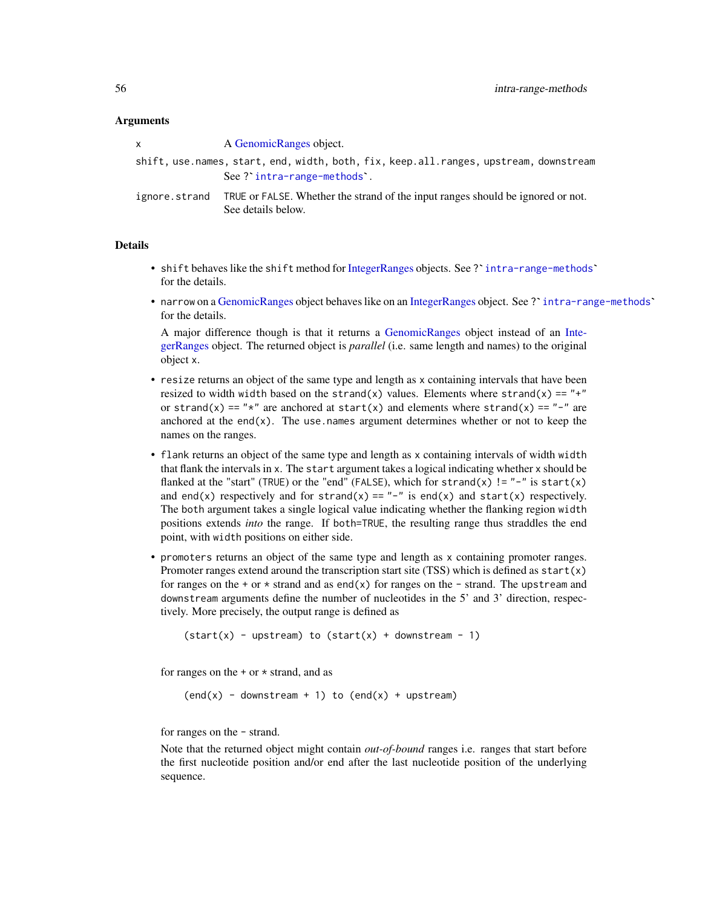### **Arguments**

| x             | A GenomicRanges object.                                                                                            |  |  |
|---------------|--------------------------------------------------------------------------------------------------------------------|--|--|
|               | shift, use.names, start, end, width, both, fix, keep.all.ranges, upstream, downstream<br>See? intra-range-methods. |  |  |
| ignore.strand | TRUE or FALSE. Whether the strand of the input ranges should be ignored or not.<br>See details below.              |  |  |

### Details

- shift behaves like the shift method for [IntegerRanges](#page-0-0) objects. See ? [intra-range-methods](#page-54-0)` for the details.
- narrow on a [GenomicRanges](#page-35-0) object behaves like on an [IntegerRanges](#page-0-0) object. See ? [intra-range-methods](#page-54-0)` for the details.

A major difference though is that it returns a [GenomicRanges](#page-35-0) object instead of an [Inte](#page-0-0)[gerRanges](#page-0-0) object. The returned object is *parallel* (i.e. same length and names) to the original object x.

- resize returns an object of the same type and length as x containing intervals that have been resized to width width based on the strand(x) values. Elements where strand(x) == "+" or strand(x) == " $*$ " are anchored at start(x) and elements where strand(x) == "-" are anchored at the end $(x)$ . The use names argument determines whether or not to keep the names on the ranges.
- flank returns an object of the same type and length as x containing intervals of width width that flank the intervals in x. The start argument takes a logical indicating whether x should be flanked at the "start" (TRUE) or the "end" (FALSE), which for strand(x) != "-" is start(x) and end(x) respectively and for strand(x) == "-" is end(x) and start(x) respectively. The both argument takes a single logical value indicating whether the flanking region width positions extends *into* the range. If both=TRUE, the resulting range thus straddles the end point, with width positions on either side.
- promoters returns an object of the same type and length as x containing promoter ranges. Promoter ranges extend around the transcription start site (TSS) which is defined as  $start(x)$ for ranges on the + or  $*$  strand and as end(x) for ranges on the - strand. The upstream and downstream arguments define the number of nucleotides in the 5' and 3' direction, respectively. More precisely, the output range is defined as

```
(start(x) - upstream) to (start(x) + downstream - 1)
```
for ranges on the  $+$  or  $*$  strand, and as

 $(end(x) - downstream + 1)$  to  $(end(x) + upstream)$ 

for ranges on the - strand.

Note that the returned object might contain *out-of-bound* ranges i.e. ranges that start before the first nucleotide position and/or end after the last nucleotide position of the underlying sequence.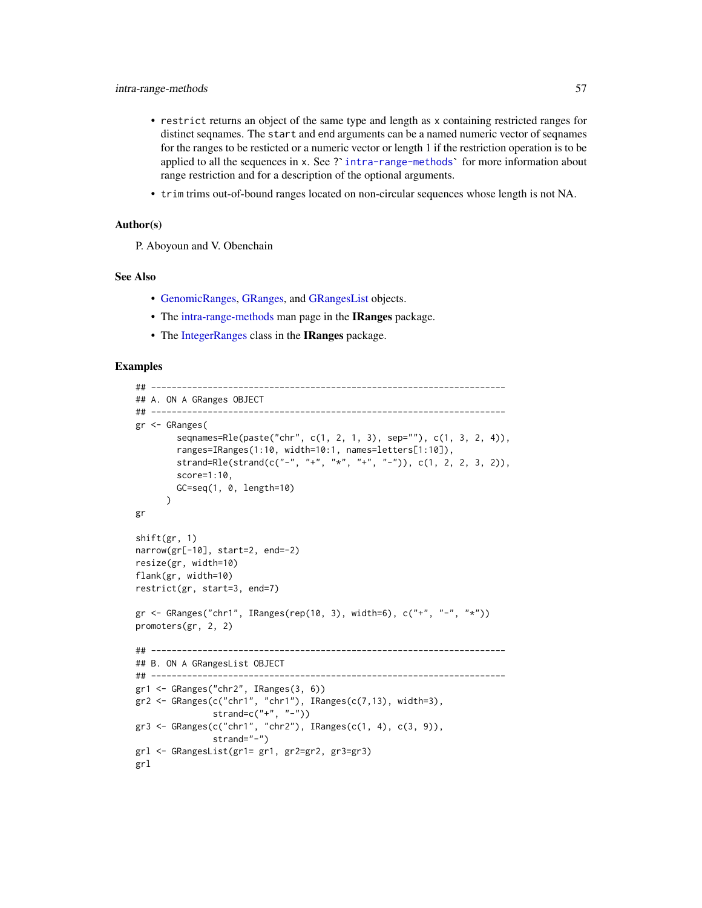- restrict returns an object of the same type and length as x containing restricted ranges for distinct seqnames. The start and end arguments can be a named numeric vector of seqnames for the ranges to be restricted or a n distinct seqnames. The start and end arguments can be a named numeric vector of seqnames for the ranges to be resticted or a numeric vector or length 1 if the restriction operation is to be range restriction and for a description of the optional arguments.
- trim trims out-of-bound ranges located on non-circular sequences whose length is not NA.

### Author(s)

P. Aboyoun and V. Obenchain

## See Also

- [GenomicRanges,](#page-35-0) [GRanges,](#page-35-0) and [GRangesList](#page-45-0) objects.
- The [intra-range-methods](#page-54-0) man page in the **IRanges** package.
- The [IntegerRanges](#page-0-0) class in the IRanges package.

```
## ---------------------------------------------------------------------
## A. ON A GRanges OBJECT
## ---------------------------------------------------------------------
gr <- GRanges(
        seqnames=Rle(paste("chr", c(1, 2, 1, 3), sep=""), c(1, 3, 2, 4)),
        ranges=IRanges(1:10, width=10:1, names=letters[1:10]),
        strand=Rle(strand(c("-", "+", "*", "+", "-")), c(1, 2, 2, 3, 2)),
        score=1:10,
        GC=seq(1, 0, length=10)
      )
gr
shift(gr, 1)
narrow(gr[-10], start=2, end=-2)
resize(gr, width=10)
flank(gr, width=10)
restrict(gr, start=3, end=7)
gr <- GRanges("chr1", IRanges(rep(10, 3), width=6), c("+", "-", "*"))
promoters(gr, 2, 2)
## ---------------------------------------------------------------------
## B. ON A GRangesList OBJECT
## ---------------------------------------------------------------------
gr1 <- GRanges("chr2", IRanges(3, 6))
gr2 \leq GRanges(c("chr1", "chr1"), IRanges(c(7, 13), width=3),strand=c("+", "-"))gr3 <- GRanges(c("chr1", "chr2"), IRanges(c(1, 4), c(3, 9)),
               strand="-")
grl <- GRangesList(gr1= gr1, gr2=gr2, gr3=gr3)
grl
```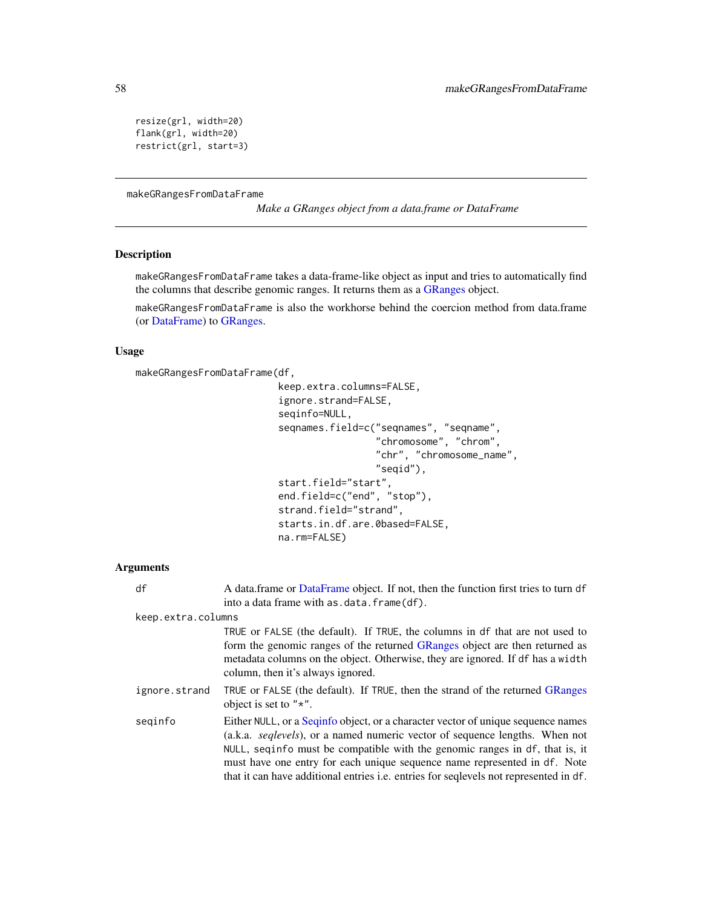```
resize(grl, width=20)
flank(grl, width=20)
restrict(grl, start=3)
```
<span id="page-57-0"></span>makeGRangesFromDataFrame

*Make a GRanges object from a data.frame or DataFrame*

## Description

makeGRangesFromDataFrame takes a data-frame-like object as input and tries to automatically find the columns that describe genomic ranges. It returns them as a [GRanges](#page-35-0) object.

makeGRangesFromDataFrame is also the workhorse behind the coercion method from data.frame (or [DataFrame\)](#page-0-0) to [GRanges.](#page-35-0)

#### Usage

```
makeGRangesFromDataFrame(df,
```

```
keep.extra.columns=FALSE,
ignore.strand=FALSE,
seqinfo=NULL,
seqnames.field=c("seqnames", "seqname",
                 "chromosome", "chrom",
                 "chr", "chromosome_name",
                 "seqid"),
start.field="start",
end.field=c("end", "stop"),
strand.field="strand",
starts.in.df.are.0based=FALSE,
na.rm=FALSE)
```
### Arguments

| df                 | A data frame or Data Frame object. If not, then the function first tries to turn df<br>into a data frame with as . data. frame (df).                                                                                                                                                                                                                                                                                        |  |
|--------------------|-----------------------------------------------------------------------------------------------------------------------------------------------------------------------------------------------------------------------------------------------------------------------------------------------------------------------------------------------------------------------------------------------------------------------------|--|
| keep.extra.columns |                                                                                                                                                                                                                                                                                                                                                                                                                             |  |
|                    | TRUE or FALSE (the default). If TRUE, the columns in df that are not used to<br>form the genomic ranges of the returned GRanges object are then returned as<br>metadata columns on the object. Otherwise, they are ignored. If df has a width<br>column, then it's always ignored.                                                                                                                                          |  |
| ignore.strand      | TRUE or FALSE (the default). If TRUE, then the strand of the returned GRanges<br>object is set to " $*$ ".                                                                                                                                                                                                                                                                                                                  |  |
| seginfo            | Either NULL, or a Sequinfo object, or a character vector of unique sequence names<br>(a.k.a. <i>seqlevels</i> ), or a named numeric vector of sequence lengths. When not<br>NULL, seqinfo must be compatible with the genomic ranges in df, that is, it<br>must have one entry for each unique sequence name represented in df. Note<br>that it can have additional entries i.e. entries for sequels not represented in df. |  |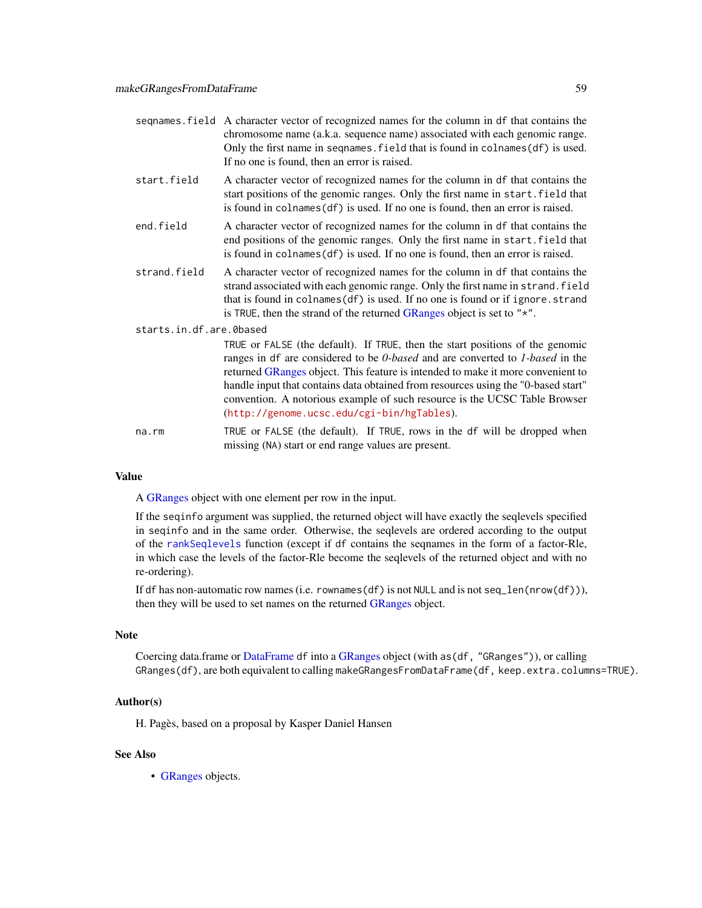- seqnames.field A character vector of recognized names for the column in df that contains the chromosome name (a.k.a. sequence name) associated with each genomic range. Only the first name in segnames. field that is found in colnames(df) is used. If no one is found, then an error is raised.
- start.field A character vector of recognized names for the column in df that contains the start positions of the genomic ranges. Only the first name in start.field that is found in colnames(df) is used. If no one is found, then an error is raised.
- end.field A character vector of recognized names for the column in df that contains the end positions of the genomic ranges. Only the first name in start.field that is found in colnames(df) is used. If no one is found, then an error is raised.
- strand. field A character vector of recognized names for the column in df that contains the strand associated with each genomic range. Only the first name in strand. field that is found in colnames(df) is used. If no one is found or if ignore.strand is TRUE, then the strand of the returned [GRanges](#page-35-0) object is set to "\*".

### starts.in.df.are.0based

TRUE or FALSE (the default). If TRUE, then the start positions of the genomic ranges in df are considered to be *0-based* and are converted to *1-based* in the returned [GRanges](#page-35-0) object. This feature is intended to make it more convenient to handle input that contains data obtained from resources using the "0-based start" convention. A notorious example of such resource is the UCSC Table Browser (<http://genome.ucsc.edu/cgi-bin/hgTables>).

na.rm TRUE or FALSE (the default). If TRUE, rows in the df will be dropped when missing (NA) start or end range values are present.

#### Value

A [GRanges](#page-35-0) object with one element per row in the input.

If the seqinfo argument was supplied, the returned object will have exactly the seqlevels specified in seqinfo and in the same order. Otherwise, the seqlevels are ordered according to the output of the [rankSeqlevels](#page-0-0) function (except if df contains the seqnames in the form of a factor-Rle, in which case the levels of the factor-Rle become the seqlevels of the returned object and with no re-ordering).

If df has non-automatic row names (i.e. rownames(df) is not NULL and is not seq\_len(nrow(df))), then they will be used to set names on the returned [GRanges](#page-35-0) object.

### Note

Coercing data.frame or [DataFrame](#page-0-0) df into a [GRanges](#page-35-0) object (with as(df, "GRanges")), or calling GRanges(df), are both equivalent to calling makeGRangesFromDataFrame(df, keep.extra.columns=TRUE).

#### Author(s)

H. Pagès, based on a proposal by Kasper Daniel Hansen

## See Also

• [GRanges](#page-35-0) objects.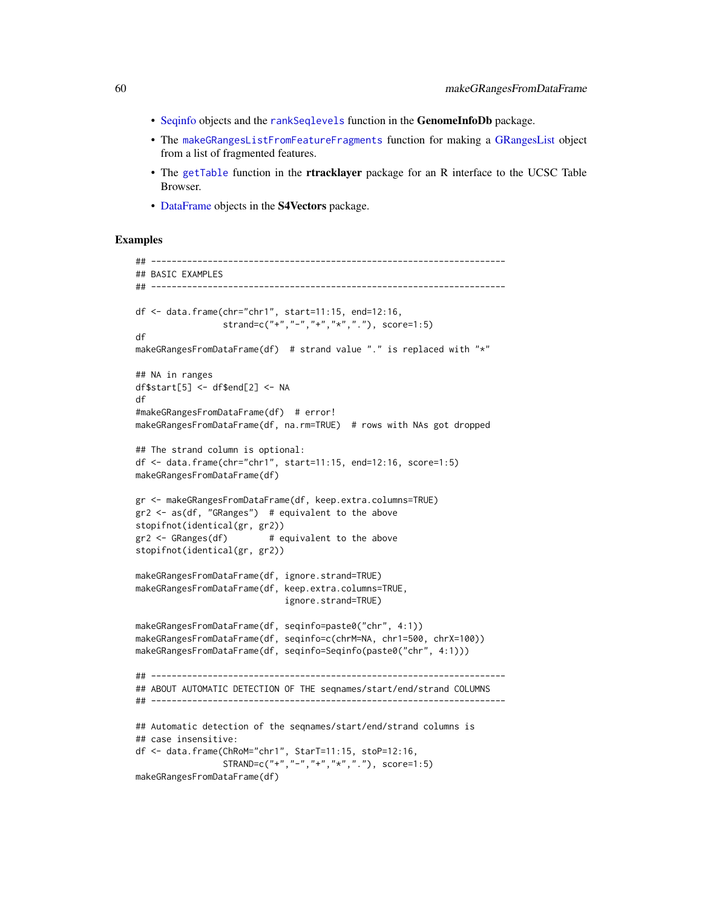- [Seqinfo](#page-0-0) objects and the [rankSeqlevels](#page-0-0) function in the GenomeInfoDb package.
- The [makeGRangesListFromFeatureFragments](#page-45-0) function for making a [GRangesList](#page-45-0) object from a list of fragmented features.
- The [getTable](#page-0-0) function in the **rtracklayer** package for an R interface to the UCSC Table Browser.
- [DataFrame](#page-0-0) objects in the S4Vectors package.

```
## ---------------------------------------------------------------------
## BASIC EXAMPLES
## ---------------------------------------------------------------------
df <- data.frame(chr="chr1", start=11:15, end=12:16,
                 strand=c("+","-","+","*","."), score=1:5)
df
makeGRangesFromDataFrame(df) # strand value "." is replaced with "*"
## NA in ranges
df$start[5] <- df$end[2] <- NA
df
#makeGRangesFromDataFrame(df) # error!
makeGRangesFromDataFrame(df, na.rm=TRUE) # rows with NAs got dropped
## The strand column is optional:
df <- data.frame(chr="chr1", start=11:15, end=12:16, score=1:5)
makeGRangesFromDataFrame(df)
gr <- makeGRangesFromDataFrame(df, keep.extra.columns=TRUE)
gr2 <- as(df, "GRanges") # equivalent to the above
stopifnot(identical(gr, gr2))
gr2 \leq - GRanges(df) # equivalent to the above
stopifnot(identical(gr, gr2))
makeGRangesFromDataFrame(df, ignore.strand=TRUE)
makeGRangesFromDataFrame(df, keep.extra.columns=TRUE,
                             ignore.strand=TRUE)
makeGRangesFromDataFrame(df, seqinfo=paste0("chr", 4:1))
makeGRangesFromDataFrame(df, seqinfo=c(chrM=NA, chr1=500, chrX=100))
makeGRangesFromDataFrame(df, seqinfo=Seqinfo(paste0("chr", 4:1)))
## ---------------------------------------------------------------------
## ABOUT AUTOMATIC DETECTION OF THE seqnames/start/end/strand COLUMNS
## ---------------------------------------------------------------------
## Automatic detection of the seqnames/start/end/strand columns is
## case insensitive:
df <- data.frame(ChRoM="chr1", StarT=11:15, stoP=12:16,
                 STRAND=c("+","-","+","*","."), score=1:5)
makeGRangesFromDataFrame(df)
```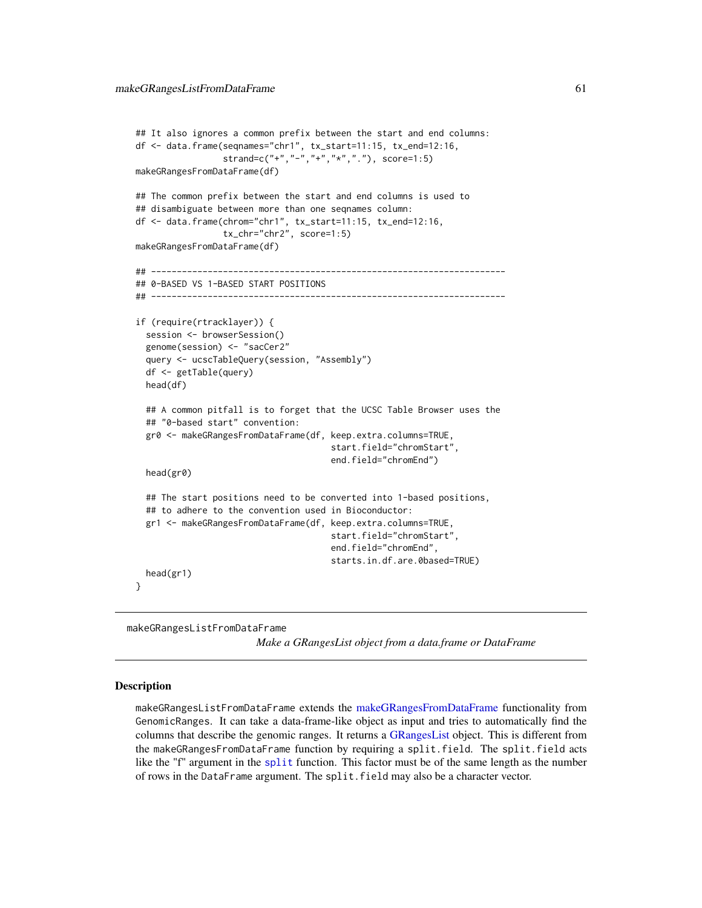```
## It also ignores a common prefix between the start and end columns:
df <- data.frame(seqnames="chr1", tx_start=11:15, tx_end=12:16,
                 strand=c("+","-","+","*","."), score=1:5)
makeGRangesFromDataFrame(df)
## The common prefix between the start and end columns is used to
## disambiguate between more than one seqnames column:
df <- data.frame(chrom="chr1", tx_start=11:15, tx_end=12:16,
                 tx_chr="chr2", score=1:5)
makeGRangesFromDataFrame(df)
## ---------------------------------------------------------------------
## 0-BASED VS 1-BASED START POSITIONS
## ---------------------------------------------------------------------
if (require(rtracklayer)) {
 session <- browserSession()
 genome(session) <- "sacCer2"
 query <- ucscTableQuery(session, "Assembly")
 df <- getTable(query)
 head(df)
 ## A common pitfall is to forget that the UCSC Table Browser uses the
 ## "0-based start" convention:
 gr0 <- makeGRangesFromDataFrame(df, keep.extra.columns=TRUE,
                                      start.field="chromStart",
                                      end.field="chromEnd")
 head(gr0)
 ## The start positions need to be converted into 1-based positions,
 ## to adhere to the convention used in Bioconductor:
 gr1 <- makeGRangesFromDataFrame(df, keep.extra.columns=TRUE,
                                      start.field="chromStart",
                                      end.field="chromEnd",
                                      starts.in.df.are.0based=TRUE)
 head(gr1)
}
```
makeGRangesListFromDataFrame

*Make a GRangesList object from a data.frame or DataFrame*

#### Description

makeGRangesListFromDataFrame extends the [makeGRangesFromDataFrame](#page-57-0) functionality from GenomicRanges. It can take a data-frame-like object as input and tries to automatically find the columns that describe the genomic ranges. It returns a [GRangesList](#page-45-0) object. This is different from the makeGRangesFromDataFrame function by requiring a split.field. The split.field acts like the "f" argument in the [split](#page-0-0) function. This factor must be of the same length as the number of rows in the DataFrame argument. The split.field may also be a character vector.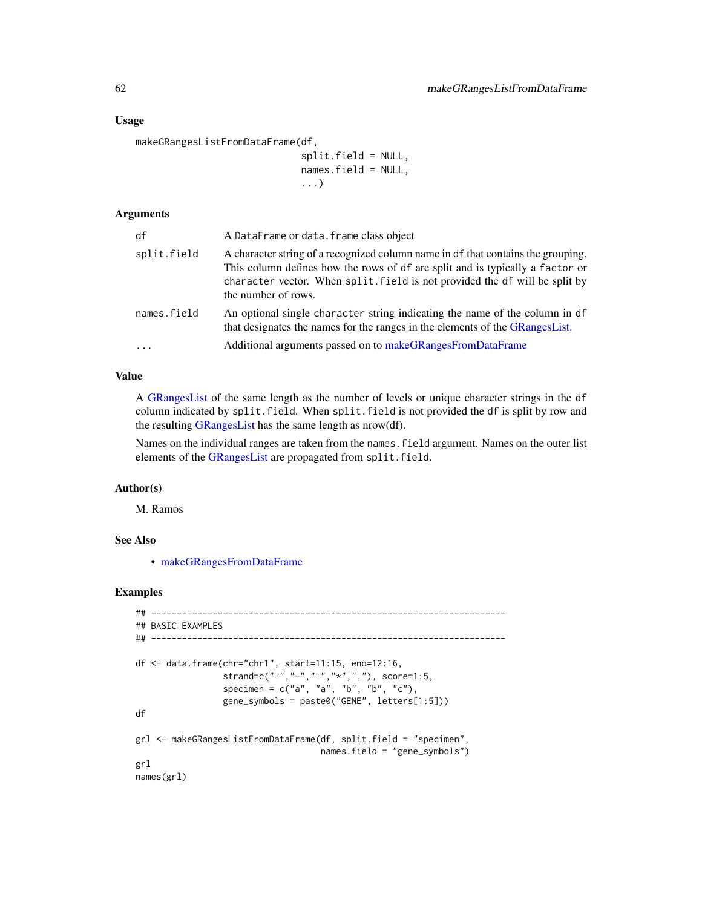### Usage

```
makeGRangesListFromDataFrame(df,
```
split.field = NULL, names.field = NULL, ...)

### Arguments

| df          | A DataFrame or data. frame class object                                                                                                                                                                                                                                |
|-------------|------------------------------------------------------------------------------------------------------------------------------------------------------------------------------------------------------------------------------------------------------------------------|
| split.field | A character string of a recognized column name in df that contains the grouping.<br>This column defines how the rows of df are split and is typically a factor or<br>character vector. When split field is not provided the df will be split by<br>the number of rows. |
| names.field | An optional single character string indicating the name of the column in df<br>that designates the names for the ranges in the elements of the GRangesList.                                                                                                            |
| $\cdots$    | Additional arguments passed on to make GRanges From Data Frame                                                                                                                                                                                                         |

# Value

A [GRangesList](#page-45-1) of the same length as the number of levels or unique character strings in the df column indicated by split.field. When split.field is not provided the df is split by row and the resulting [GRangesList](#page-45-1) has the same length as nrow(df).

Names on the individual ranges are taken from the names.field argument. Names on the outer list elements of the [GRangesList](#page-45-1) are propagated from split.field.

### Author(s)

M. Ramos

# See Also

• [makeGRangesFromDataFrame](#page-57-0)

```
## ---------------------------------------------------------------------
## BASIC EXAMPLES
## ---------------------------------------------------------------------
df <- data.frame(chr="chr1", start=11:15, end=12:16,
                 strand=c("+","-","+","*","."), score=1:5,
                 specimen = c("a", "a", "b", "b", "c"),
                 gene_symbols = paste0("GENE", letters[1:5]))
df
grl <- makeGRangesListFromDataFrame(df, split.field = "specimen",
                                    names.field = "gene_symbols")
grl
names(grl)
```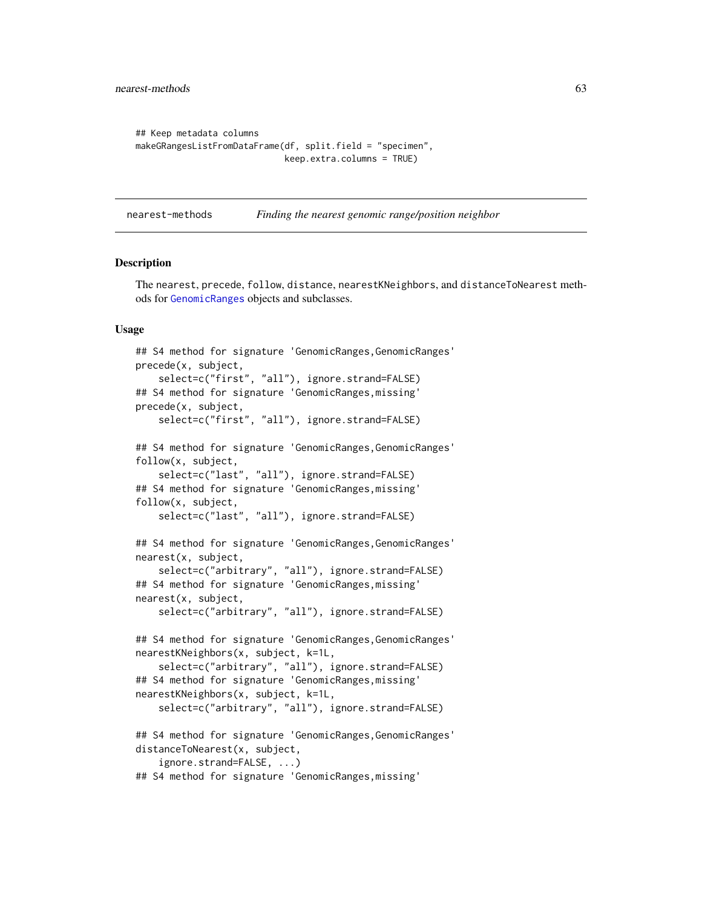```
## Keep metadata columns
makeGRangesListFromDataFrame(df, split.field = "specimen",
                             keep.extra.columns = TRUE)
```
<span id="page-62-0"></span>nearest-methods *Finding the nearest genomic range/position neighbor*

#### **Description**

The nearest, precede, follow, distance, nearestKNeighbors, and distanceToNearest methods for [GenomicRanges](#page-35-0) objects and subclasses.

### Usage

```
## S4 method for signature 'GenomicRanges, GenomicRanges'
precede(x, subject,
    select=c("first", "all"), ignore.strand=FALSE)
## S4 method for signature 'GenomicRanges,missing'
precede(x, subject,
    select=c("first", "all"), ignore.strand=FALSE)
## S4 method for signature 'GenomicRanges, GenomicRanges'
follow(x, subject,
    select=c("last", "all"), ignore.strand=FALSE)
## S4 method for signature 'GenomicRanges,missing'
follow(x, subject,
    select=c("last", "all"), ignore.strand=FALSE)
## S4 method for signature 'GenomicRanges, GenomicRanges'
nearest(x, subject,
    select=c("arbitrary", "all"), ignore.strand=FALSE)
## S4 method for signature 'GenomicRanges,missing'
nearest(x, subject,
    select=c("arbitrary", "all"), ignore.strand=FALSE)
## S4 method for signature 'GenomicRanges, GenomicRanges'
nearestKNeighbors(x, subject, k=1L,
    select=c("arbitrary", "all"), ignore.strand=FALSE)
## S4 method for signature 'GenomicRanges,missing'
nearestKNeighbors(x, subject, k=1L,
    select=c("arbitrary", "all"), ignore.strand=FALSE)
## S4 method for signature 'GenomicRanges,GenomicRanges'
distanceToNearest(x, subject,
    ignore.strand=FALSE, ...)
## S4 method for signature 'GenomicRanges,missing'
```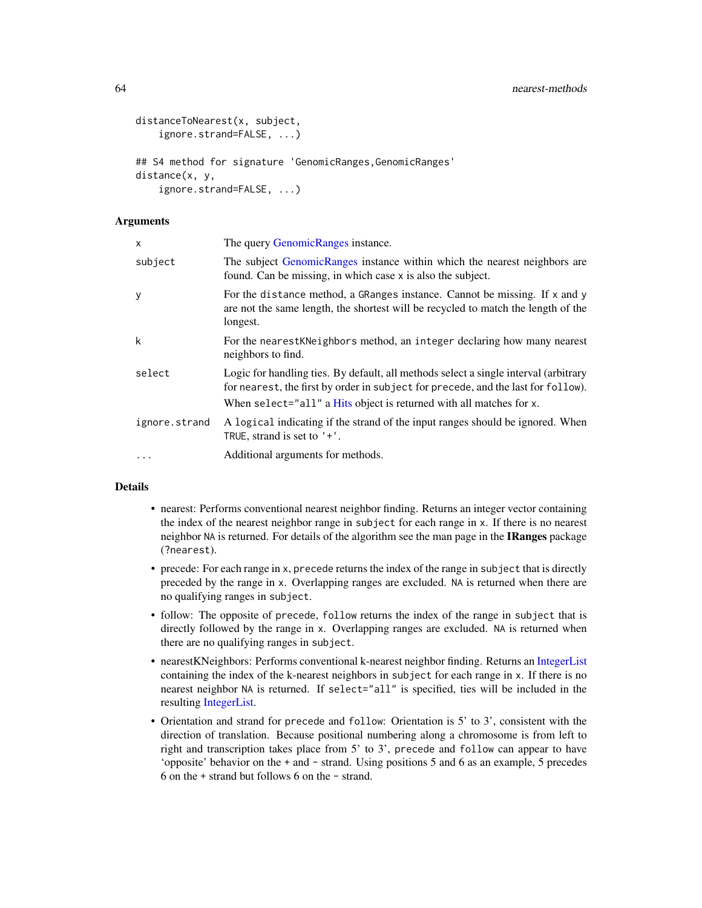```
distanceToNearest(x, subject,
    ignore.strand=FALSE, ...)
## S4 method for signature 'GenomicRanges, GenomicRanges'
distance(x, y,
    ignore.strand=FALSE, ...)
```
### **Arguments**

| X             | The query GenomicRanges instance.                                                                                                                                                                                                                |
|---------------|--------------------------------------------------------------------------------------------------------------------------------------------------------------------------------------------------------------------------------------------------|
| subject       | The subject GenomicRanges instance within which the nearest neighbors are<br>found. Can be missing, in which case x is also the subject.                                                                                                         |
| y             | For the distance method, a GRanges instance. Cannot be missing. If x and y<br>are not the same length, the shortest will be recycled to match the length of the<br>longest.                                                                      |
| k             | For the nearest KNeighbors method, an integer declaring how many nearest<br>neighbors to find.                                                                                                                                                   |
| select        | Logic for handling ties. By default, all methods select a single interval (arbitrary<br>for nearest, the first by order in subject for precede, and the last for follow).<br>When select="all" a Hits object is returned with all matches for x. |
| ignore.strand | A logical indicating if the strand of the input ranges should be ignored. When<br>TRUE, strand is set to $'+'.$                                                                                                                                  |
| $\cdots$      | Additional arguments for methods.                                                                                                                                                                                                                |

#### Details

- nearest: Performs conventional nearest neighbor finding. Returns an integer vector containing the index of the nearest neighbor range in subject for each range in x. If there is no nearest neighbor NA is returned. For details of the algorithm see the man page in the IRanges package (?nearest).
- precede: For each range in x, precede returns the index of the range in subject that is directly preceded by the range in x. Overlapping ranges are excluded. NA is returned when there are no qualifying ranges in subject.
- follow: The opposite of precede, follow returns the index of the range in subject that is directly followed by the range in x. Overlapping ranges are excluded. NA is returned when there are no qualifying ranges in subject.
- nearestKNeighbors: Performs conventional k-nearest neighbor finding. Returns an [IntegerList](#page-0-0) containing the index of the k-nearest neighbors in subject for each range in x. If there is no nearest neighbor NA is returned. If select="all" is specified, ties will be included in the resulting [IntegerList.](#page-0-0)
- Orientation and strand for precede and follow: Orientation is 5' to 3', consistent with the direction of translation. Because positional numbering along a chromosome is from left to right and transcription takes place from 5' to 3', precede and follow can appear to have 'opposite' behavior on the + and - strand. Using positions 5 and 6 as an example, 5 precedes 6 on the + strand but follows 6 on the - strand.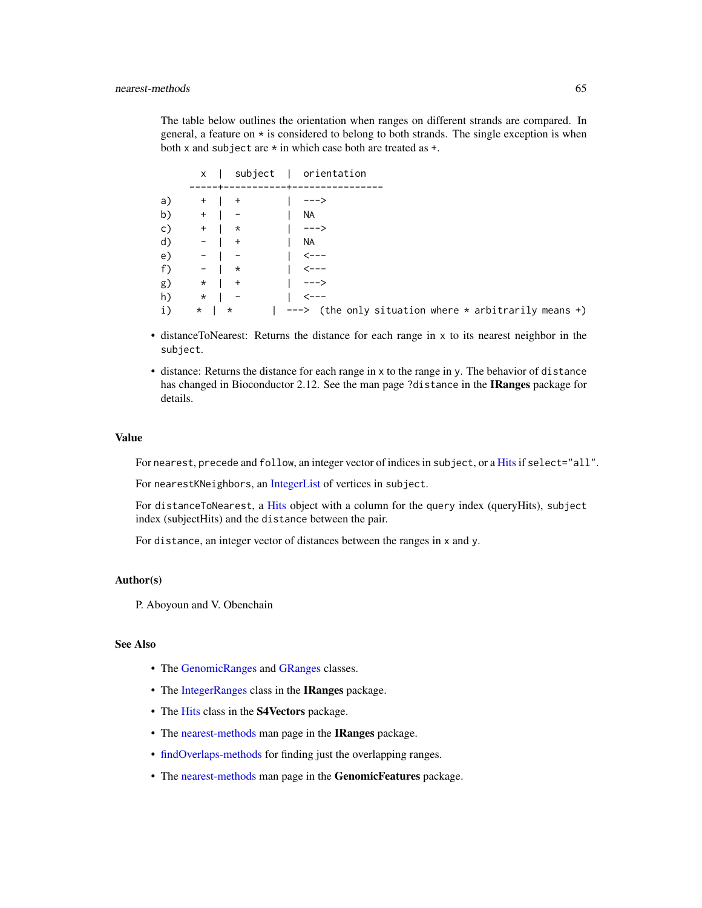The table below outlines the orientation when ranges on different strands are compared. In general, a feature on  $\star$  is considered to belong to both strands. The single exception is when both x and subject are  $*$  in which case both are treated as  $*$ .

|    |              |                                            | x   subject   orientation                                              |
|----|--------------|--------------------------------------------|------------------------------------------------------------------------|
| a) |              |                                            |                                                                        |
|    |              | b) + $\vert - \vert$ NA                    |                                                                        |
|    |              | c) +   *   --->                            |                                                                        |
|    |              |                                            |                                                                        |
|    | d) - $  +$   |                                            | I NA                                                                   |
|    |              | e) -   -   $\leftarrow$   $\leftarrow$ --- |                                                                        |
|    |              | f) - $\vert * \vert$   <---                |                                                                        |
|    | g) $*$   +   |                                            |                                                                        |
|    | h) $*$   $-$ |                                            | I <---                                                                 |
|    |              |                                            | i) $*$   $*$   ---> (the only situation where $*$ arbitrarily means +) |

- distanceToNearest: Returns the distance for each range in x to its nearest neighbor in the subject.
- distance: Returns the distance for each range in x to the range in y. The behavior of distance has changed in Bioconductor 2.12. See the man page ?distance in the IRanges package for details.

#### Value

For nearest, precede and follow, an integer vector of indices in subject, or a [Hits](#page-0-0) if select="all".

For nearestKNeighbors, an [IntegerList](#page-0-0) of vertices in subject.

For distanceToNearest, a [Hits](#page-0-0) object with a column for the query index (queryHits), subject index (subjectHits) and the distance between the pair.

For distance, an integer vector of distances between the ranges in x and y.

## Author(s)

P. Aboyoun and V. Obenchain

## See Also

- The [GenomicRanges](#page-35-0) and [GRanges](#page-35-0) classes.
- The [IntegerRanges](#page-0-0) class in the IRanges package.
- The [Hits](#page-0-0) class in the S4Vectors package.
- The [nearest-methods](#page-62-0) man page in the IRanges package.
- [findOverlaps-methods](#page-13-0) for finding just the overlapping ranges.
- The [nearest-methods](#page-62-0) man page in the GenomicFeatures package.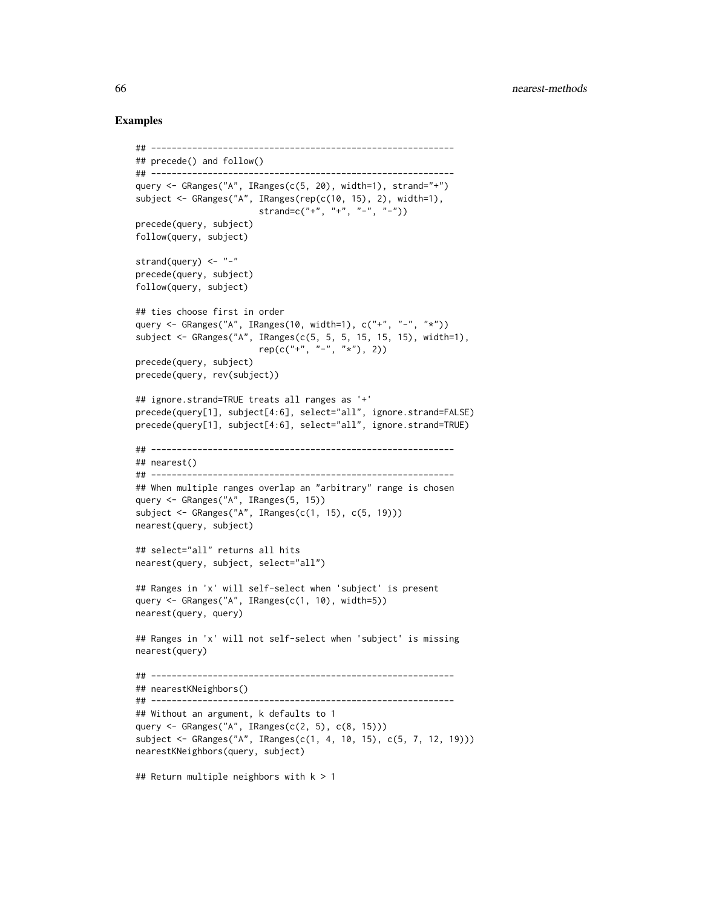```
## -----------------------------------------------------------
## precede() and follow()
## -----------------------------------------------------------
query <- GRanges("A", IRanges(c(5, 20), width=1), strand="+")
subject <- GRanges("A", IRanges(rep(c(10, 15), 2), width=1),
                        strand=c("+", "+", "-", "-"))
precede(query, subject)
follow(query, subject)
strand(query) <- "-"
precede(query, subject)
follow(query, subject)
## ties choose first in order
query <- GRanges("A", IRanges(10, width=1), c("+", "-", "*"))
subject <- GRanges("A", IRanges(c(5, 5, 5, 15, 15, 15), width=1),
                       rep(c("''+, "''-", "''x"), 2))precede(query, subject)
precede(query, rev(subject))
## ignore.strand=TRUE treats all ranges as '+'
precede(query[1], subject[4:6], select="all", ignore.strand=FALSE)
precede(query[1], subject[4:6], select="all", ignore.strand=TRUE)
## -----------------------------------------------------------
## nearest()
## -----------------------------------------------------------
## When multiple ranges overlap an "arbitrary" range is chosen
query <- GRanges("A", IRanges(5, 15))
subject <- GRanges("A", IRanges(c(1, 15), c(5, 19)))
nearest(query, subject)
## select="all" returns all hits
nearest(query, subject, select="all")
## Ranges in 'x' will self-select when 'subject' is present
query <- GRanges("A", IRanges(c(1, 10), width=5))
nearest(query, query)
## Ranges in 'x' will not self-select when 'subject' is missing
nearest(query)
## -----------------------------------------------------------
## nearestKNeighbors()
## -----------------------------------------------------------
## Without an argument, k defaults to 1
query <- GRanges("A", IRanges(c(2, 5), c(8, 15)))
subject <- GRanges("A", IRanges(c(1, 4, 10, 15), c(5, 7, 12, 19)))
nearestKNeighbors(query, subject)
## Return multiple neighbors with k > 1
```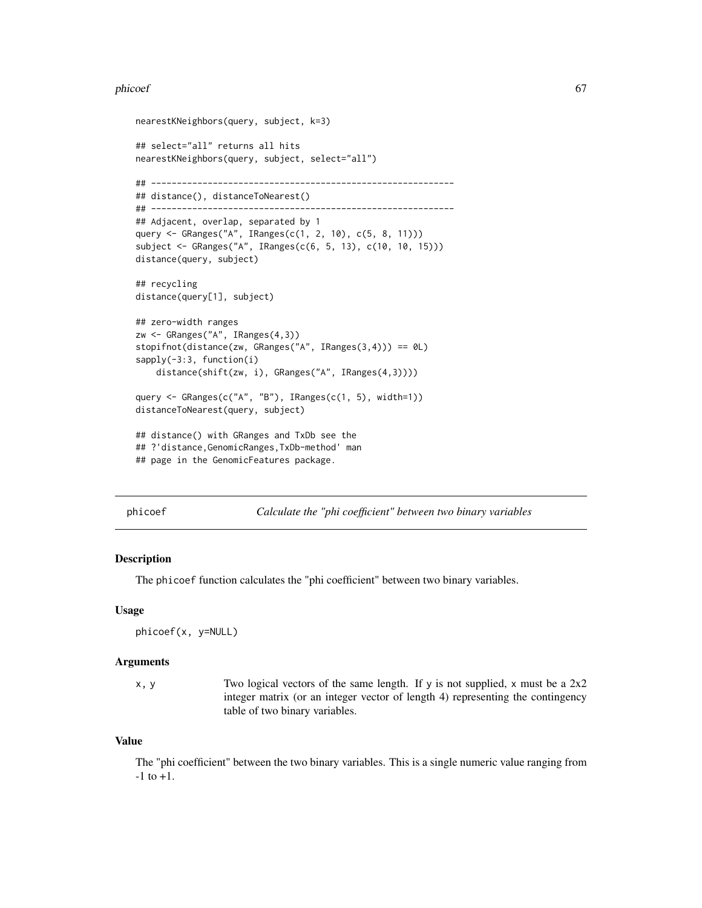#### phicoef 67

```
nearestKNeighbors(query, subject, k=3)
## select="all" returns all hits
nearestKNeighbors(query, subject, select="all")
## -----------------------------------------------------------
## distance(), distanceToNearest()
## -----------------------------------------------------------
## Adjacent, overlap, separated by 1
query <- GRanges("A", IRanges(c(1, 2, 10), c(5, 8, 11)))
subject <- GRanges("A", IRanges(c(6, 5, 13), c(10, 10, 15)))
distance(query, subject)
## recycling
distance(query[1], subject)
## zero-width ranges
zw <- GRanges("A", IRanges(4,3))
stopifnot(distance(zw, GRanges("A", IRanges(3,4))) == 0L)
sapply(-3:3, function(i)
    distance(shift(zw, i), GRanges("A", IRanges(4,3))))
query <- GRanges(c("A", "B"), IRanges(c(1, 5), width=1))
distanceToNearest(query, subject)
## distance() with GRanges and TxDb see the
## ?'distance,GenomicRanges,TxDb-method' man
## page in the GenomicFeatures package.
```
phicoef *Calculate the "phi coefficient" between two binary variables*

#### Description

The phicoef function calculates the "phi coefficient" between two binary variables.

#### Usage

phicoef(x, y=NULL)

### Arguments

x, y Two logical vectors of the same length. If y is not supplied, x must be a  $2x2$ integer matrix (or an integer vector of length 4) representing the contingency table of two binary variables.

#### Value

The "phi coefficient" between the two binary variables. This is a single numeric value ranging from  $-1$  to  $+1$ .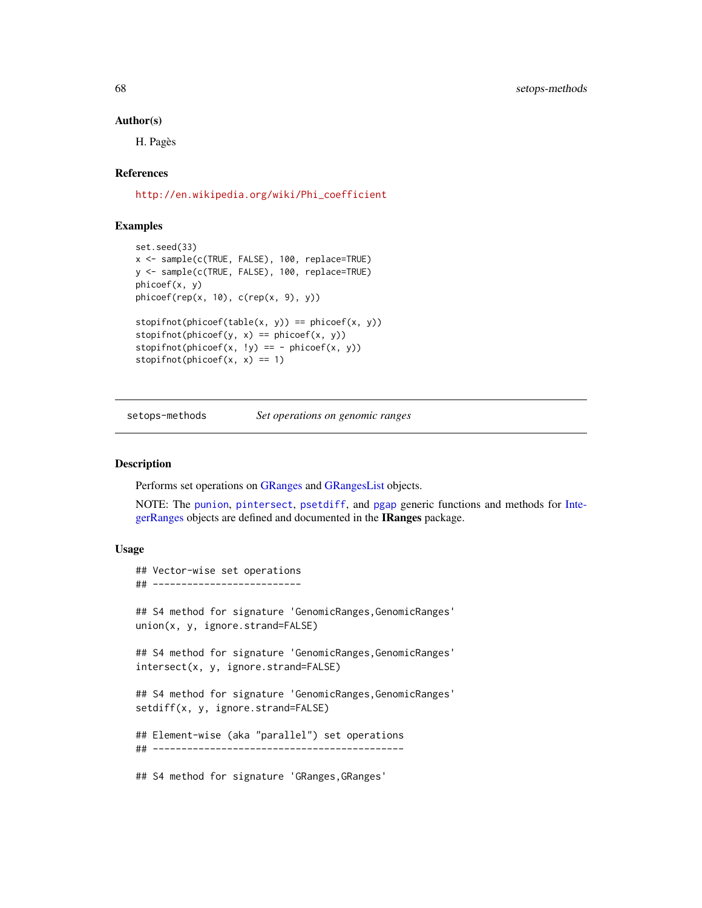#### Author(s)

H. Pagès

### References

[http://en.wikipedia.org/wiki/Phi\\_coefficient](http://en.wikipedia.org/wiki/Phi_coefficient)

# Examples

```
set.seed(33)
x <- sample(c(TRUE, FALSE), 100, replace=TRUE)
y <- sample(c(TRUE, FALSE), 100, replace=TRUE)
phicoef(x, y)
phicoef(rep(x, 10), c(rep(x, 9), y))
stopifnot(phicef(table(x, y)) == phicef(x, y))stopifnot(phicoef(y, x) == phicoef(x, y))
stopifnot(phicoef(x, 'y) == -phicoef(x, y))stopifnot(phicoef(x, x) == 1)
```
<span id="page-67-0"></span>setops-methods *Set operations on genomic ranges*

### <span id="page-67-1"></span>Description

Performs set operations on [GRanges](#page-35-0) and [GRangesList](#page-45-0) objects.

NOTE: The [punion](#page-67-1), [pintersect](#page-67-1), [psetdiff](#page-67-1), and [pgap](#page-67-1) generic functions and methods for [Inte](#page-0-0)[gerRanges](#page-0-0) objects are defined and documented in the IRanges package.

### Usage

```
## Vector-wise set operations
## --------------------------
## S4 method for signature 'GenomicRanges, GenomicRanges'
union(x, y, ignore.strand=FALSE)
## S4 method for signature 'GenomicRanges,GenomicRanges'
intersect(x, y, ignore.strand=FALSE)
## S4 method for signature 'GenomicRanges, GenomicRanges'
setdiff(x, y, ignore.strand=FALSE)
## Element-wise (aka "parallel") set operations
## --------------------------------------------
## S4 method for signature 'GRanges,GRanges'
```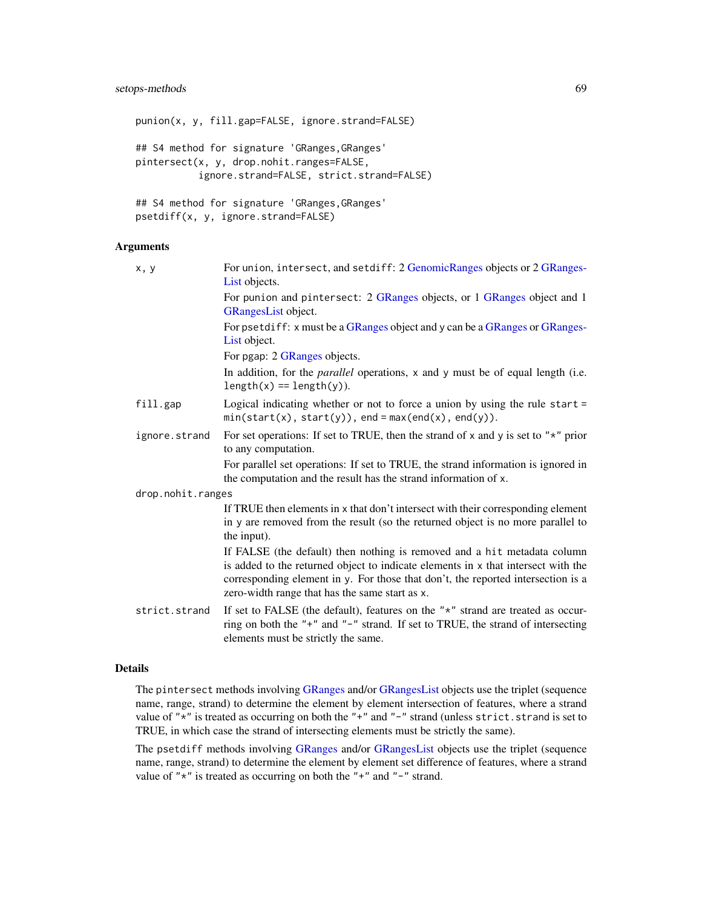# setops-methods 69

punion(x, y, fill.gap=FALSE, ignore.strand=FALSE) ## S4 method for signature 'GRanges,GRanges' pintersect(x, y, drop.nohit.ranges=FALSE, ignore.strand=FALSE, strict.strand=FALSE) ## S4 method for signature 'GRanges, GRanges' psetdiff(x, y, ignore.strand=FALSE)

## Arguments

| x, y              | For union, intersect, and setdiff: 2 GenomicRanges objects or 2 GRanges-<br>List objects.                                                                                                                                                                                                           |
|-------------------|-----------------------------------------------------------------------------------------------------------------------------------------------------------------------------------------------------------------------------------------------------------------------------------------------------|
|                   | For punion and pintersect: 2 GRanges objects, or 1 GRanges object and 1<br>GRangesList object.                                                                                                                                                                                                      |
|                   | For psetdiff: x must be a GRanges object and y can be a GRanges or GRanges-<br>List object.                                                                                                                                                                                                         |
|                   | For pgap: 2 GRanges objects.                                                                                                                                                                                                                                                                        |
|                   | In addition, for the <i>parallel</i> operations, x and y must be of equal length (i.e.<br>$length(x) == length(y)$ .                                                                                                                                                                                |
| fill.gap          | Logical indicating whether or not to force a union by using the rule start $=$<br>$min(start(x), start(y)), end = max(end(x), end(y)).$                                                                                                                                                             |
| ignore.strand     | For set operations: If set to TRUE, then the strand of x and y is set to " $\star$ " prior<br>to any computation.                                                                                                                                                                                   |
|                   | For parallel set operations: If set to TRUE, the strand information is ignored in<br>the computation and the result has the strand information of x.                                                                                                                                                |
| drop.nohit.ranges |                                                                                                                                                                                                                                                                                                     |
|                   | If TRUE then elements in x that don't intersect with their corresponding element<br>in y are removed from the result (so the returned object is no more parallel to<br>the input).                                                                                                                  |
|                   | If FALSE (the default) then nothing is removed and a hit metadata column<br>is added to the returned object to indicate elements in x that intersect with the<br>corresponding element in y. For those that don't, the reported intersection is a<br>zero-width range that has the same start as x. |
| strict.strand     | If set to FALSE (the default), features on the " $*$ " strand are treated as occur-<br>ring on both the "+" and "-" strand. If set to TRUE, the strand of intersecting<br>elements must be strictly the same.                                                                                       |

# Details

The pintersect methods involving [GRanges](#page-35-0) and/or [GRangesList](#page-45-0) objects use the triplet (sequence name, range, strand) to determine the element by element intersection of features, where a strand value of " $*$ " is treated as occurring on both the " $*$ " and " $-$ " strand (unless strict.strand is set to TRUE, in which case the strand of intersecting elements must be strictly the same).

The psetdiff methods involving [GRanges](#page-35-0) and/or [GRangesList](#page-45-0) objects use the triplet (sequence name, range, strand) to determine the element by element set difference of features, where a strand value of " $*$ " is treated as occurring on both the " $*$ " and " $-$ " strand.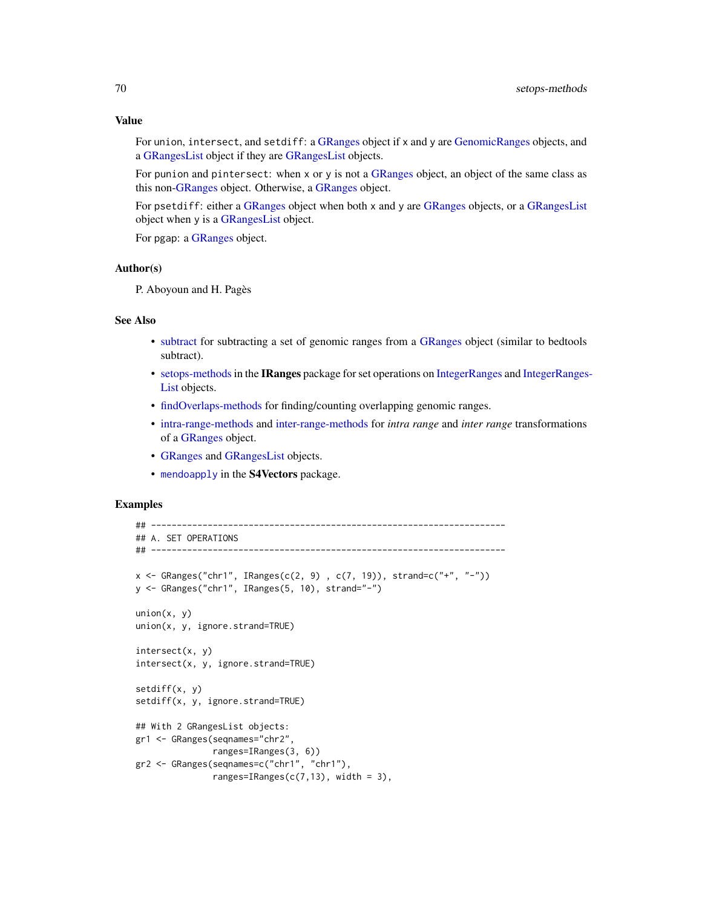### Value

For union, intersect, and setdiff: a [GRanges](#page-35-0) object if x and y are [GenomicRanges](#page-35-0) objects, and a [GRangesList](#page-45-0) object if they are [GRangesList](#page-45-0) objects.

For punion and pintersect: when x or y is not a [GRanges](#page-35-0) object, an object of the same class as this non[-GRanges](#page-35-0) object. Otherwise, a [GRanges](#page-35-0) object.

For psetdiff: either a [GRanges](#page-35-0) object when both x and y are [GRanges](#page-35-0) objects, or a [GRangesList](#page-45-0) object when y is a [GRangesList](#page-45-0) object.

For pgap: a [GRanges](#page-35-0) object.

### Author(s)

P. Aboyoun and H. Pagès

## See Also

- [subtract](#page-73-0) for subtracting a set of genomic ranges from a [GRanges](#page-35-0) object (similar to bedtools subtract).
- [setops-methods](#page-67-0)in the IRanges package for set operations on [IntegerRanges](#page-0-0) and [IntegerRanges](#page-0-0)-[List](#page-0-0) objects.
- [findOverlaps-methods](#page-13-0) for finding/counting overlapping genomic ranges.
- [intra-range-methods](#page-54-0) and [inter-range-methods](#page-50-0) for *intra range* and *inter range* transformations of a [GRanges](#page-35-0) object.
- [GRanges](#page-35-0) and [GRangesList](#page-45-0) objects.
- [mendoapply](#page-0-0) in the S4Vectors package.

```
## ---------------------------------------------------------------------
## A. SET OPERATIONS
## ---------------------------------------------------------------------
x <- GRanges("chr1", IRanges(c(2, 9) , c(7, 19)), strand=c("+", "-"))
y <- GRanges("chr1", IRanges(5, 10), strand="-")
union(x, y)union(x, y, ignore.strand=TRUE)
intersection(x, y)intersect(x, y, ignore.strand=TRUE)
setdiff(x, y)
setdiff(x, y, ignore.strand=TRUE)
## With 2 GRangesList objects:
gr1 <- GRanges(seqnames="chr2",
              ranges=IRanges(3, 6))
gr2 <- GRanges(seqnames=c("chr1", "chr1"),
              ranges=IRanges(c(7,13), width = 3),
```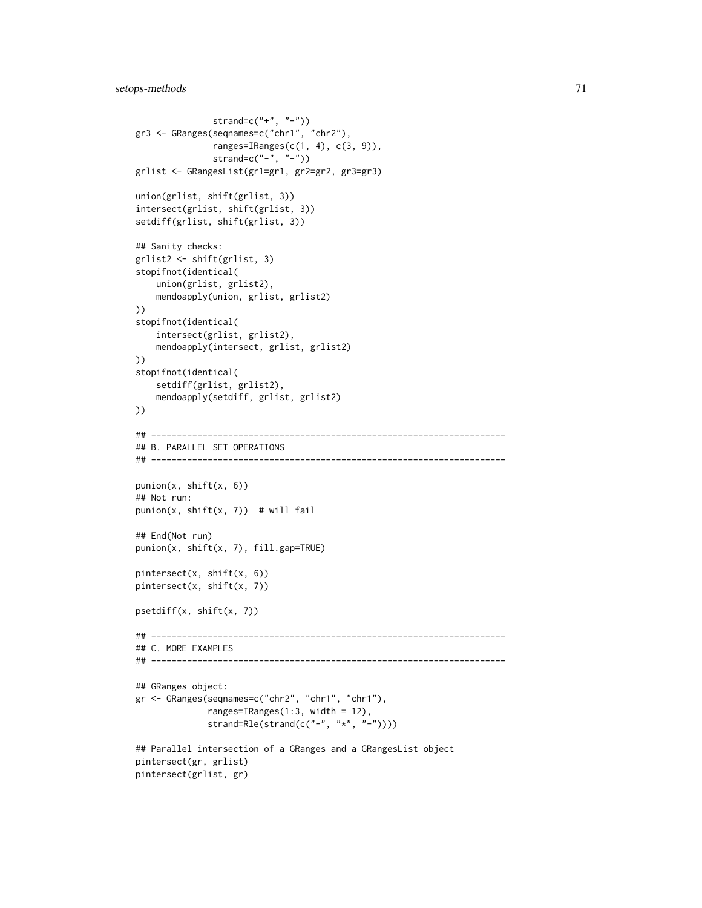```
strand=c("+", "-"))gr3 <- GRanges(seqnames=c("chr1", "chr2"),
               ranges=IRanges(c(1, 4), c(3, 9)),
               strand=c("-", "-")grlist <- GRangesList(gr1=gr1, gr2=gr2, gr3=gr3)
union(grlist, shift(grlist, 3))
intersect(grlist, shift(grlist, 3))
setdiff(grlist, shift(grlist, 3))
## Sanity checks:
grlist2 <- shift(grlist, 3)
stopifnot(identical(
    union(grlist, grlist2),
    mendoapply(union, grlist, grlist2)
))
stopifnot(identical(
    intersect(grlist, grlist2),
    mendoapply(intersect, grlist, grlist2)
))
stopifnot(identical(
    setdiff(grlist, grlist2),
    mendoapply(setdiff, grlist, grlist2)
))
## ---------------------------------------------------------------------
## B. PARALLEL SET OPERATIONS
## ---------------------------------------------------------------------
punion(x, shift(x, 6))
## Not run:
punion(x, shift(x, 7)) # will fail
## End(Not run)
punion(x, shift(x, 7), fill.gap=TRUE)
pintersect(x, shift(x, 6))
pintersect(x, shift(x, 7))
psetdiff(x, shift(x, 7))
## ---------------------------------------------------------------------
## C. MORE EXAMPLES
## ---------------------------------------------------------------------
## GRanges object:
gr <- GRanges(seqnames=c("chr2", "chr1", "chr1"),
              ranges=IRanges(1:3, width = 12),
              strand=Rle(strand(c("-", "*", "-"))))
## Parallel intersection of a GRanges and a GRangesList object
pintersect(gr, grlist)
pintersect(grlist, gr)
```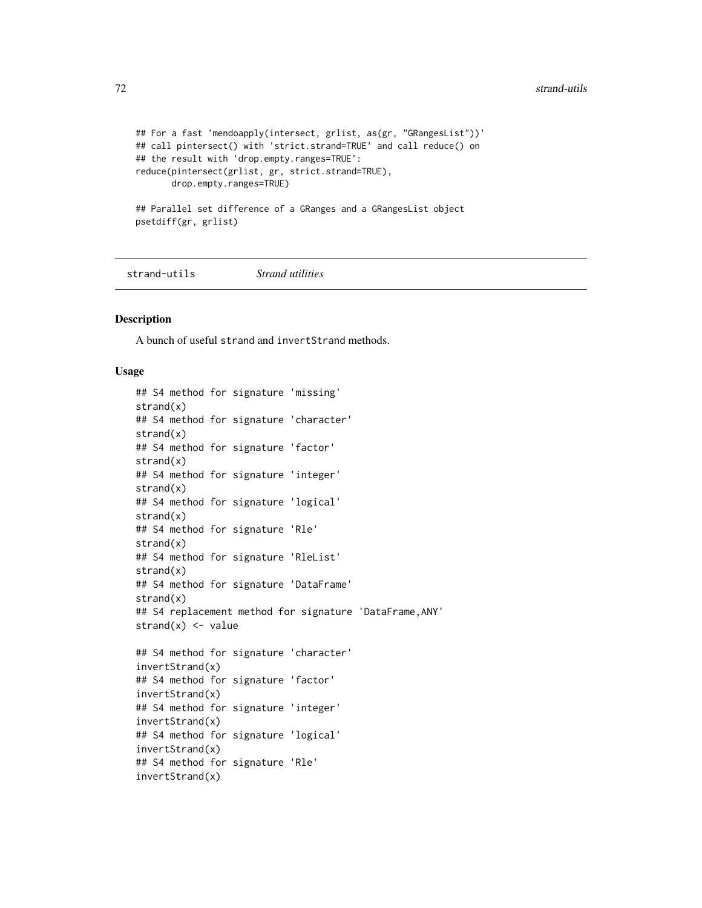```
## For a fast 'mendoapply(intersect, grlist, as(gr, "GRangesList"))'
## call pintersect() with 'strict.strand=TRUE' and call reduce() on
## the result with 'drop.empty.ranges=TRUE':
reduce(pintersect(grlist, gr, strict.strand=TRUE),
      drop.empty.ranges=TRUE)
## Parallel set difference of a GRanges and a GRangesList object
psetdiff(gr, grlist)
```
strand-utils *Strand utilities*

#### Description

A bunch of useful strand and invertStrand methods.

## Usage

```
## S4 method for signature 'missing'
strand(x)
## S4 method for signature 'character'
strand(x)
## S4 method for signature 'factor'
strand(x)
## S4 method for signature 'integer'
strand(x)
## S4 method for signature 'logical'
strand(x)
## S4 method for signature 'Rle'
strand(x)
## S4 method for signature 'RleList'
strand(x)
## S4 method for signature 'DataFrame'
strand(x)
## S4 replacement method for signature 'DataFrame,ANY'
strand(x) < - value
## S4 method for signature 'character'
invertStrand(x)
## S4 method for signature 'factor'
invertStrand(x)
## S4 method for signature 'integer'
invertStrand(x)
## S4 method for signature 'logical'
invertStrand(x)
## S4 method for signature 'Rle'
invertStrand(x)
```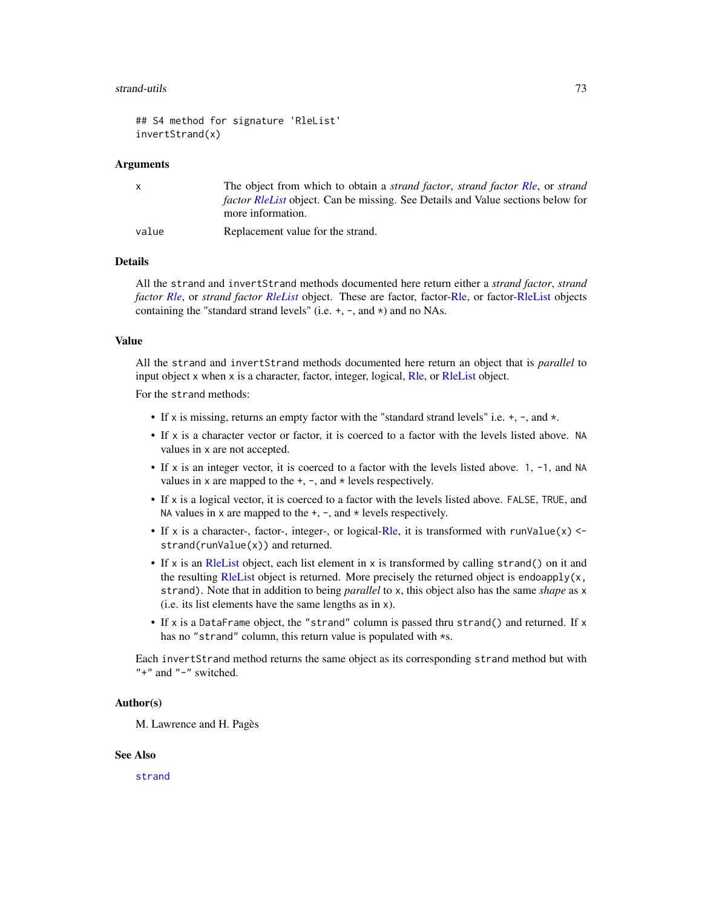#### <span id="page-72-0"></span>strand-utils 73

```
## S4 method for signature 'RleList'
invertStrand(x)
```
#### Arguments

| X     | The object from which to obtain a <i>strand factor</i> , <i>strand factor Rle</i> , or <i>strand</i> |
|-------|------------------------------------------------------------------------------------------------------|
|       | <i>factor RleList</i> object. Can be missing. See Details and Value sections below for               |
|       | more information.                                                                                    |
| value | Replacement value for the strand.                                                                    |

### Details

All the strand and invertStrand methods documented here return either a *strand factor*, *strand factor [Rle](#page-0-0)*, or *strand factor [RleList](#page-0-0)* object. These are factor, factor[-Rle,](#page-0-0) or factor[-RleList](#page-0-0) objects containing the "standard strand levels" (i.e.  $+$ ,  $-$ , and  $*$ ) and no NAs.

#### Value

All the strand and invertStrand methods documented here return an object that is *parallel* to input object x when x is a character, factor, integer, logical, [Rle,](#page-0-0) or [RleList](#page-0-0) object.

For the strand methods:

- If x is missing, returns an empty factor with the "standard strand levels" i.e.  $+$ ,  $-$ , and  $\star$ .
- If x is a character vector or factor, it is coerced to a factor with the levels listed above. NA values in x are not accepted.
- If x is an integer vector, it is coerced to a factor with the levels listed above. 1, -1, and NA values in x are mapped to the  $+$ ,  $-$ , and  $*$  levels respectively.
- If x is a logical vector, it is coerced to a factor with the levels listed above. FALSE, TRUE, and NA values in  $x$  are mapped to the  $+$ ,  $-$ , and  $*$  levels respectively.
- If x is a character-, factor-, integer-, or logical[-Rle,](#page-0-0) it is transformed with runValue(x)  $\leq$ strand(runValue(x)) and returned.
- If x is an [RleList](#page-0-0) object, each list element in x is transformed by calling strand() on it and the resulting [RleList](#page-0-0) object is returned. More precisely the returned object is endoapply $(x,$ strand). Note that in addition to being *parallel* to x, this object also has the same *shape* as x (i.e. its list elements have the same lengths as in x).
- If x is a DataFrame object, the "strand" column is passed thru strand() and returned. If x has no "strand" column, this return value is populated with \*s.

Each invertStrand method returns the same object as its corresponding strand method but with "+" and "-" switched.

# Author(s)

M. Lawrence and H. Pagès

#### See Also

[strand](#page-0-0)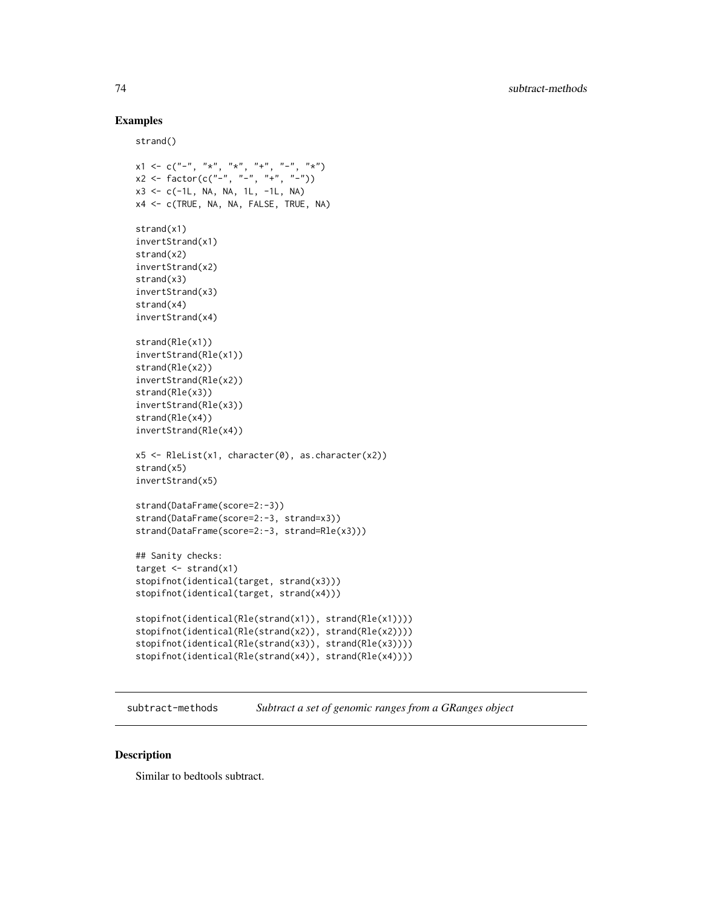# Examples

strand()

```
x1 \leq c ("-", "*", "*", "-", "*")
x2 \leq - factor(c("-", "-", "+", "-"))
x3 \leq -c(-1L, NA, NA, 1L, -1L, NA)x4 <- c(TRUE, NA, NA, FALSE, TRUE, NA)
strand(x1)
invertStrand(x1)
strand(x2)
invertStrand(x2)
strand(x3)
invertStrand(x3)
strand(x4)
invertStrand(x4)
strand(Rle(x1))
invertStrand(Rle(x1))
strand(Rle(x2))
invertStrand(Rle(x2))
strand(Rle(x3))
invertStrand(Rle(x3))
strand(Rle(x4))
invertStrand(Rle(x4))
x5 \leq RleList(x1, character(0), as character(x2))strand(x5)
invertStrand(x5)
strand(DataFrame(score=2:-3))
strand(DataFrame(score=2:-3, strand=x3))
strand(DataFrame(score=2:-3, strand=Rle(x3)))
## Sanity checks:
target \leq strand(x1)
stopifnot(identical(target, strand(x3)))
stopifnot(identical(target, strand(x4)))
stopifnot(identical(Rle(strand(x1)), strand(Rle(x1))))
stopifnot(identical(Rle(strand(x2)), strand(Rle(x2))))
stopifnot(identical(Rle(strand(x3)), strand(Rle(x3))))
stopifnot(identical(Rle(strand(x4)), strand(Rle(x4))))
```
subtract-methods *Subtract a set of genomic ranges from a GRanges object*

#### Description

Similar to bedtools subtract.

<span id="page-73-0"></span>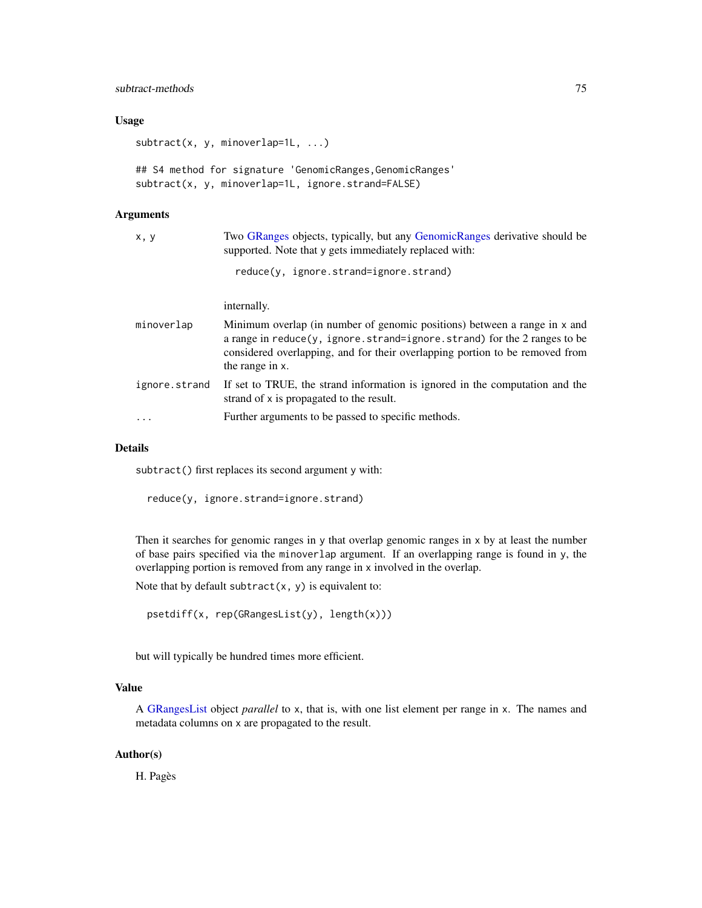# <span id="page-74-0"></span>subtract-methods 75

# Usage

subtract(x, y, minoverlap=1L, ...)

## S4 method for signature 'GenomicRanges, GenomicRanges' subtract(x, y, minoverlap=1L, ignore.strand=FALSE)

# Arguments

| x, y          | Two GRanges objects, typically, but any GenomicRanges derivative should be<br>supported. Note that y gets immediately replaced with:                                                                                                                         |
|---------------|--------------------------------------------------------------------------------------------------------------------------------------------------------------------------------------------------------------------------------------------------------------|
|               | reduce(y, ignore.strand=ignore.strand)                                                                                                                                                                                                                       |
|               | internally.                                                                                                                                                                                                                                                  |
| minoverlap    | Minimum overlap (in number of genomic positions) between a range in x and<br>a range in $reduce(y, ignore.strand = ignore.strand)$ for the 2 ranges to be<br>considered overlapping, and for their overlapping portion to be removed from<br>the range in x. |
| ignore.strand | If set to TRUE, the strand information is ignored in the computation and the<br>strand of x is propagated to the result.                                                                                                                                     |
| $\ddots$      | Further arguments to be passed to specific methods.                                                                                                                                                                                                          |

# Details

subtract() first replaces its second argument y with:

reduce(y, ignore.strand=ignore.strand)

Then it searches for genomic ranges in y that overlap genomic ranges in x by at least the number of base pairs specified via the minoverlap argument. If an overlapping range is found in y, the overlapping portion is removed from any range in x involved in the overlap.

Note that by default subtract $(x, y)$  is equivalent to:

```
psetdiff(x, rep(GRangesList(y), length(x)))
```
but will typically be hundred times more efficient.

# Value

A [GRangesList](#page-45-0) object *parallel* to x, that is, with one list element per range in x. The names and metadata columns on x are propagated to the result.

# Author(s)

H. Pagès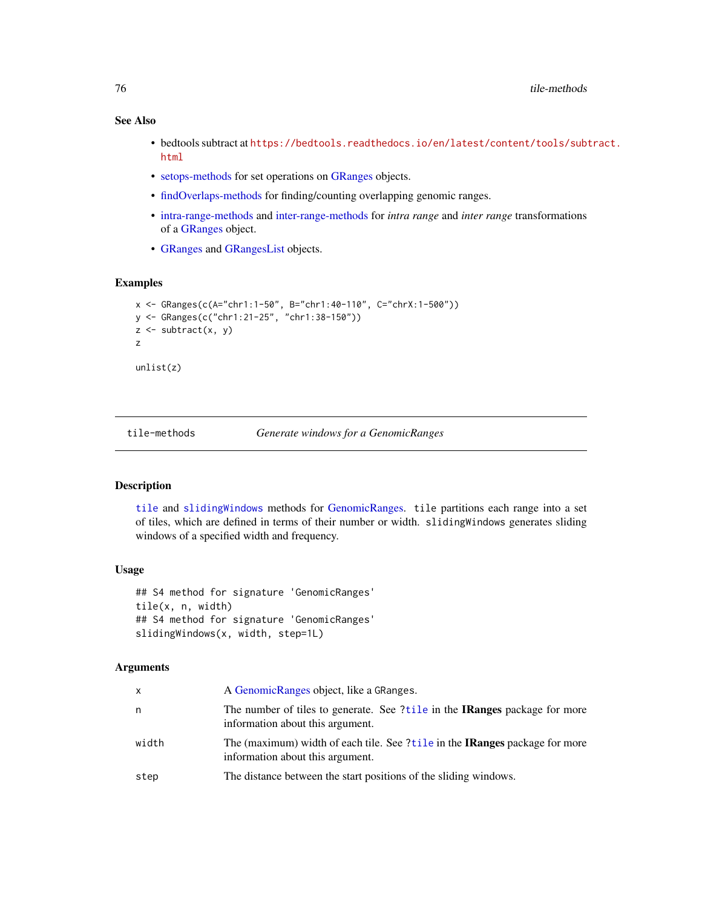# See Also

- bedtools subtract at [https://bedtools.readthedocs.io/en/latest/content/tools/subt](https://bedtools.readthedocs.io/en/latest/content/tools/subtract.html)ract. [html](https://bedtools.readthedocs.io/en/latest/content/tools/subtract.html)
- [setops-methods](#page-67-0) for set operations on [GRanges](#page-35-0) objects.
- [findOverlaps-methods](#page-13-0) for finding/counting overlapping genomic ranges.
- [intra-range-methods](#page-54-0) and [inter-range-methods](#page-50-0) for *intra range* and *inter range* transformations of a [GRanges](#page-35-0) object.
- [GRanges](#page-35-0) and [GRangesList](#page-45-0) objects.

# Examples

```
x <- GRanges(c(A="chr1:1-50", B="chr1:40-110", C="chrX:1-500"))
y <- GRanges(c("chr1:21-25", "chr1:38-150"))
z <- subtract(x, y)
z
unlist(z)
```
tile-methods *Generate windows for a GenomicRanges*

# <span id="page-75-0"></span>Description

[tile](#page-75-0) and [slidingWindows](#page-75-0) methods for [GenomicRanges.](#page-35-0) tile partitions each range into a set of tiles, which are defined in terms of their number or width. slidingWindows generates sliding windows of a specified width and frequency.

#### Usage

```
## S4 method for signature 'GenomicRanges'
tile(x, n, width)
## S4 method for signature 'GenomicRanges'
slidingWindows(x, width, step=1L)
```
# Arguments

| x     | A Genomic Ranges object, like a GRanges.                                                                               |
|-------|------------------------------------------------------------------------------------------------------------------------|
| n     | The number of tiles to generate. See ?tile in the <b>IRanges</b> package for more<br>information about this argument.  |
| width | The (maximum) width of each tile. See ?tile in the <b>IRanges</b> package for more<br>information about this argument. |
| step  | The distance between the start positions of the sliding windows.                                                       |

<span id="page-75-1"></span>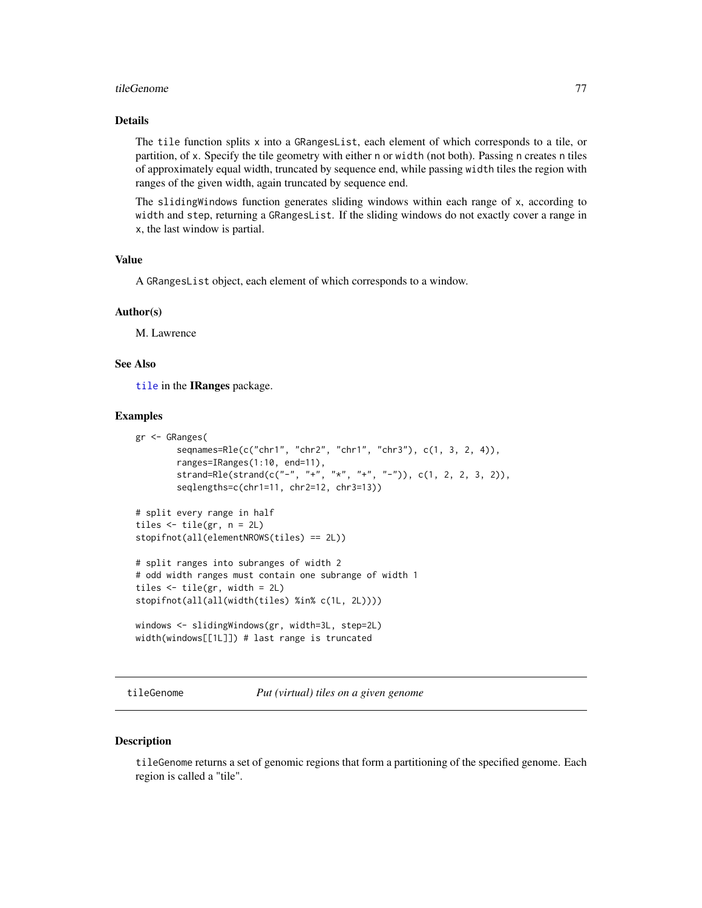#### <span id="page-76-0"></span>tileGenome and the state of the state of the state of the state of the state of the state of the state of the state of the state of the state of the state of the state of the state of the state of the state of the state of

# Details

The tile function splits x into a GRangesList, each element of which corresponds to a tile, or partition, of x. Specify the tile geometry with either n or width (not both). Passing n creates n tiles of approximately equal width, truncated by sequence end, while passing width tiles the region with ranges of the given width, again truncated by sequence end.

The slidingWindows function generates sliding windows within each range of x, according to width and step, returning a GRangesList. If the sliding windows do not exactly cover a range in x, the last window is partial.

#### Value

A GRangesList object, each element of which corresponds to a window.

#### Author(s)

M. Lawrence

# See Also

[tile](#page-75-0) in the IRanges package.

#### Examples

```
gr <- GRanges(
       seqnames=Rle(c("chr1", "chr2", "chr1", "chr3"), c(1, 3, 2, 4)),
       ranges=IRanges(1:10, end=11),
       strand=Rle(strand(c("-", "+", "*", "+", "-")), c(1, 2, 2, 3, 2)),
       seqlengths=c(chr1=11, chr2=12, chr3=13))
# split every range in half
tiles \le tile(gr, n = 2L)
stopifnot(all(elementNROWS(tiles) == 2L))
# split ranges into subranges of width 2
# odd width ranges must contain one subrange of width 1
tiles <- tile(gr, width = 2L)
stopifnot(all(all(width(tiles) %in% c(1L, 2L))))
windows <- slidingWindows(gr, width=3L, step=2L)
width(windows[[1L]]) # last range is truncated
```
tileGenome *Put (virtual) tiles on a given genome*

#### **Description**

tileGenome returns a set of genomic regions that form a partitioning of the specified genome. Each region is called a "tile".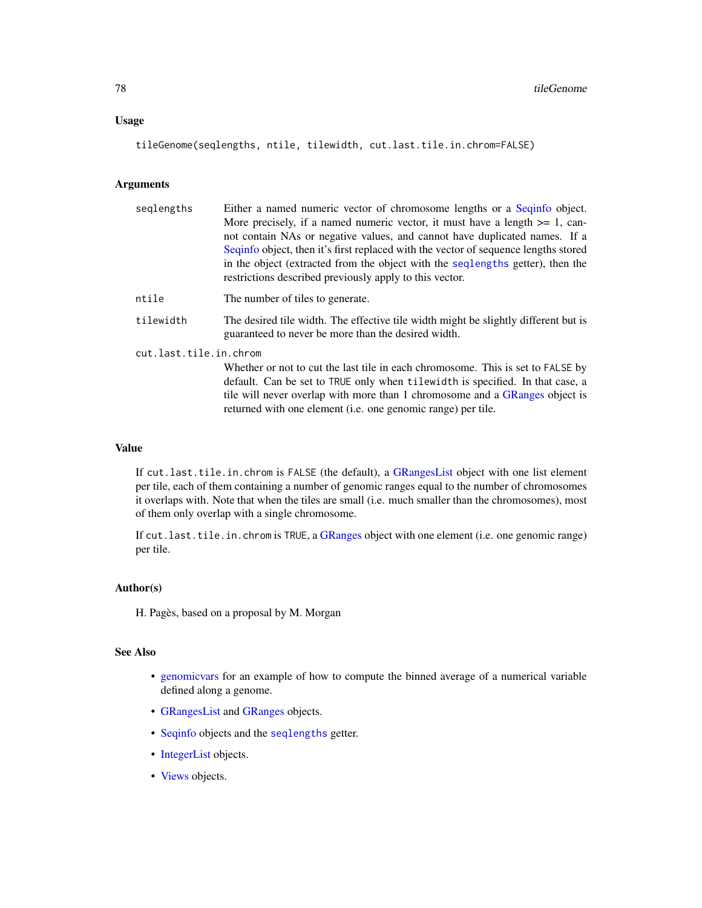# <span id="page-77-0"></span>Usage

tileGenome(seqlengths, ntile, tilewidth, cut.last.tile.in.chrom=FALSE)

# Arguments

| seglengths             | Either a named numeric vector of chromosome lengths or a Sequinto object.                                                                  |  |
|------------------------|--------------------------------------------------------------------------------------------------------------------------------------------|--|
|                        | More precisely, if a named numeric vector, it must have a length $>= 1$ , can-                                                             |  |
|                        | not contain NAs or negative values, and cannot have duplicated names. If a                                                                 |  |
|                        | Seqinfo object, then it's first replaced with the vector of sequence lengths stored                                                        |  |
|                        | in the object (extracted from the object with the seqlengths getter), then the                                                             |  |
|                        | restrictions described previously apply to this vector.                                                                                    |  |
| ntile                  | The number of tiles to generate.                                                                                                           |  |
| tilewidth              | The desired tile width. The effective tile width might be slightly different but is<br>guaranteed to never be more than the desired width. |  |
| cut.last.tile.in.chrom |                                                                                                                                            |  |
|                        | Whether or not to cut the last tile in each chromosome. This is set to FALSE by                                                            |  |
|                        | default. Can be set to TRUE only when tilewidth is specified. In that case, a                                                              |  |
|                        | tile will never overlap with more than 1 chromosome and a GR anges object is                                                               |  |
|                        | returned with one element ( <i>i.e.</i> one genomic range) per tile.                                                                       |  |

# Value

If cut.last.tile.in.chrom is FALSE (the default), a [GRangesList](#page-45-0) object with one list element per tile, each of them containing a number of genomic ranges equal to the number of chromosomes it overlaps with. Note that when the tiles are small (i.e. much smaller than the chromosomes), most of them only overlap with a single chromosome.

If cut.last.tile.in.chrom is TRUE, a [GRanges](#page-35-0) object with one element (i.e. one genomic range) per tile.

# Author(s)

H. Pagès, based on a proposal by M. Morgan

# See Also

- [genomicvars](#page-22-0) for an example of how to compute the binned average of a numerical variable defined along a genome.
- [GRangesList](#page-45-0) and [GRanges](#page-35-0) objects.
- [Seqinfo](#page-0-0) objects and the [seqlengths](#page-0-0) getter.
- [IntegerList](#page-0-0) objects.
- [Views](#page-0-0) objects.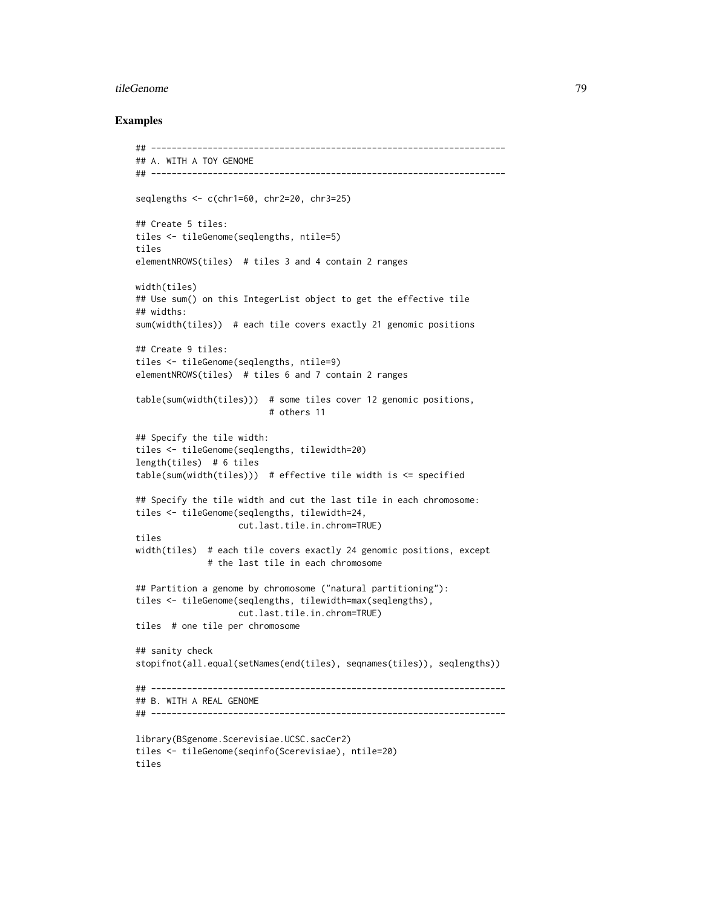#### tileGenome and the state of the state of the state of the state of the state of the state of the state of the state of the state of the state of the state of the state of the state of the state of the state of the state of

#### Examples

```
## ---------------------------------------------------------------------
## A. WITH A TOY GENOME
## ---------------------------------------------------------------------
seqlengths <- c(chr1=60, chr2=20, chr3=25)
## Create 5 tiles:
tiles <- tileGenome(seqlengths, ntile=5)
tiles
elementNROWS(tiles) # tiles 3 and 4 contain 2 ranges
width(tiles)
## Use sum() on this IntegerList object to get the effective tile
## widths:
sum(width(tiles)) # each tile covers exactly 21 genomic positions
## Create 9 tiles:
tiles <- tileGenome(seqlengths, ntile=9)
elementNROWS(tiles) # tiles 6 and 7 contain 2 ranges
table(sum(width(tiles))) # some tiles cover 12 genomic positions,
                          # others 11
## Specify the tile width:
tiles <- tileGenome(seqlengths, tilewidth=20)
length(tiles) # 6 tiles
table(sum(width(tiles))) # effective tile width is \leq specified
## Specify the tile width and cut the last tile in each chromosome:
tiles <- tileGenome(seqlengths, tilewidth=24,
                    cut.last.tile.in.chrom=TRUE)
tiles
width(tiles) # each tile covers exactly 24 genomic positions, except
              # the last tile in each chromosome
## Partition a genome by chromosome ("natural partitioning"):
tiles <- tileGenome(seqlengths, tilewidth=max(seqlengths),
                    cut.last.tile.in.chrom=TRUE)
tiles # one tile per chromosome
## sanity check
stopifnot(all.equal(setNames(end(tiles), seqnames(tiles)), seqlengths))
## ---------------------------------------------------------------------
## B. WITH A REAL GENOME
## ---------------------------------------------------------------------
library(BSgenome.Scerevisiae.UCSC.sacCer2)
tiles <- tileGenome(seqinfo(Scerevisiae), ntile=20)
tiles
```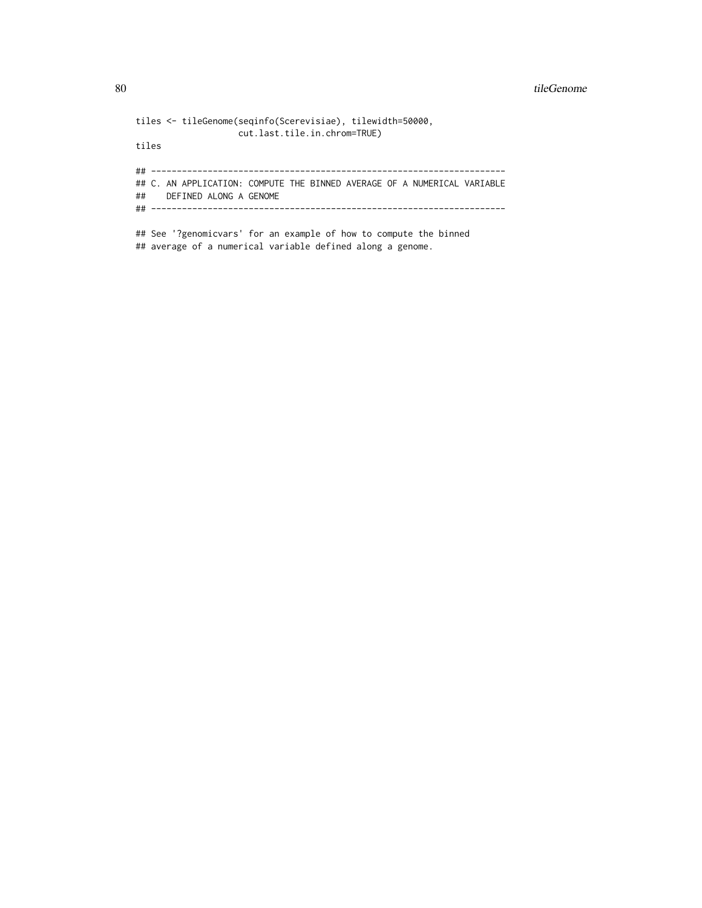#### 80 tileGenome var det afsetter i den større en som større en som større en som større en som større en som stø

```
tiles <- tileGenome(seqinfo(Scerevisiae), tilewidth=50000,
                   cut.last.tile.in.chrom=TRUE)
tiles
## ---------------------------------------------------------------------
## C. AN APPLICATION: COMPUTE THE BINNED AVERAGE OF A NUMERICAL VARIABLE
## DEFINED ALONG A GENOME
## ---------------------------------------------------------------------
## See '?genomicvars' for an example of how to compute the binned
```
## average of a numerical variable defined along a genome.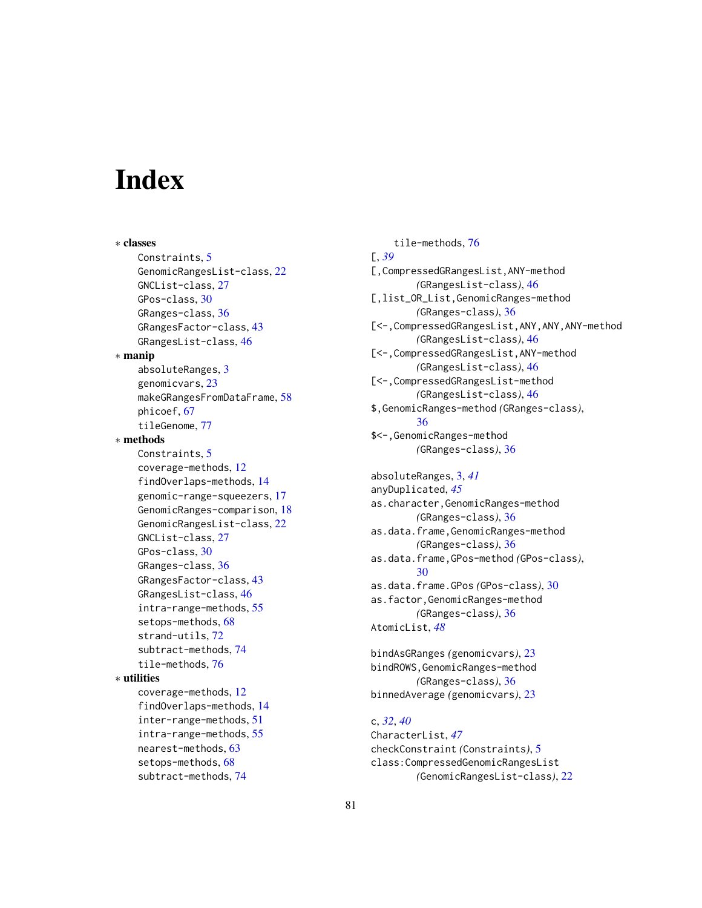# **Index**

∗ classes Constraints, [5](#page-4-0) GenomicRangesList-class, [22](#page-21-0) GNCList-class, [27](#page-26-0) GPos-class, [30](#page-29-0) GRanges-class, [36](#page-35-1) GRangesFactor-class, [43](#page-42-0) GRangesList-class, [46](#page-45-1) ∗ manip absoluteRanges, [3](#page-2-0) genomicvars, [23](#page-22-1) makeGRangesFromDataFrame, [58](#page-57-0) phicoef, [67](#page-66-0) tileGenome, [77](#page-76-0) ∗ methods Constraints, [5](#page-4-0) coverage-methods, [12](#page-11-0) findOverlaps-methods, [14](#page-13-1) genomic-range-squeezers, [17](#page-16-0) GenomicRanges-comparison, [18](#page-17-0) GenomicRangesList-class, [22](#page-21-0) GNCList-class, [27](#page-26-0) GPos-class, [30](#page-29-0) GRanges-class, [36](#page-35-1) GRangesFactor-class, [43](#page-42-0) GRangesList-class, [46](#page-45-1) intra-range-methods, [55](#page-54-1) setops-methods, [68](#page-67-1) strand-utils, [72](#page-71-0) subtract-methods, [74](#page-73-0) tile-methods, [76](#page-75-1) ∗ utilities coverage-methods, [12](#page-11-0) findOverlaps-methods, [14](#page-13-1) inter-range-methods, [51](#page-50-1) intra-range-methods, [55](#page-54-1) nearest-methods, [63](#page-62-0) setops-methods, [68](#page-67-1) subtract-methods, [74](#page-73-0)

tile-methods, [76](#page-75-1) [, *[39](#page-38-0)* [,CompressedGRangesList,ANY-method *(*GRangesList-class*)*, [46](#page-45-1) [,list\_OR\_List,GenomicRanges-method *(*GRanges-class*)*, [36](#page-35-1) [<-,CompressedGRangesList,ANY,ANY,ANY-method *(*GRangesList-class*)*, [46](#page-45-1) [<-,CompressedGRangesList,ANY-method *(*GRangesList-class*)*, [46](#page-45-1) [<-,CompressedGRangesList-method *(*GRangesList-class*)*, [46](#page-45-1) \$,GenomicRanges-method *(*GRanges-class*)*, [36](#page-35-1) \$<-,GenomicRanges-method *(*GRanges-class*)*, [36](#page-35-1)

absoluteRanges, [3,](#page-2-0) *[41](#page-40-0)* anyDuplicated, *[45](#page-44-0)* as.character,GenomicRanges-method *(*GRanges-class*)*, [36](#page-35-1) as.data.frame,GenomicRanges-method *(*GRanges-class*)*, [36](#page-35-1) as.data.frame,GPos-method *(*GPos-class*)*, [30](#page-29-0) as.data.frame.GPos *(*GPos-class*)*, [30](#page-29-0) as.factor,GenomicRanges-method *(*GRanges-class*)*, [36](#page-35-1) AtomicList, *[48](#page-47-0)*

bindAsGRanges *(*genomicvars*)*, [23](#page-22-1) bindROWS,GenomicRanges-method *(*GRanges-class*)*, [36](#page-35-1) binnedAverage *(*genomicvars*)*, [23](#page-22-1)

# c, *[32](#page-31-0)*, *[40](#page-39-0)*

CharacterList, *[47](#page-46-0)* checkConstraint *(*Constraints*)*, [5](#page-4-0) class:CompressedGenomicRangesList *(*GenomicRangesList-class*)*, [22](#page-21-0)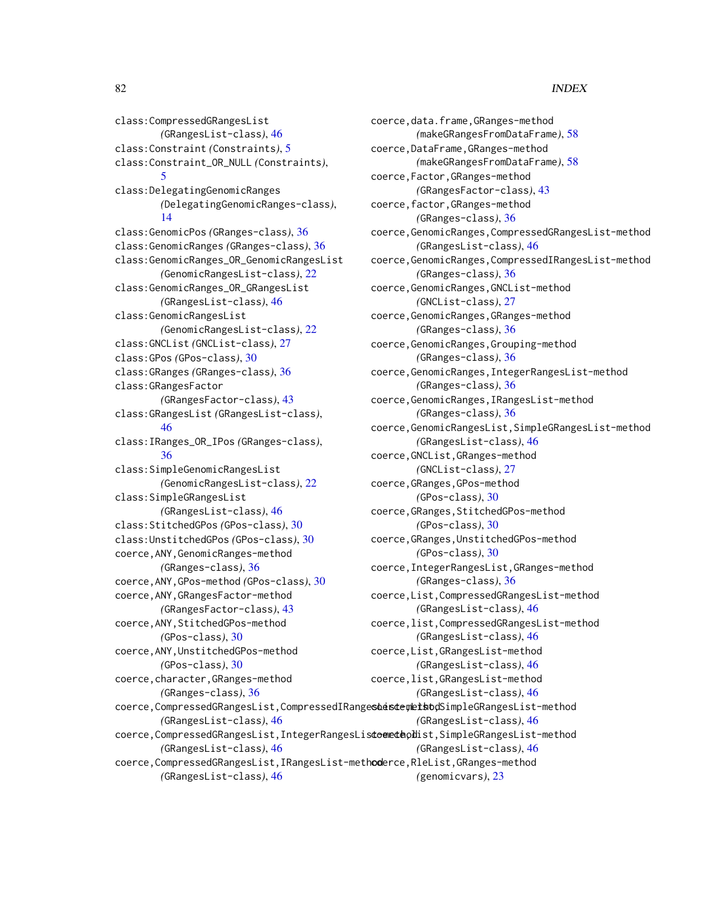class:CompressedGRangesList *(*GRangesList-class*)*, [46](#page-45-1) class:Constraint *(*Constraints*)*, [5](#page-4-0) class:Constraint\_OR\_NULL *(*Constraints*)*, [5](#page-4-0) class:DelegatingGenomicRanges *(*DelegatingGenomicRanges-class*)*, [14](#page-13-1) class:GenomicPos *(*GRanges-class*)*, [36](#page-35-1) class:GenomicRanges *(*GRanges-class*)*, [36](#page-35-1) class:GenomicRanges\_OR\_GenomicRangesList *(*GenomicRangesList-class*)*, [22](#page-21-0) class:GenomicRanges\_OR\_GRangesList *(*GRangesList-class*)*, [46](#page-45-1) class:GenomicRangesList *(*GenomicRangesList-class*)*, [22](#page-21-0) class:GNCList *(*GNCList-class*)*, [27](#page-26-0) class:GPos *(*GPos-class*)*, [30](#page-29-0) class:GRanges *(*GRanges-class*)*, [36](#page-35-1) class:GRangesFactor *(*GRangesFactor-class*)*, [43](#page-42-0) class:GRangesList *(*GRangesList-class*)*, [46](#page-45-1) class:IRanges\_OR\_IPos *(*GRanges-class*)*, [36](#page-35-1) class:SimpleGenomicRangesList *(*GenomicRangesList-class*)*, [22](#page-21-0) class:SimpleGRangesList *(*GRangesList-class*)*, [46](#page-45-1) class:StitchedGPos *(*GPos-class*)*, [30](#page-29-0) class:UnstitchedGPos *(*GPos-class*)*, [30](#page-29-0) coerce,ANY,GenomicRanges-method *(*GRanges-class*)*, [36](#page-35-1) coerce,ANY,GPos-method *(*GPos-class*)*, [30](#page-29-0) coerce,ANY,GRangesFactor-method *(*GRangesFactor-class*)*, [43](#page-42-0) coerce,ANY,StitchedGPos-method *(*GPos-class*)*, [30](#page-29-0) coerce,ANY,UnstitchedGPos-method *(*GPos-class*)*, [30](#page-29-0) coerce,character,GRanges-method *(*GRanges-class*)*, [36](#page-35-1) coerce, CompressedGRangesList, CompressedIRangesbeisterhetbodSimpleGRangesList-method *(*GRangesList-class*)*, [46](#page-45-1) coerce, CompressedGRangesList, IntegerRangesListoenethodist, SimpleGRangesList-method *(*GRangesList-class*)*, [46](#page-45-1) coerce, CompressedGRangesList, IRangesList-methoderce, RleList, GRanges-method *(*GRangesList-class*)*, [46](#page-45-1)

coerce,data.frame,GRanges-method *(*makeGRangesFromDataFrame*)*, [58](#page-57-0) coerce,DataFrame,GRanges-method *(*makeGRangesFromDataFrame*)*, [58](#page-57-0) coerce,Factor,GRanges-method *(*GRangesFactor-class*)*, [43](#page-42-0) coerce,factor,GRanges-method *(*GRanges-class*)*, [36](#page-35-1) coerce,GenomicRanges,CompressedGRangesList-method *(*GRangesList-class*)*, [46](#page-45-1) coerce,GenomicRanges,CompressedIRangesList-method *(*GRanges-class*)*, [36](#page-35-1) coerce,GenomicRanges,GNCList-method *(*GNCList-class*)*, [27](#page-26-0) coerce,GenomicRanges,GRanges-method *(*GRanges-class*)*, [36](#page-35-1) coerce,GenomicRanges,Grouping-method *(*GRanges-class*)*, [36](#page-35-1) coerce,GenomicRanges,IntegerRangesList-method *(*GRanges-class*)*, [36](#page-35-1) coerce,GenomicRanges,IRangesList-method *(*GRanges-class*)*, [36](#page-35-1) coerce,GenomicRangesList,SimpleGRangesList-method *(*GRangesList-class*)*, [46](#page-45-1) coerce,GNCList,GRanges-method *(*GNCList-class*)*, [27](#page-26-0) coerce,GRanges,GPos-method *(*GPos-class*)*, [30](#page-29-0) coerce,GRanges,StitchedGPos-method *(*GPos-class*)*, [30](#page-29-0) coerce,GRanges,UnstitchedGPos-method *(*GPos-class*)*, [30](#page-29-0) coerce,IntegerRangesList,GRanges-method *(*GRanges-class*)*, [36](#page-35-1) coerce,List,CompressedGRangesList-method *(*GRangesList-class*)*, [46](#page-45-1) coerce,list,CompressedGRangesList-method *(*GRangesList-class*)*, [46](#page-45-1) coerce,List,GRangesList-method *(*GRangesList-class*)*, [46](#page-45-1) coerce,list,GRangesList-method *(*GRangesList-class*)*, [46](#page-45-1) *(*GRangesList-class*)*, [46](#page-45-1) *(*GRangesList-class*)*, [46](#page-45-1) *(*genomicvars*)*, [23](#page-22-1)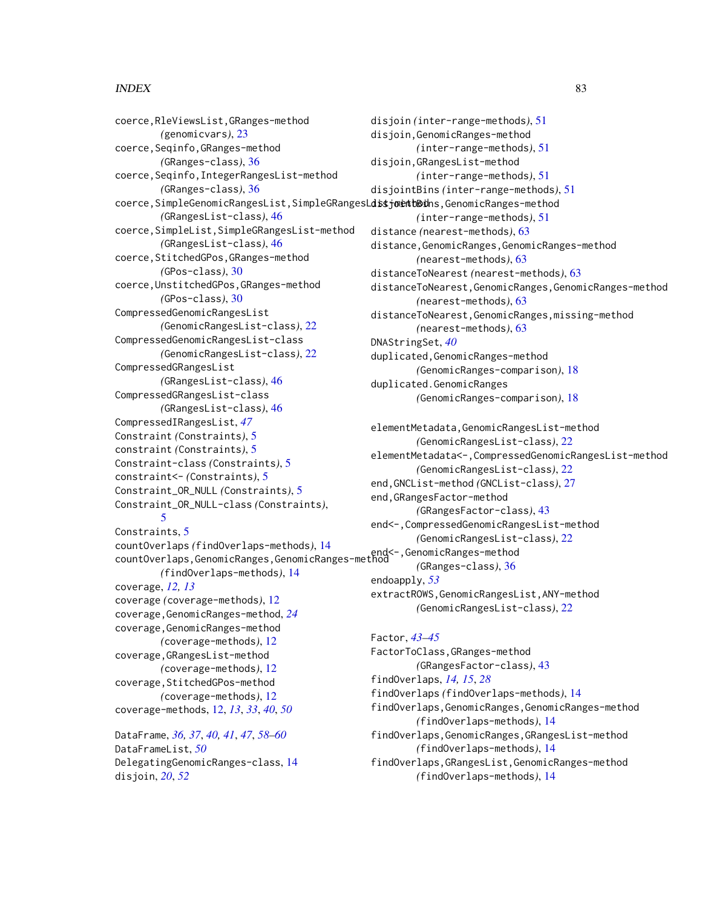coerce,RleViewsList,GRanges-method *(*genomicvars*)*, [23](#page-22-1) coerce,Seqinfo,GRanges-method *(*GRanges-class*)*, [36](#page-35-1) coerce,Seqinfo,IntegerRangesList-method *(*GRanges-class*)*, [36](#page-35-1) coerce,SimpleGenomicRangesList,SimpleGRangesL**dstjoetb00**hs,GenomicRanges-method *(*GRangesList-class*)*, [46](#page-45-1) coerce,SimpleList,SimpleGRangesList-method *(*GRangesList-class*)*, [46](#page-45-1) coerce,StitchedGPos,GRanges-method *(*GPos-class*)*, [30](#page-29-0) coerce,UnstitchedGPos,GRanges-method *(*GPos-class*)*, [30](#page-29-0) CompressedGenomicRangesList *(*GenomicRangesList-class*)*, [22](#page-21-0) CompressedGenomicRangesList-class *(*GenomicRangesList-class*)*, [22](#page-21-0) CompressedGRangesList *(*GRangesList-class*)*, [46](#page-45-1) CompressedGRangesList-class *(*GRangesList-class*)*, [46](#page-45-1) CompressedIRangesList, *[47](#page-46-0)* Constraint *(*Constraints*)*, [5](#page-4-0) constraint *(*Constraints*)*, [5](#page-4-0) Constraint-class *(*Constraints*)*, [5](#page-4-0) constraint<- *(*Constraints*)*, [5](#page-4-0) Constraint\_OR\_NULL *(*Constraints*)*, [5](#page-4-0) Constraint\_OR\_NULL-class *(*Constraints*)*, [5](#page-4-0) Constraints, [5](#page-4-0) countOverlaps *(*findOverlaps-methods*)*, [14](#page-13-1) countOverlaps,GenomicRanges,GenomicRanges-method end<-,GenomicRanges-method *(*findOverlaps-methods*)*, [14](#page-13-1) coverage, *[12,](#page-11-0) [13](#page-12-0)* coverage *(*coverage-methods*)*, [12](#page-11-0) coverage,GenomicRanges-method, *[24](#page-23-0)* coverage,GenomicRanges-method *(*coverage-methods*)*, [12](#page-11-0) coverage,GRangesList-method *(*coverage-methods*)*, [12](#page-11-0) coverage,StitchedGPos-method *(*coverage-methods*)*, [12](#page-11-0) coverage-methods, [12,](#page-11-0) *[13](#page-12-0)*, *[33](#page-32-0)*, *[40](#page-39-0)*, *[50](#page-49-0)*

DataFrame, *[36,](#page-35-1) [37](#page-36-0)*, *[40,](#page-39-0) [41](#page-40-0)*, *[47](#page-46-0)*, *[58–](#page-57-0)[60](#page-59-0)* DataFrameList, *[50](#page-49-0)* DelegatingGenomicRanges-class, [14](#page-13-1) disjoin, *[20](#page-19-0)*, *[52](#page-51-0)*

disjoin *(*inter-range-methods*)*, [51](#page-50-1) disjoin,GenomicRanges-method *(*inter-range-methods*)*, [51](#page-50-1) disjoin,GRangesList-method *(*inter-range-methods*)*, [51](#page-50-1) disjointBins *(*inter-range-methods*)*, [51](#page-50-1) *(*inter-range-methods*)*, [51](#page-50-1) distance *(*nearest-methods*)*, [63](#page-62-0) distance,GenomicRanges,GenomicRanges-method *(*nearest-methods*)*, [63](#page-62-0) distanceToNearest *(*nearest-methods*)*, [63](#page-62-0) distanceToNearest,GenomicRanges,GenomicRanges-method *(*nearest-methods*)*, [63](#page-62-0) distanceToNearest,GenomicRanges,missing-method *(*nearest-methods*)*, [63](#page-62-0) DNAStringSet, *[40](#page-39-0)* duplicated,GenomicRanges-method *(*GenomicRanges-comparison*)*, [18](#page-17-0) duplicated.GenomicRanges *(*GenomicRanges-comparison*)*, [18](#page-17-0)

elementMetadata,GenomicRangesList-method *(*GenomicRangesList-class*)*, [22](#page-21-0) elementMetadata<-,CompressedGenomicRangesList-method *(*GenomicRangesList-class*)*, [22](#page-21-0) end,GNCList-method *(*GNCList-class*)*, [27](#page-26-0) end,GRangesFactor-method *(*GRangesFactor-class*)*, [43](#page-42-0) end<-,CompressedGenomicRangesList-method *(*GenomicRangesList-class*)*, [22](#page-21-0) *(*GRanges-class*)*, [36](#page-35-1) endoapply, *[53](#page-52-0)* extractROWS,GenomicRangesList,ANY-method

*(*GenomicRangesList-class*)*, [22](#page-21-0) Factor, *[43](#page-42-0)[–45](#page-44-0)* FactorToClass,GRanges-method *(*GRangesFactor-class*)*, [43](#page-42-0) findOverlaps, *[14,](#page-13-1) [15](#page-14-0)*, *[28](#page-27-0)* findOverlaps *(*findOverlaps-methods*)*, [14](#page-13-1) findOverlaps,GenomicRanges,GenomicRanges-method *(*findOverlaps-methods*)*, [14](#page-13-1)

findOverlaps,GenomicRanges,GRangesList-method *(*findOverlaps-methods*)*, [14](#page-13-1) findOverlaps,GRangesList,GenomicRanges-method

*(*findOverlaps-methods*)*, [14](#page-13-1)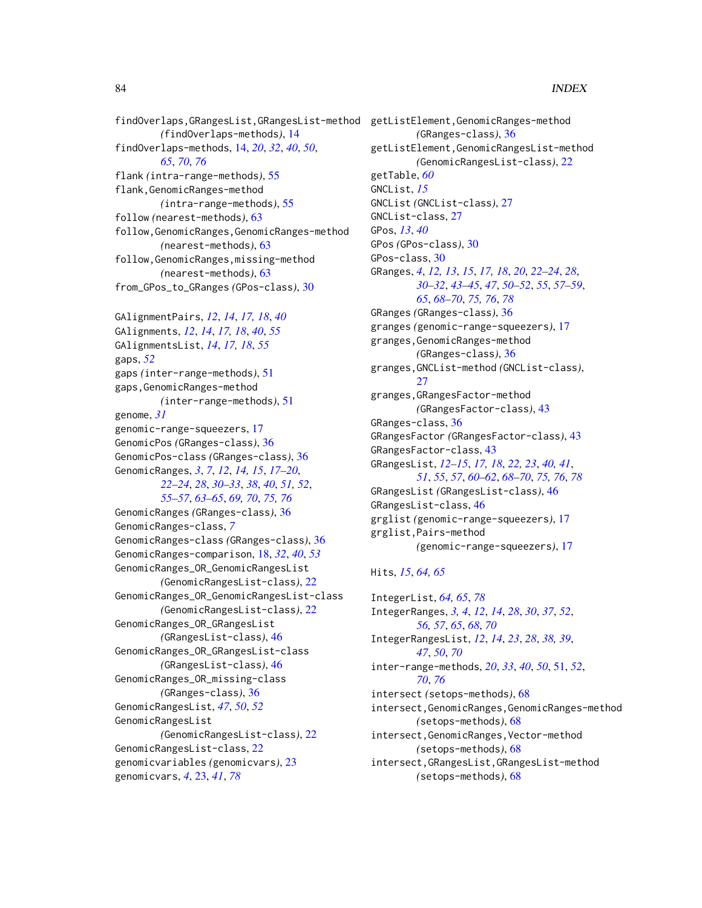findOverlaps,GRangesList,GRangesList-method getListElement,GenomicRanges-method *(*findOverlaps-methods*)*, [14](#page-13-1) findOverlaps-methods, [14,](#page-13-1) *[20](#page-19-0)*, *[32](#page-31-0)*, *[40](#page-39-0)*, *[50](#page-49-0)*, *[65](#page-64-0)*, *[70](#page-69-0)*, *[76](#page-75-1)* flank *(*intra-range-methods*)*, [55](#page-54-1) flank,GenomicRanges-method *(*intra-range-methods*)*, [55](#page-54-1) follow *(*nearest-methods*)*, [63](#page-62-0) follow,GenomicRanges,GenomicRanges-method *(*nearest-methods*)*, [63](#page-62-0) follow,GenomicRanges,missing-method *(*nearest-methods*)*, [63](#page-62-0) from\_GPos\_to\_GRanges *(*GPos-class*)*, [30](#page-29-0)

GAlignmentPairs, *[12](#page-11-0)*, *[14](#page-13-1)*, *[17,](#page-16-0) [18](#page-17-0)*, *[40](#page-39-0)* GAlignments, *[12](#page-11-0)*, *[14](#page-13-1)*, *[17,](#page-16-0) [18](#page-17-0)*, *[40](#page-39-0)*, *[55](#page-54-1)* GAlignmentsList, *[14](#page-13-1)*, *[17,](#page-16-0) [18](#page-17-0)*, *[55](#page-54-1)* gaps, *[52](#page-51-0)* gaps *(*inter-range-methods*)*, [51](#page-50-1) gaps,GenomicRanges-method *(*inter-range-methods*)*, [51](#page-50-1) genome, *[31](#page-30-0)* genomic-range-squeezers, [17](#page-16-0) GenomicPos *(*GRanges-class*)*, [36](#page-35-1) GenomicPos-class *(*GRanges-class*)*, [36](#page-35-1) GenomicRanges, *[3](#page-2-0)*, *[7](#page-6-0)*, *[12](#page-11-0)*, *[14,](#page-13-1) [15](#page-14-0)*, *[17–](#page-16-0)[20](#page-19-0)*, *[22](#page-21-0)[–24](#page-23-0)*, *[28](#page-27-0)*, *[30–](#page-29-0)[33](#page-32-0)*, *[38](#page-37-0)*, *[40](#page-39-0)*, *[51,](#page-50-1) [52](#page-51-0)*, *[55](#page-54-1)[–57](#page-56-0)*, *[63](#page-62-0)[–65](#page-64-0)*, *[69,](#page-68-0) [70](#page-69-0)*, *[75,](#page-74-0) [76](#page-75-1)* GenomicRanges *(*GRanges-class*)*, [36](#page-35-1) GenomicRanges-class, *[7](#page-6-0)* GenomicRanges-class *(*GRanges-class*)*, [36](#page-35-1) GenomicRanges-comparison, [18,](#page-17-0) *[32](#page-31-0)*, *[40](#page-39-0)*, *[53](#page-52-0)* GenomicRanges\_OR\_GenomicRangesList *(*GenomicRangesList-class*)*, [22](#page-21-0) GenomicRanges\_OR\_GenomicRangesList-class *(*GenomicRangesList-class*)*, [22](#page-21-0) GenomicRanges\_OR\_GRangesList *(*GRangesList-class*)*, [46](#page-45-1) GenomicRanges\_OR\_GRangesList-class *(*GRangesList-class*)*, [46](#page-45-1) GenomicRanges\_OR\_missing-class *(*GRanges-class*)*, [36](#page-35-1) GenomicRangesList, *[47](#page-46-0)*, *[50](#page-49-0)*, *[52](#page-51-0)* GenomicRangesList *(*GenomicRangesList-class*)*, [22](#page-21-0) GenomicRangesList-class, [22](#page-21-0) genomicvariables *(*genomicvars*)*, [23](#page-22-1) genomicvars, *[4](#page-3-0)*, [23,](#page-22-1) *[41](#page-40-0)*, *[78](#page-77-0)*

*(*GRanges-class*)*, [36](#page-35-1) getListElement,GenomicRangesList-method *(*GenomicRangesList-class*)*, [22](#page-21-0) getTable, *[60](#page-59-0)* GNCList, *[15](#page-14-0)* GNCList *(*GNCList-class*)*, [27](#page-26-0) GNCList-class, [27](#page-26-0) GPos, *[13](#page-12-0)*, *[40](#page-39-0)* GPos *(*GPos-class*)*, [30](#page-29-0) GPos-class, [30](#page-29-0) GRanges, *[4](#page-3-0)*, *[12,](#page-11-0) [13](#page-12-0)*, *[15](#page-14-0)*, *[17,](#page-16-0) [18](#page-17-0)*, *[20](#page-19-0)*, *[22](#page-21-0)[–24](#page-23-0)*, *[28](#page-27-0)*, *[30](#page-29-0)[–32](#page-31-0)*, *[43](#page-42-0)[–45](#page-44-0)*, *[47](#page-46-0)*, *[50](#page-49-0)[–52](#page-51-0)*, *[55](#page-54-1)*, *[57](#page-56-0)[–59](#page-58-0)*, *[65](#page-64-0)*, *[68](#page-67-1)[–70](#page-69-0)*, *[75,](#page-74-0) [76](#page-75-1)*, *[78](#page-77-0)* GRanges *(*GRanges-class*)*, [36](#page-35-1) granges *(*genomic-range-squeezers*)*, [17](#page-16-0) granges,GenomicRanges-method *(*GRanges-class*)*, [36](#page-35-1) granges,GNCList-method *(*GNCList-class*)*, [27](#page-26-0) granges,GRangesFactor-method *(*GRangesFactor-class*)*, [43](#page-42-0) GRanges-class, [36](#page-35-1) GRangesFactor *(*GRangesFactor-class*)*, [43](#page-42-0) GRangesFactor-class, [43](#page-42-0) GRangesList, *[12](#page-11-0)[–15](#page-14-0)*, *[17,](#page-16-0) [18](#page-17-0)*, *[22,](#page-21-0) [23](#page-22-1)*, *[40,](#page-39-0) [41](#page-40-0)*, *[51](#page-50-1)*, *[55](#page-54-1)*, *[57](#page-56-0)*, *[60](#page-59-0)[–62](#page-61-0)*, *[68](#page-67-1)[–70](#page-69-0)*, *[75,](#page-74-0) [76](#page-75-1)*, *[78](#page-77-0)* GRangesList *(*GRangesList-class*)*, [46](#page-45-1) GRangesList-class, [46](#page-45-1) grglist *(*genomic-range-squeezers*)*, [17](#page-16-0) grglist,Pairs-method *(*genomic-range-squeezers*)*, [17](#page-16-0)

# Hits, *[15](#page-14-0)*, *[64,](#page-63-0) [65](#page-64-0)*

IntegerList, *[64,](#page-63-0) [65](#page-64-0)*, *[78](#page-77-0)* IntegerRanges, *[3,](#page-2-0) [4](#page-3-0)*, *[12](#page-11-0)*, *[14](#page-13-1)*, *[28](#page-27-0)*, *[30](#page-29-0)*, *[37](#page-36-0)*, *[52](#page-51-0)*, *[56,](#page-55-0) [57](#page-56-0)*, *[65](#page-64-0)*, *[68](#page-67-1)*, *[70](#page-69-0)* IntegerRangesList, *[12](#page-11-0)*, *[14](#page-13-1)*, *[23](#page-22-1)*, *[28](#page-27-0)*, *[38,](#page-37-0) [39](#page-38-0)*, *[47](#page-46-0)*, *[50](#page-49-0)*, *[70](#page-69-0)* inter-range-methods, *[20](#page-19-0)*, *[33](#page-32-0)*, *[40](#page-39-0)*, *[50](#page-49-0)*, [51,](#page-50-1) *[52](#page-51-0)*, *[70](#page-69-0)*, *[76](#page-75-1)* intersect *(*setops-methods*)*, [68](#page-67-1) intersect,GenomicRanges,GenomicRanges-method *(*setops-methods*)*, [68](#page-67-1) intersect,GenomicRanges,Vector-method *(*setops-methods*)*, [68](#page-67-1) intersect,GRangesList,GRangesList-method *(*setops-methods*)*, [68](#page-67-1)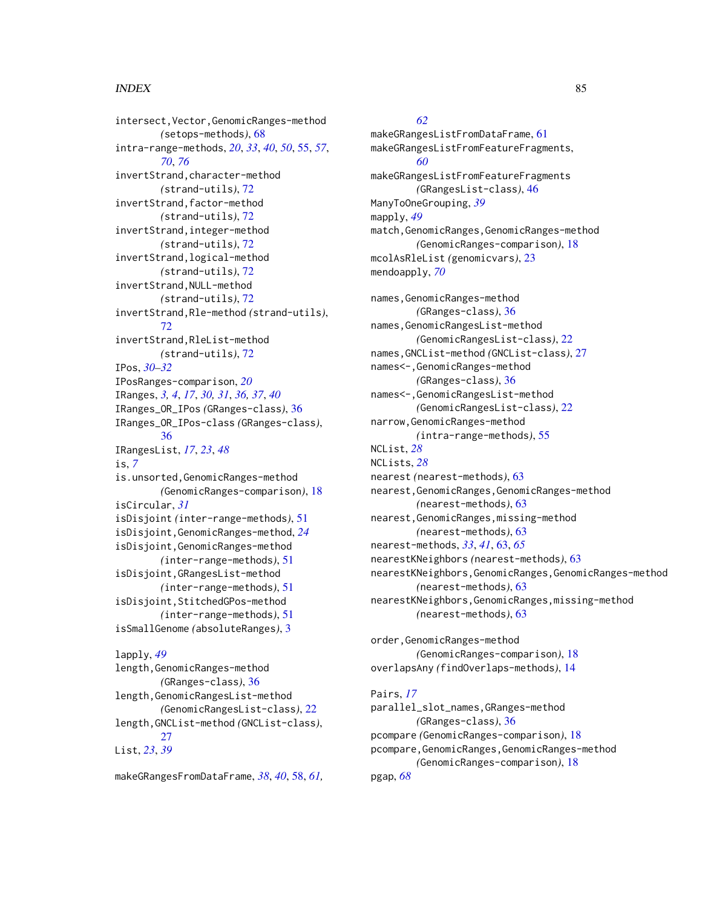intersect,Vector,GenomicRanges-method *(*setops-methods*)*, [68](#page-67-1) intra-range-methods, *[20](#page-19-0)*, *[33](#page-32-0)*, *[40](#page-39-0)*, *[50](#page-49-0)*, [55,](#page-54-1) *[57](#page-56-0)*, *[70](#page-69-0)*, *[76](#page-75-1)* invertStrand,character-method *(*strand-utils*)*, [72](#page-71-0) invertStrand,factor-method *(*strand-utils*)*, [72](#page-71-0) invertStrand,integer-method *(*strand-utils*)*, [72](#page-71-0) invertStrand,logical-method *(*strand-utils*)*, [72](#page-71-0) invertStrand,NULL-method *(*strand-utils*)*, [72](#page-71-0) invertStrand,Rle-method *(*strand-utils*)*, [72](#page-71-0) invertStrand,RleList-method *(*strand-utils*)*, [72](#page-71-0) IPos, *[30](#page-29-0)[–32](#page-31-0)* IPosRanges-comparison, *[20](#page-19-0)* IRanges, *[3,](#page-2-0) [4](#page-3-0)*, *[17](#page-16-0)*, *[30,](#page-29-0) [31](#page-30-0)*, *[36,](#page-35-1) [37](#page-36-0)*, *[40](#page-39-0)* IRanges\_OR\_IPos *(*GRanges-class*)*, [36](#page-35-1) IRanges\_OR\_IPos-class *(*GRanges-class*)*, [36](#page-35-1) IRangesList, *[17](#page-16-0)*, *[23](#page-22-1)*, *[48](#page-47-0)* is, *[7](#page-6-0)* is.unsorted,GenomicRanges-method *(*GenomicRanges-comparison*)*, [18](#page-17-0) isCircular, *[31](#page-30-0)* isDisjoint *(*inter-range-methods*)*, [51](#page-50-1) isDisjoint,GenomicRanges-method, *[24](#page-23-0)* isDisjoint,GenomicRanges-method *(*inter-range-methods*)*, [51](#page-50-1) isDisjoint,GRangesList-method *(*inter-range-methods*)*, [51](#page-50-1) isDisjoint,StitchedGPos-method *(*inter-range-methods*)*, [51](#page-50-1) isSmallGenome *(*absoluteRanges*)*, [3](#page-2-0) lapply, *[49](#page-48-0)* length,GenomicRanges-method *(*GRanges-class*)*, [36](#page-35-1) length,GenomicRangesList-method *(*GenomicRangesList-class*)*, [22](#page-21-0)

length,GNCList-method *(*GNCList-class*)*,  $27$ List, *[23](#page-22-1)*, *[39](#page-38-0)*

makeGRangesFromDataFrame, *[38](#page-37-0)*, *[40](#page-39-0)*, [58,](#page-57-0) *[61,](#page-60-0)*

# *[62](#page-61-0)*

makeGRangesListFromDataFrame, [61](#page-60-0) makeGRangesListFromFeatureFragments, *[60](#page-59-0)* makeGRangesListFromFeatureFragments *(*GRangesList-class*)*, [46](#page-45-1) ManyToOneGrouping, *[39](#page-38-0)* mapply, *[49](#page-48-0)* match,GenomicRanges,GenomicRanges-method *(*GenomicRanges-comparison*)*, [18](#page-17-0) mcolAsRleList *(*genomicvars*)*, [23](#page-22-1) mendoapply, *[70](#page-69-0)*

names, GenomicRanges-method *(*GRanges-class*)*, [36](#page-35-1) names, GenomicRangesList-method *(*GenomicRangesList-class*)*, [22](#page-21-0) names,GNCList-method *(*GNCList-class*)*, [27](#page-26-0) names<-,GenomicRanges-method *(*GRanges-class*)*, [36](#page-35-1) names<-,GenomicRangesList-method *(*GenomicRangesList-class*)*, [22](#page-21-0) narrow,GenomicRanges-method *(*intra-range-methods*)*, [55](#page-54-1) NCList, *[28](#page-27-0)* NCLists, *[28](#page-27-0)* nearest *(*nearest-methods*)*, [63](#page-62-0) nearest,GenomicRanges,GenomicRanges-method *(*nearest-methods*)*, [63](#page-62-0) nearest,GenomicRanges,missing-method *(*nearest-methods*)*, [63](#page-62-0) nearest-methods, *[33](#page-32-0)*, *[41](#page-40-0)*, [63,](#page-62-0) *[65](#page-64-0)* nearestKNeighbors *(*nearest-methods*)*, [63](#page-62-0) nearestKNeighbors,GenomicRanges,GenomicRanges-method *(*nearest-methods*)*, [63](#page-62-0) nearestKNeighbors,GenomicRanges,missing-method *(*nearest-methods*)*, [63](#page-62-0) order,GenomicRanges-method

*(*GenomicRanges-comparison*)*, [18](#page-17-0) overlapsAny *(*findOverlaps-methods*)*, [14](#page-13-1)

#### Pairs, *[17](#page-16-0)*

parallel\_slot\_names,GRanges-method *(*GRanges-class*)*, [36](#page-35-1) pcompare *(*GenomicRanges-comparison*)*, [18](#page-17-0) pcompare,GenomicRanges,GenomicRanges-method *(*GenomicRanges-comparison*)*, [18](#page-17-0) pgap, *[68](#page-67-1)*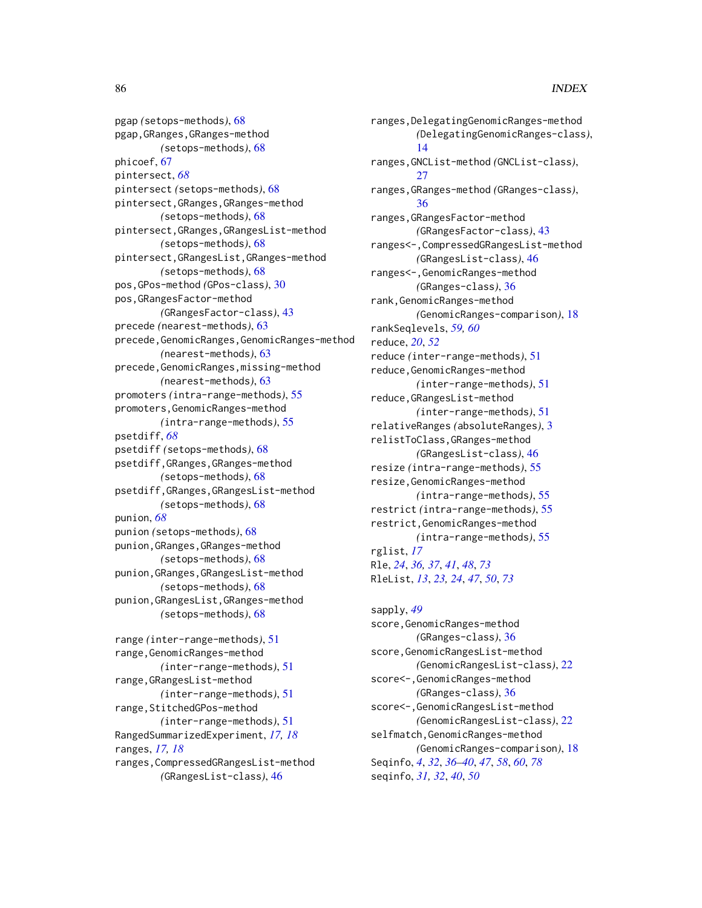pgap *(*setops-methods*)*, [68](#page-67-1) pgap,GRanges,GRanges-method *(*setops-methods*)*, [68](#page-67-1) phicoef, [67](#page-66-0) pintersect, *[68](#page-67-1)* pintersect *(*setops-methods*)*, [68](#page-67-1) pintersect,GRanges,GRanges-method *(*setops-methods*)*, [68](#page-67-1) pintersect,GRanges,GRangesList-method *(*setops-methods*)*, [68](#page-67-1) pintersect,GRangesList,GRanges-method *(*setops-methods*)*, [68](#page-67-1) pos,GPos-method *(*GPos-class*)*, [30](#page-29-0) pos,GRangesFactor-method *(*GRangesFactor-class*)*, [43](#page-42-0) precede *(*nearest-methods*)*, [63](#page-62-0) precede, GenomicRanges, GenomicRanges-method *(*nearest-methods*)*, [63](#page-62-0) precede, GenomicRanges, missing-method *(*nearest-methods*)*, [63](#page-62-0) promoters *(*intra-range-methods*)*, [55](#page-54-1) promoters,GenomicRanges-method *(*intra-range-methods*)*, [55](#page-54-1) psetdiff, *[68](#page-67-1)* psetdiff *(*setops-methods*)*, [68](#page-67-1) psetdiff,GRanges,GRanges-method *(*setops-methods*)*, [68](#page-67-1) psetdiff,GRanges,GRangesList-method *(*setops-methods*)*, [68](#page-67-1) punion, *[68](#page-67-1)* punion *(*setops-methods*)*, [68](#page-67-1) punion,GRanges,GRanges-method *(*setops-methods*)*, [68](#page-67-1) punion,GRanges,GRangesList-method *(*setops-methods*)*, [68](#page-67-1) punion,GRangesList,GRanges-method *(*setops-methods*)*, [68](#page-67-1) range *(*inter-range-methods*)*, [51](#page-50-1) range,GenomicRanges-method *(*inter-range-methods*)*, [51](#page-50-1) range,GRangesList-method *(*inter-range-methods*)*, [51](#page-50-1) range,StitchedGPos-method *(*inter-range-methods*)*, [51](#page-50-1) RangedSummarizedExperiment, *[17,](#page-16-0) [18](#page-17-0)* ranges, *[17,](#page-16-0) [18](#page-17-0)*

ranges,CompressedGRangesList-method *(*GRangesList-class*)*, [46](#page-45-1)

ranges,DelegatingGenomicRanges-method *(*DelegatingGenomicRanges-class*)*, [14](#page-13-1) ranges,GNCList-method *(*GNCList-class*)*, [27](#page-26-0) ranges,GRanges-method *(*GRanges-class*)*, [36](#page-35-1) ranges,GRangesFactor-method *(*GRangesFactor-class*)*, [43](#page-42-0) ranges<-,CompressedGRangesList-method *(*GRangesList-class*)*, [46](#page-45-1) ranges<-,GenomicRanges-method *(*GRanges-class*)*, [36](#page-35-1) rank,GenomicRanges-method *(*GenomicRanges-comparison*)*, [18](#page-17-0) rankSeqlevels, *[59,](#page-58-0) [60](#page-59-0)* reduce, *[20](#page-19-0)*, *[52](#page-51-0)* reduce *(*inter-range-methods*)*, [51](#page-50-1) reduce,GenomicRanges-method *(*inter-range-methods*)*, [51](#page-50-1) reduce,GRangesList-method *(*inter-range-methods*)*, [51](#page-50-1) relativeRanges *(*absoluteRanges*)*, [3](#page-2-0) relistToClass,GRanges-method *(*GRangesList-class*)*, [46](#page-45-1) resize *(*intra-range-methods*)*, [55](#page-54-1) resize,GenomicRanges-method *(*intra-range-methods*)*, [55](#page-54-1) restrict *(*intra-range-methods*)*, [55](#page-54-1) restrict,GenomicRanges-method *(*intra-range-methods*)*, [55](#page-54-1) rglist, *[17](#page-16-0)* Rle, *[24](#page-23-0)*, *[36,](#page-35-1) [37](#page-36-0)*, *[41](#page-40-0)*, *[48](#page-47-0)*, *[73](#page-72-0)* RleList, *[13](#page-12-0)*, *[23,](#page-22-1) [24](#page-23-0)*, *[47](#page-46-0)*, *[50](#page-49-0)*, *[73](#page-72-0)*

sapply, *[49](#page-48-0)* score, GenomicRanges-method *(*GRanges-class*)*, [36](#page-35-1) score, GenomicRangesList-method *(*GenomicRangesList-class*)*, [22](#page-21-0) score<-,GenomicRanges-method *(*GRanges-class*)*, [36](#page-35-1) score<-,GenomicRangesList-method *(*GenomicRangesList-class*)*, [22](#page-21-0) selfmatch, GenomicRanges-method *(*GenomicRanges-comparison*)*, [18](#page-17-0) Seqinfo, *[4](#page-3-0)*, *[32](#page-31-0)*, *[36](#page-35-1)[–40](#page-39-0)*, *[47](#page-46-0)*, *[58](#page-57-0)*, *[60](#page-59-0)*, *[78](#page-77-0)* seqinfo, *[31,](#page-30-0) [32](#page-31-0)*, *[40](#page-39-0)*, *[50](#page-49-0)*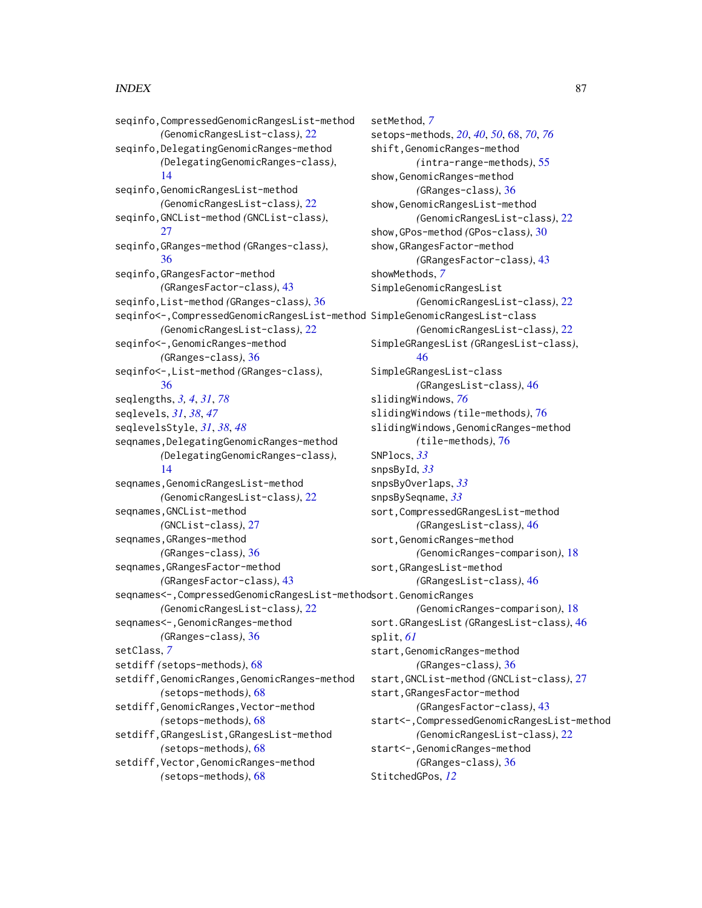seqinfo,CompressedGenomicRangesList-method *(*GenomicRangesList-class*)*, [22](#page-21-0) seqinfo,DelegatingGenomicRanges-method *(*DelegatingGenomicRanges-class*)*, [14](#page-13-1) seqinfo,GenomicRangesList-method *(*GenomicRangesList-class*)*, [22](#page-21-0) seqinfo,GNCList-method *(*GNCList-class*)*, [27](#page-26-0) seqinfo,GRanges-method *(*GRanges-class*)*, [36](#page-35-1) seqinfo,GRangesFactor-method *(*GRangesFactor-class*)*, [43](#page-42-0) seqinfo,List-method *(*GRanges-class*)*, [36](#page-35-1) seqinfo<-,CompressedGenomicRangesList-method SimpleGenomicRangesList-class *(*GenomicRangesList-class*)*, [22](#page-21-0) seqinfo<-,GenomicRanges-method *(*GRanges-class*)*, [36](#page-35-1) seqinfo<-,List-method *(*GRanges-class*)*, [36](#page-35-1) seqlengths, *[3,](#page-2-0) [4](#page-3-0)*, *[31](#page-30-0)*, *[78](#page-77-0)* seqlevels, *[31](#page-30-0)*, *[38](#page-37-0)*, *[47](#page-46-0)* seqlevelsStyle, *[31](#page-30-0)*, *[38](#page-37-0)*, *[48](#page-47-0)* seqnames,DelegatingGenomicRanges-method *(*DelegatingGenomicRanges-class*)*, [14](#page-13-1) seqnames, GenomicRangesList-method *(*GenomicRangesList-class*)*, [22](#page-21-0) seqnames,GNCList-method *(*GNCList-class*)*, [27](#page-26-0) seqnames,GRanges-method *(*GRanges-class*)*, [36](#page-35-1) seqnames,GRangesFactor-method *(*GRangesFactor-class*)*, [43](#page-42-0) seqnames<-,CompressedGenomicRangesList-method sort.GenomicRanges *(*GenomicRangesList-class*)*, [22](#page-21-0) seqnames<-,GenomicRanges-method *(*GRanges-class*)*, [36](#page-35-1) setClass, *[7](#page-6-0)* setdiff *(*setops-methods*)*, [68](#page-67-1) setdiff,GenomicRanges,GenomicRanges-method *(*setops-methods*)*, [68](#page-67-1) setdiff,GenomicRanges,Vector-method *(*setops-methods*)*, [68](#page-67-1) setdiff,GRangesList,GRangesList-method *(*setops-methods*)*, [68](#page-67-1) setdiff,Vector,GenomicRanges-method *(*setops-methods*)*, [68](#page-67-1)

setMethod, *[7](#page-6-0)* setops-methods, *[20](#page-19-0)*, *[40](#page-39-0)*, *[50](#page-49-0)*, [68,](#page-67-1) *[70](#page-69-0)*, *[76](#page-75-1)* shift,GenomicRanges-method *(*intra-range-methods*)*, [55](#page-54-1) show, GenomicRanges-method *(*GRanges-class*)*, [36](#page-35-1) show,GenomicRangesList-method *(*GenomicRangesList-class*)*, [22](#page-21-0) show,GPos-method *(*GPos-class*)*, [30](#page-29-0) show,GRangesFactor-method *(*GRangesFactor-class*)*, [43](#page-42-0) showMethods, *[7](#page-6-0)* SimpleGenomicRangesList *(*GenomicRangesList-class*)*, [22](#page-21-0) *(*GenomicRangesList-class*)*, [22](#page-21-0) SimpleGRangesList *(*GRangesList-class*)*, [46](#page-45-1) SimpleGRangesList-class *(*GRangesList-class*)*, [46](#page-45-1) slidingWindows, *[76](#page-75-1)* slidingWindows *(*tile-methods*)*, [76](#page-75-1) slidingWindows,GenomicRanges-method *(*tile-methods*)*, [76](#page-75-1) SNPlocs, *[33](#page-32-0)* snpsById, *[33](#page-32-0)* snpsByOverlaps, *[33](#page-32-0)* snpsBySeqname, *[33](#page-32-0)* sort,CompressedGRangesList-method *(*GRangesList-class*)*, [46](#page-45-1) sort, GenomicRanges-method *(*GenomicRanges-comparison*)*, [18](#page-17-0) sort,GRangesList-method *(*GRangesList-class*)*, [46](#page-45-1) *(*GenomicRanges-comparison*)*, [18](#page-17-0) sort.GRangesList *(*GRangesList-class*)*, [46](#page-45-1) split, *[61](#page-60-0)* start,GenomicRanges-method *(*GRanges-class*)*, [36](#page-35-1) start,GNCList-method *(*GNCList-class*)*, [27](#page-26-0) start,GRangesFactor-method *(*GRangesFactor-class*)*, [43](#page-42-0) start<-,CompressedGenomicRangesList-method *(*GenomicRangesList-class*)*, [22](#page-21-0) start<-,GenomicRanges-method *(*GRanges-class*)*, [36](#page-35-1) StitchedGPos, *[12](#page-11-0)*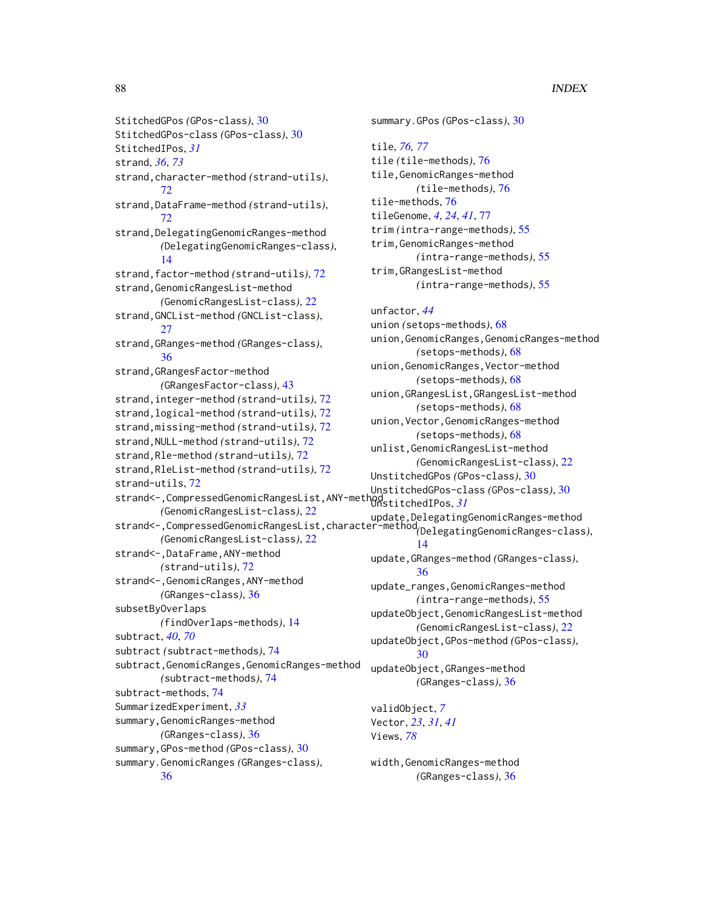StitchedGPos *(*GPos-class*)*, [30](#page-29-0) StitchedGPos-class *(*GPos-class*)*, [30](#page-29-0) StitchedIPos, *[31](#page-30-0)* strand, *[36](#page-35-1)*, *[73](#page-72-0)* strand,character-method *(*strand-utils*)*, [72](#page-71-0) strand,DataFrame-method *(*strand-utils*)*, [72](#page-71-0) strand, DelegatingGenomicRanges-method *(*DelegatingGenomicRanges-class*)*, [14](#page-13-1) strand,factor-method *(*strand-utils*)*, [72](#page-71-0) strand,GenomicRangesList-method *(*GenomicRangesList-class*)*, [22](#page-21-0) strand,GNCList-method *(*GNCList-class*)*, [27](#page-26-0) strand,GRanges-method *(*GRanges-class*)*, [36](#page-35-1) strand,GRangesFactor-method *(*GRangesFactor-class*)*, [43](#page-42-0) strand,integer-method *(*strand-utils*)*, [72](#page-71-0) strand,logical-method *(*strand-utils*)*, [72](#page-71-0) strand,missing-method *(*strand-utils*)*, [72](#page-71-0) strand,NULL-method *(*strand-utils*)*, [72](#page-71-0) strand,Rle-method *(*strand-utils*)*, [72](#page-71-0) strand,RleList-method *(*strand-utils*)*, [72](#page-71-0) strand-utils, [72](#page-71-0) strand<-,CompressedGenomicRangesList,ANY-method UnstitchedIPos, *[31](#page-30-0) (*GenomicRangesList-class*)*, [22](#page-21-0) strand<-,CompressedGenomicRangesList,character-method update,DelegatingGenomicRanges-method *(*GenomicRangesList-class*)*, [22](#page-21-0) strand<-,DataFrame,ANY-method *(*strand-utils*)*, [72](#page-71-0) strand<-, GenomicRanges, ANY-method *(*GRanges-class*)*, [36](#page-35-1) subsetByOverlaps *(*findOverlaps-methods*)*, [14](#page-13-1) subtract, *[40](#page-39-0)*, *[70](#page-69-0)* subtract *(*subtract-methods*)*, [74](#page-73-0) subtract,GenomicRanges,GenomicRanges-method *(*subtract-methods*)*, [74](#page-73-0) subtract-methods, [74](#page-73-0) SummarizedExperiment, *[33](#page-32-0)* summary,GenomicRanges-method *(*GRanges-class*)*, [36](#page-35-1) summary,GPos-method *(*GPos-class*)*, [30](#page-29-0) summary.GenomicRanges *(*GRanges-class*)*, [36](#page-35-1)

summary.GPos *(*GPos-class*)*, [30](#page-29-0) tile, *[76,](#page-75-1) [77](#page-76-0)* tile *(*tile-methods*)*, [76](#page-75-1) tile,GenomicRanges-method *(*tile-methods*)*, [76](#page-75-1) tile-methods, [76](#page-75-1) tileGenome, *[4](#page-3-0)*, *[24](#page-23-0)*, *[41](#page-40-0)*, [77](#page-76-0) trim *(*intra-range-methods*)*, [55](#page-54-1) trim,GenomicRanges-method *(*intra-range-methods*)*, [55](#page-54-1) trim,GRangesList-method *(*intra-range-methods*)*, [55](#page-54-1) unfactor, *[44](#page-43-0)* union *(*setops-methods*)*, [68](#page-67-1) union,GenomicRanges,GenomicRanges-method *(*setops-methods*)*, [68](#page-67-1) union,GenomicRanges,Vector-method *(*setops-methods*)*, [68](#page-67-1) union,GRangesList,GRangesList-method *(*setops-methods*)*, [68](#page-67-1) union,Vector,GenomicRanges-method *(*setops-methods*)*, [68](#page-67-1) unlist,GenomicRangesList-method *(*GenomicRangesList-class*)*, [22](#page-21-0) UnstitchedGPos *(*GPos-class*)*, [30](#page-29-0) UnstitchedGPos-class *(*GPos-class*)*, [30](#page-29-0) *(*DelegatingGenomicRanges-class*)*, [14](#page-13-1) update,GRanges-method *(*GRanges-class*)*, [36](#page-35-1) update\_ranges,GenomicRanges-method *(*intra-range-methods*)*, [55](#page-54-1) updateObject,GenomicRangesList-method *(*GenomicRangesList-class*)*, [22](#page-21-0) updateObject,GPos-method *(*GPos-class*)*, [30](#page-29-0) updateObject,GRanges-method *(*GRanges-class*)*, [36](#page-35-1) validObject, *[7](#page-6-0)* Vector, *[23](#page-22-1)*, *[31](#page-30-0)*, *[41](#page-40-0)* Views, *[78](#page-77-0)* width,GenomicRanges-method

*(*GRanges-class*)*, [36](#page-35-1)